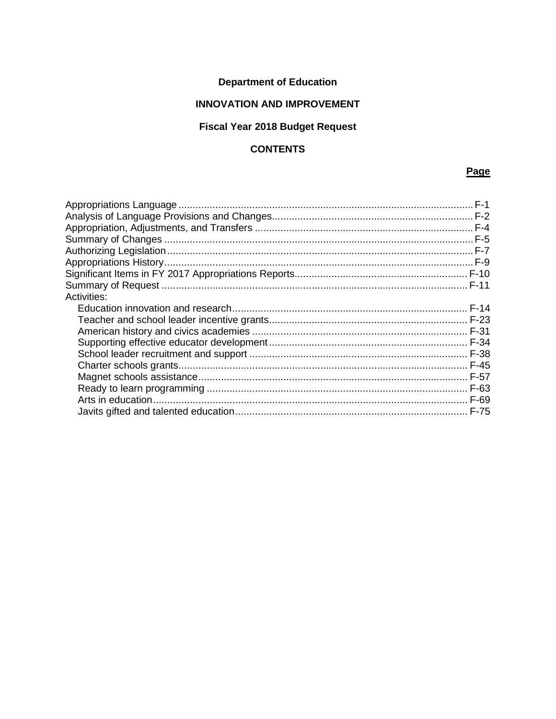# **Department of Education**

# **INNOVATION AND IMPROVEMENT**

# Fiscal Year 2018 Budget Request

# **CONTENTS**

# Page

| <b>Activities:</b> |  |
|--------------------|--|
|                    |  |
|                    |  |
|                    |  |
|                    |  |
|                    |  |
|                    |  |
|                    |  |
|                    |  |
|                    |  |
|                    |  |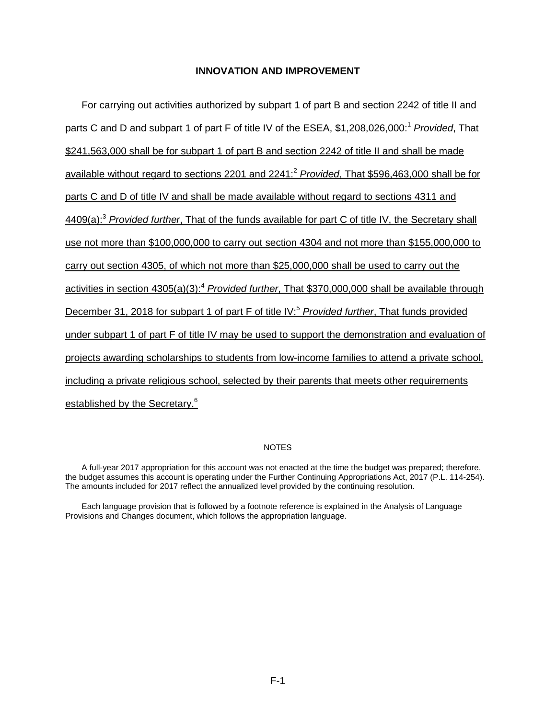<span id="page-1-3"></span><span id="page-1-2"></span><span id="page-1-1"></span><span id="page-1-0"></span>For carrying out activities authorized by subpart 1 of part B and section 2242 of title II and parts C and D and subpart 1 of part F of title IV of the ESEA, \$1,208,026,000[:](#page-2-1)<sup>1</sup> *Provided*, That \$241,563,000 shall be for subpart 1 of part B and section 2242 of title II and shall be made available without regard to sections 2201 and 2241:[2](#page-2-2) *Provided*, That \$596,463,000 shall be for parts C and D of title IV and shall be made available without regard to sections 4311 and 4409(a):[3](#page-2-3) *Provided further*, That of the funds available for part C of title IV, the Secretary shall use not more than \$100,000,000 to carry out section 4304 and not more than \$155,000,000 to carry out section 4305, of which not more than \$25,000,000 shall be used to carry out the activities in section 4305(a)(3)[:](#page-2-4)<sup>4</sup> *Provided further*, That \$370,000,000 shall be available through December 31, 2018 for subpart 1 of part F of title IV[:](#page-2-5)<sup>5</sup> *Provided further*, That funds provided under subpart 1 of part F of title IV may be used to support the demonstration and evaluation of projects awarding scholarships to students from low-income families to attend a private school, including a private religious school, selected by their parents that meets other requirements established by the Secretary.<sup>[6](#page-3-0)</sup>

#### <span id="page-1-6"></span><span id="page-1-5"></span><span id="page-1-4"></span>**NOTES**

A full-year 2017 appropriation for this account was not enacted at the time the budget was prepared; therefore, the budget assumes this account is operating under the Further Continuing Appropriations Act, 2017 (P.L. 114-254). The amounts included for 2017 reflect the annualized level provided by the continuing resolution.

Each language provision that is followed by a footnote reference is explained in the Analysis of Language Provisions and Changes document, which follows the appropriation language.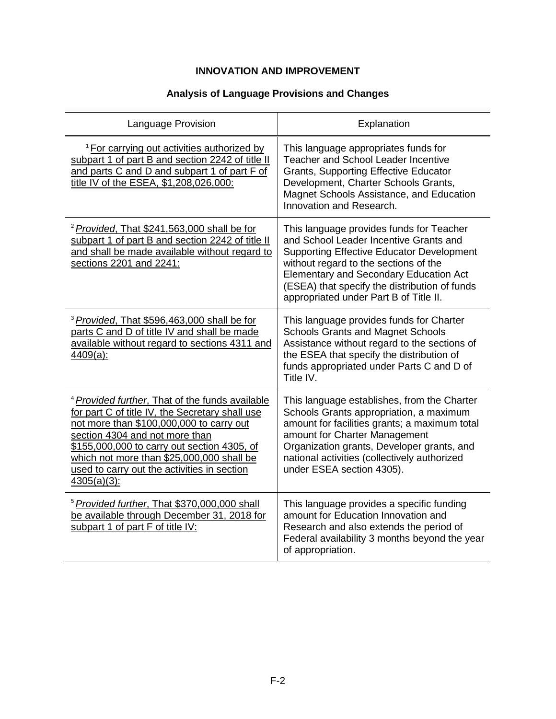# **Analysis of Language Provisions and Changes**

<span id="page-2-5"></span><span id="page-2-4"></span><span id="page-2-3"></span><span id="page-2-2"></span><span id="page-2-1"></span><span id="page-2-0"></span>

| Language Provision                                                                                                                                                                                                                                                                                                                                       | Explanation                                                                                                                                                                                                                                                                                                                 |
|----------------------------------------------------------------------------------------------------------------------------------------------------------------------------------------------------------------------------------------------------------------------------------------------------------------------------------------------------------|-----------------------------------------------------------------------------------------------------------------------------------------------------------------------------------------------------------------------------------------------------------------------------------------------------------------------------|
| <sup>1</sup> For carrying out activities authorized by<br>subpart 1 of part B and section 2242 of title II<br>and parts C and D and subpart 1 of part F of<br>title IV of the ESEA, \$1,208,026,000:                                                                                                                                                     | This language appropriates funds for<br><b>Teacher and School Leader Incentive</b><br><b>Grants, Supporting Effective Educator</b><br>Development, Charter Schools Grants,<br>Magnet Schools Assistance, and Education<br>Innovation and Research.                                                                          |
| <sup>2</sup> Provided, That \$241,563,000 shall be for<br>subpart 1 of part B and section 2242 of title II<br>and shall be made available without regard to<br>sections 2201 and 2241:                                                                                                                                                                   | This language provides funds for Teacher<br>and School Leader Incentive Grants and<br><b>Supporting Effective Educator Development</b><br>without regard to the sections of the<br><b>Elementary and Secondary Education Act</b><br>(ESEA) that specify the distribution of funds<br>appropriated under Part B of Title II. |
| <sup>3</sup> Provided, That \$596,463,000 shall be for<br>parts C and D of title IV and shall be made<br>available without regard to sections 4311 and<br>$4409(a)$ :                                                                                                                                                                                    | This language provides funds for Charter<br><b>Schools Grants and Magnet Schools</b><br>Assistance without regard to the sections of<br>the ESEA that specify the distribution of<br>funds appropriated under Parts C and D of<br>Title IV.                                                                                 |
| <sup>4</sup> Provided further, That of the funds available<br>for part C of title IV, the Secretary shall use<br>not more than \$100,000,000 to carry out<br>section 4304 and not more than<br>\$155,000,000 to carry out section 4305, of<br>which not more than \$25,000,000 shall be<br>used to carry out the activities in section<br>$4305(a)(3)$ : | This language establishes, from the Charter<br>Schools Grants appropriation, a maximum<br>amount for facilities grants; a maximum total<br>amount for Charter Management<br>Organization grants, Developer grants, and<br>national activities (collectively authorized<br>under ESEA section 4305).                         |
| <sup>5</sup> Provided further, That \$370,000,000 shall<br>be available through December 31, 2018 for<br>subpart 1 of part F of title IV:                                                                                                                                                                                                                | This language provides a specific funding<br>amount for Education Innovation and<br>Research and also extends the period of<br>Federal availability 3 months beyond the year<br>of appropriation.                                                                                                                           |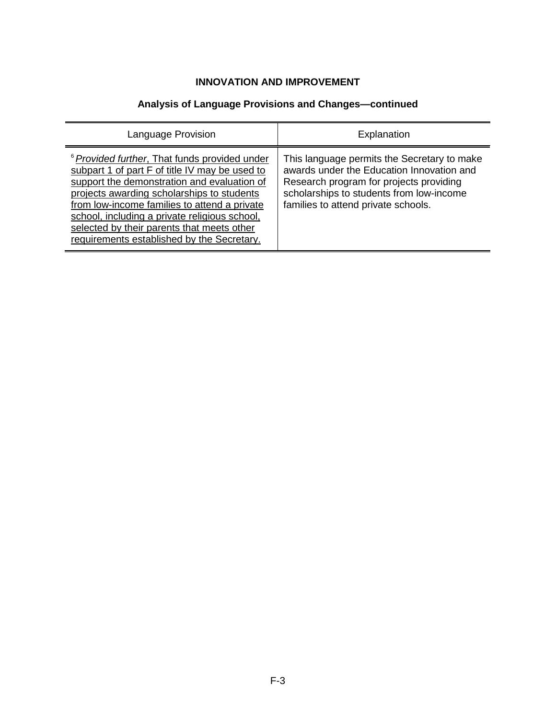# **Analysis of Language Provisions and Changes—continued**

<span id="page-3-0"></span>

| Language Provision                                                                                                                                                                                                                                                                                                                                                                                   | Explanation                                                                                                                                                                                                            |
|------------------------------------------------------------------------------------------------------------------------------------------------------------------------------------------------------------------------------------------------------------------------------------------------------------------------------------------------------------------------------------------------------|------------------------------------------------------------------------------------------------------------------------------------------------------------------------------------------------------------------------|
| <sup>6</sup> Provided further, That funds provided under<br>subpart 1 of part F of title IV may be used to<br>support the demonstration and evaluation of<br>projects awarding scholarships to students<br>from low-income families to attend a private<br>school, including a private religious school,<br>selected by their parents that meets other<br>requirements established by the Secretary. | This language permits the Secretary to make<br>awards under the Education Innovation and<br>Research program for projects providing<br>scholarships to students from low-income<br>families to attend private schools. |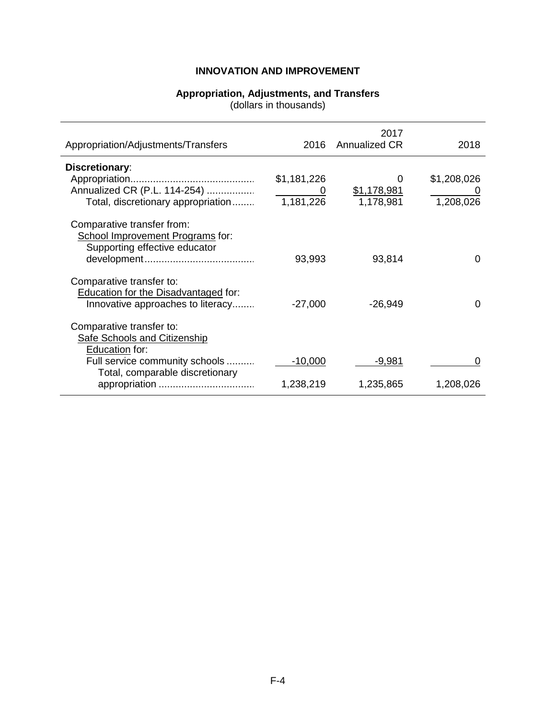#### **Appropriation, Adjustments, and Transfers**

(dollars in thousands)

<span id="page-4-0"></span>

| Appropriation/Adjustments/Transfers                                                             |             | 2017<br>2016 Annualized CR | 2018        |
|-------------------------------------------------------------------------------------------------|-------------|----------------------------|-------------|
| <b>Discretionary:</b>                                                                           |             |                            |             |
| Annualized CR (P.L. 114-254)                                                                    | \$1,181,226 | \$1,178,981                | \$1,208,026 |
| Total, discretionary appropriation                                                              | 1,181,226   | 1,178,981                  | 1,208,026   |
| Comparative transfer from:<br>School Improvement Programs for:<br>Supporting effective educator |             |                            |             |
|                                                                                                 | 93,993      | 93,814                     |             |
| Comparative transfer to:                                                                        |             |                            |             |
| Education for the Disadvantaged for:<br>Innovative approaches to literacy                       | $-27,000$   | $-26,949$                  | 0           |
| Comparative transfer to:<br><b>Safe Schools and Citizenship</b><br>Education for:               |             |                            |             |
| Full service community schools                                                                  | $-10,000$   | -9,981                     |             |
| Total, comparable discretionary                                                                 | 1,238,219   | 1,235,865                  | 1,208,026   |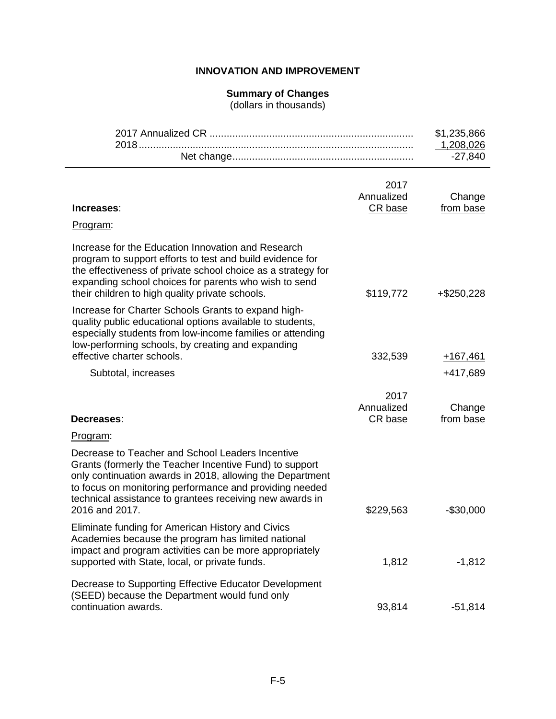## **Summary of Changes**

(dollars in thousands)

<span id="page-5-0"></span>

|                                                                                                                                                                                                                                                                                                                   |                               | \$1,235,866<br>1,208,026<br>$-27,840$ |
|-------------------------------------------------------------------------------------------------------------------------------------------------------------------------------------------------------------------------------------------------------------------------------------------------------------------|-------------------------------|---------------------------------------|
| Increases:                                                                                                                                                                                                                                                                                                        | 2017<br>Annualized<br>CR base | Change<br>from base                   |
| Program:                                                                                                                                                                                                                                                                                                          |                               |                                       |
| Increase for the Education Innovation and Research<br>program to support efforts to test and build evidence for<br>the effectiveness of private school choice as a strategy for<br>expanding school choices for parents who wish to send<br>their children to high quality private schools.                       | \$119,772                     | $+$ \$250,228                         |
| Increase for Charter Schools Grants to expand high-<br>quality public educational options available to students,<br>especially students from low-income families or attending<br>low-performing schools, by creating and expanding<br>effective charter schools.                                                  | 332,539                       | $+167,461$                            |
| Subtotal, increases                                                                                                                                                                                                                                                                                               |                               | +417,689                              |
| Decreases:                                                                                                                                                                                                                                                                                                        | 2017<br>Annualized<br>CR base | Change<br>from base                   |
| Program:                                                                                                                                                                                                                                                                                                          |                               |                                       |
| Decrease to Teacher and School Leaders Incentive<br>Grants (formerly the Teacher Incentive Fund) to support<br>only continuation awards in 2018, allowing the Department<br>to focus on monitoring performance and providing needed<br>technical assistance to grantees receiving new awards in<br>2016 and 2017. | \$229,563                     | $-$30,000$                            |
| Eliminate funding for American History and Civics<br>Academies because the program has limited national<br>impact and program activities can be more appropriately<br>supported with State, local, or private funds.                                                                                              | 1,812                         | $-1,812$                              |
| Decrease to Supporting Effective Educator Development<br>(SEED) because the Department would fund only<br>continuation awards.                                                                                                                                                                                    | 93,814                        | $-51,814$                             |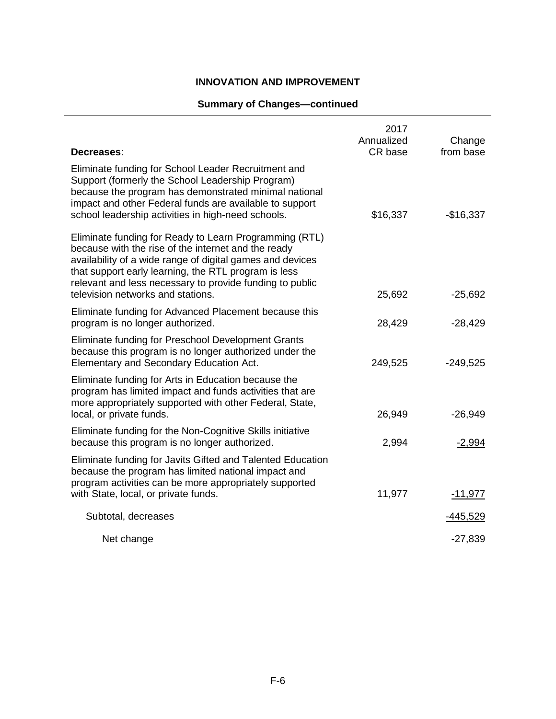# **Summary of Changes—continued**

| Decreases:                                                                                                                                                                                                                                                                                                                          | 2017<br>Annualized<br>CR base | Change<br>from base |
|-------------------------------------------------------------------------------------------------------------------------------------------------------------------------------------------------------------------------------------------------------------------------------------------------------------------------------------|-------------------------------|---------------------|
| Eliminate funding for School Leader Recruitment and<br>Support (formerly the School Leadership Program)<br>because the program has demonstrated minimal national<br>impact and other Federal funds are available to support<br>school leadership activities in high-need schools.                                                   | \$16,337                      | $-$16,337$          |
| Eliminate funding for Ready to Learn Programming (RTL)<br>because with the rise of the internet and the ready<br>availability of a wide range of digital games and devices<br>that support early learning, the RTL program is less<br>relevant and less necessary to provide funding to public<br>television networks and stations. | 25,692                        | $-25,692$           |
| Eliminate funding for Advanced Placement because this<br>program is no longer authorized.                                                                                                                                                                                                                                           | 28,429                        | $-28,429$           |
| Eliminate funding for Preschool Development Grants<br>because this program is no longer authorized under the<br>Elementary and Secondary Education Act.                                                                                                                                                                             | 249,525                       | $-249,525$          |
| Eliminate funding for Arts in Education because the<br>program has limited impact and funds activities that are<br>more appropriately supported with other Federal, State,<br>local, or private funds.                                                                                                                              | 26,949                        | $-26,949$           |
| Eliminate funding for the Non-Cognitive Skills initiative<br>because this program is no longer authorized.                                                                                                                                                                                                                          | 2,994                         | $-2,994$            |
| Eliminate funding for Javits Gifted and Talented Education<br>because the program has limited national impact and<br>program activities can be more appropriately supported                                                                                                                                                         |                               |                     |
| with State, local, or private funds.                                                                                                                                                                                                                                                                                                | 11,977                        | $-11,977$           |
| Subtotal, decreases                                                                                                                                                                                                                                                                                                                 |                               | -445,529            |
| Net change                                                                                                                                                                                                                                                                                                                          |                               | $-27,839$           |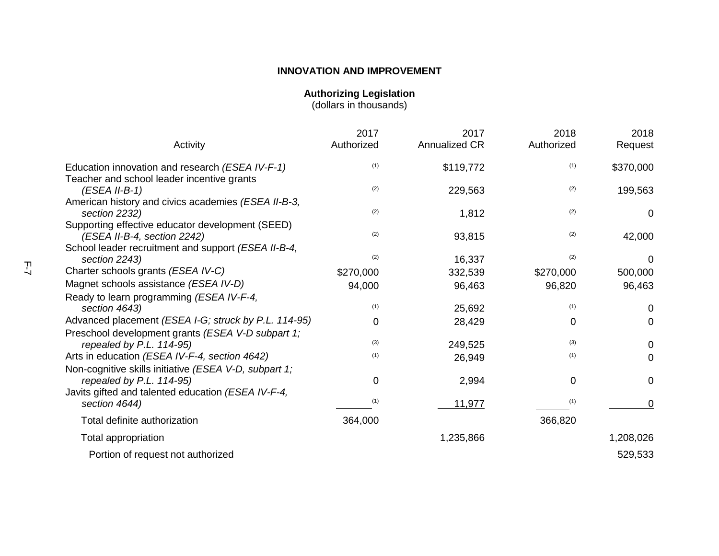**Authorizing Legislation**

(dollars in thousands)

<span id="page-7-0"></span>

| Activity                                                                                                                                | 2017<br>Authorized | 2017<br>Annualized CR | 2018<br>Authorized | 2018<br>Request |
|-----------------------------------------------------------------------------------------------------------------------------------------|--------------------|-----------------------|--------------------|-----------------|
| Education innovation and research (ESEA IV-F-1)                                                                                         | (1)                | \$119,772             | (1)                | \$370,000       |
| Teacher and school leader incentive grants<br>$(ESEA II-B-1)$                                                                           | (2)                | 229,563               | (2)                | 199,563         |
| American history and civics academies (ESEA II-B-3,<br>section 2232)                                                                    | (2)                | 1,812                 | (2)                | 0               |
| Supporting effective educator development (SEED)<br>(ESEA II-B-4, section 2242)                                                         | (2)                | 93,815                | (2)                | 42,000          |
| School leader recruitment and support (ESEA II-B-4,<br>section 2243)                                                                    | (2)                | 16,337                | (2)                | $\Omega$        |
| Charter schools grants (ESEA IV-C)                                                                                                      | \$270,000          | 332,539               | \$270,000          | 500,000         |
| Magnet schools assistance (ESEA IV-D)                                                                                                   | 94,000             | 96,463                | 96,820             | 96,463          |
| Ready to learn programming (ESEA IV-F-4,<br>section 4643)                                                                               | (1)                | 25,692                | (1)                | 0               |
| Advanced placement (ESEA I-G; struck by P.L. 114-95)                                                                                    | 0                  | 28,429                | 0                  | 0               |
| Preschool development grants (ESEA V-D subpart 1;<br>repealed by P.L. 114-95)                                                           | (3)                | 249,525               | (3)                | 0               |
| Arts in education (ESEA IV-F-4, section 4642)                                                                                           | (1)                | 26,949                | (1)                | 0               |
| Non-cognitive skills initiative (ESEA V-D, subpart 1;<br>repealed by P.L. 114-95)<br>Javits gifted and talented education (ESEA IV-F-4, | 0                  | 2,994                 | 0                  | 0               |
| section 4644)                                                                                                                           | (1)                | 11,977                | (1)                | 0               |
| Total definite authorization                                                                                                            | 364,000            |                       | 366,820            |                 |
| Total appropriation                                                                                                                     |                    | 1,235,866             |                    | 1,208,026       |
| Portion of request not authorized                                                                                                       |                    |                       |                    | 529,533         |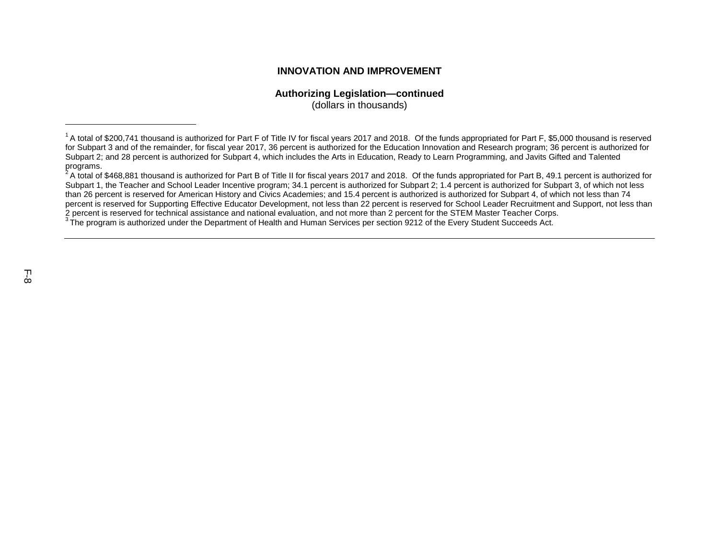#### **Authorizing Legislation—continued**

(dollars in thousands)

<sup>&</sup>lt;sup>1</sup> A total of \$200,741 thousand is authorized for Part F of Title IV for fiscal years 2017 and 2018. Of the funds appropriated for Part F, \$5,000 thousand is reserved for Subpart 3 and of the remainder, for fiscal year 2017, 36 percent is authorized for the Education Innovation and Research program; 36 percent is authorized for Subpart 2; and 28 percent is authorized for Subpart 4, which includes the Arts in Education, Ready to Learn Programming, and Javits Gifted and Talented programs.<br><sup>2</sup> A total of \$468,881 thousand is authorized for Part B of Title II for fiscal years 2017 and 2018. Of the funds appropriated for Part B, 49.1 percent is authorized for

Subpart 1, the Teacher and School Leader Incentive program; 34.1 percent is authorized for Subpart 2; 1.4 percent is authorized for Subpart 3, of which not less than 26 percent is reserved for American History and Civics Academies; and 15.4 percent is authorized is authorized for Subpart 4, of which not less than 74 percent is reserved for Supporting Effective Educator Development, not less than 22 percent is reserved for School Leader Recruitment and Support, not less than 2 percent is reserved for technical assistance and national evaluation, and not more than 2 percent for the STEM Master Teacher Corps.<br><sup>3</sup> The program is authorized under the Department of Health and Human Services per sec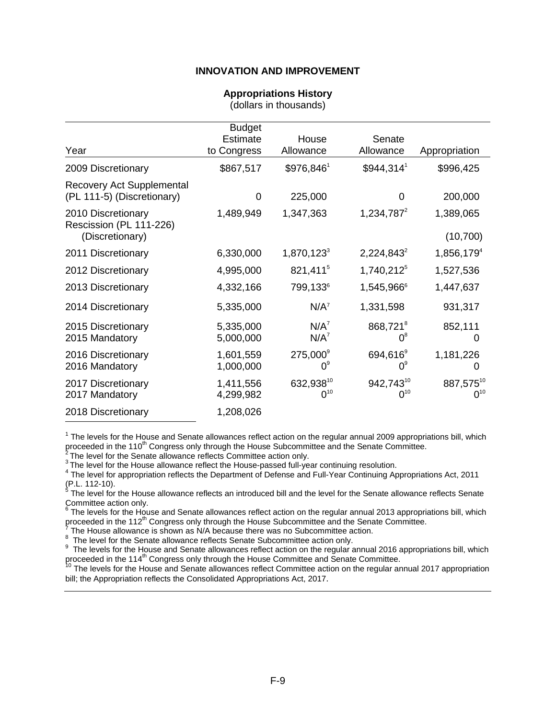#### **Appropriations History**

<span id="page-9-15"></span><span id="page-9-13"></span><span id="page-9-12"></span><span id="page-9-11"></span><span id="page-9-10"></span>(dollars in thousands)

<span id="page-9-14"></span><span id="page-9-0"></span>

| Year                                                             | <b>Budget</b><br><b>Estimate</b><br>to Congress | House<br>Allowance      | Senate<br>Allowance                 | Appropriation          |
|------------------------------------------------------------------|-------------------------------------------------|-------------------------|-------------------------------------|------------------------|
| 2009 Discretionary                                               | \$867,517                                       | \$976,8461              | $$944,314$ <sup>1</sup>             | \$996,425              |
| <b>Recovery Act Supplemental</b><br>(PL 111-5) (Discretionary)   | 0                                               | 225,000                 | 0                                   | 200,000                |
| 2010 Discretionary<br>Rescission (PL 111-226)<br>(Discretionary) | 1,489,949                                       | 1,347,363               | $1,234,787^2$                       | 1,389,065<br>(10, 700) |
| 2011 Discretionary                                               | 6,330,000                                       | $1,870,123^3$           | $2,224,843^2$                       | $1,856,179^{4}$        |
| 2012 Discretionary                                               | 4,995,000                                       | 821,411 <sup>5</sup>    | 1,740,212 <sup>5</sup>              | 1,527,536              |
| 2013 Discretionary                                               | 4,332,166                                       | 799,133 <sup>6</sup>    | 1,545,9666                          | 1,447,637              |
| 2014 Discretionary                                               | 5,335,000                                       | $N/A^7$                 | 1,331,598                           | 931,317                |
| 2015 Discretionary<br>2015 Mandatory                             | 5,335,000<br>5,000,000                          | $N/A^7$<br>$N/A^7$      | 868,721 <sup>8</sup><br>$0^8$       | 852,111<br>O           |
| 2016 Discretionary<br>2016 Mandatory                             | 1,601,559<br>1,000,000                          | 275,000°<br>$0^{\circ}$ | 694,616 <sup>9</sup><br>$0^{\circ}$ | 1,181,226<br>O)        |
| 2017 Discretionary<br>2017 Mandatory                             | 1,411,556<br>4,299,982                          | 632,93810<br>$0^{10}$   | 942,74310<br>$0^{10}$               | 887,57510<br>$0^{10}$  |
| 2018 Discretionary                                               | 1,208,026                                       |                         |                                     |                        |

<span id="page-9-1"></span> $1$  The levels for the House and Senate allowances reflect action on the regular annual 2009 appropriations bill, which proceeded in the 110<sup>th</sup> Congress only through the House Subcommittee and the Senate Committee.

<span id="page-9-2"></span>

<span id="page-9-3"></span>

The level for the Senate allowance reflects Committee action only.<br>
<sup>3</sup> The level for the Senate allowance reflects Committee action only.<br>
<sup>3</sup> The level for the House allowance reflect the House-passed full-year continuin

<span id="page-9-5"></span><span id="page-9-4"></span>[\(P](#page-9-14).L. 112-10).<br> $5$  The level for the House allowance reflects an introduced bill and the level for the Senate allowance reflects Senate Committee action only.

<span id="page-9-6"></span> $^6$  $^6$  The levels for the House and Senate allowances reflect action on the regular annual 2013 appropriations bill, which proceeded in the 112<sup>th</sup> Congress only through the House Subcommittee and the Senate Committee.<br><sup>[7](#page-9-14)</sup> The House allowance is shown as N/A because there was no Subcommittee action.

<span id="page-9-7"></span>

<span id="page-9-8"></span>Thelevel for the Senate allowance reflects Senate Subcommittee action only.<br><sup>9</sup> The levels for the Senate allowance reflects Senate Subcommittee action on the requier a<sup>9</sup>

<span id="page-9-9"></span>The levels for the House and Senate allowances reflect action on the regular annual 2016 appropriations bill, which proceeded in the 114<sup>th</sup> Congress only through the House Committee and Senate Committee.<br><sup>10</sup> The levels for the House and Senate allowances reflect Committee action on the regular annual 2017 appropriation

bill; the Appropriation reflects the Consolidated Appropriations Act, 2017.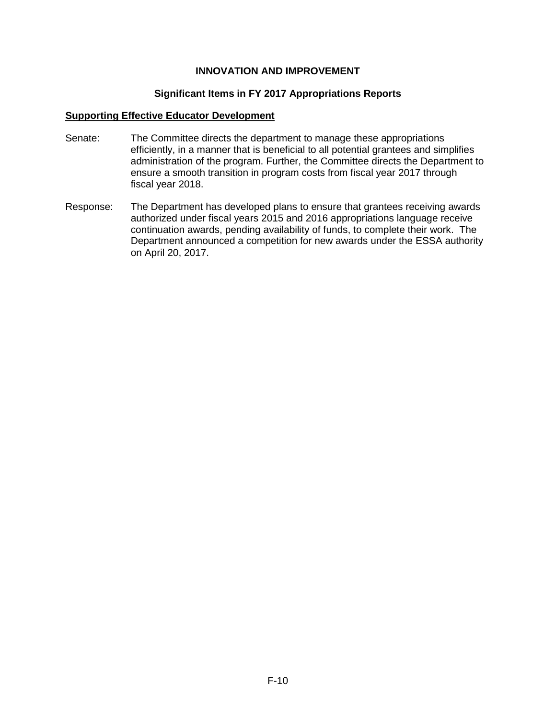#### **Significant Items in FY 2017 Appropriations Reports**

#### <span id="page-10-0"></span>**Supporting Effective Educator Development**

- Senate: The Committee directs the department to manage these appropriations efficiently, in a manner that is beneficial to all potential grantees and simplifies administration of the program. Further, the Committee directs the Department to ensure a smooth transition in program costs from fiscal year 2017 through fiscal year 2018.
- Response: The Department has developed plans to ensure that grantees receiving awards authorized under fiscal years 2015 and 2016 appropriations language receive continuation awards, pending availability of funds, to complete their work. The Department announced a competition for new awards under the ESSA authority on April 20, 2017.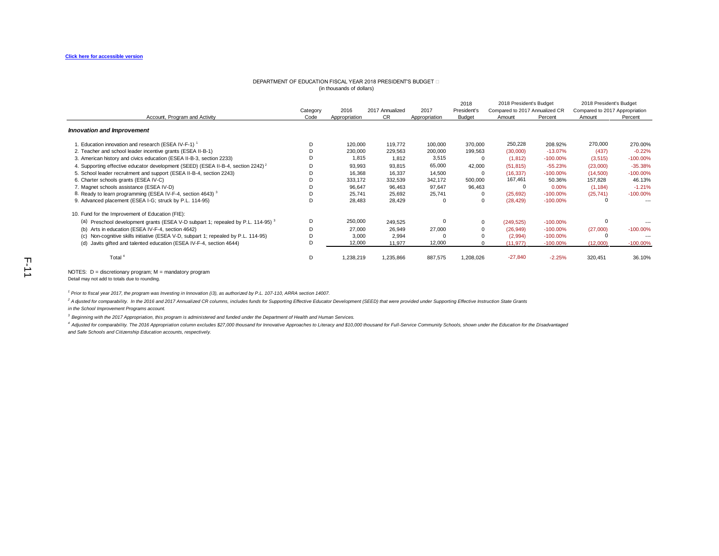#### DEPARTMENT OF EDUCATION FISCAL YEAR 2018 PRESIDENT'S BUDGET (in thousands of dollars)

|                                                                                              |          |               |                 |               | 2018          | 2018 President's Budget        |             | 2018 President's Budget        |             |
|----------------------------------------------------------------------------------------------|----------|---------------|-----------------|---------------|---------------|--------------------------------|-------------|--------------------------------|-------------|
|                                                                                              | Category | 2016          | 2017 Annualized | 2017          | President's   | Compared to 2017 Annualized CR |             | Compared to 2017 Appropriation |             |
| Account, Program and Activity                                                                | Code     | Appropriation | CR              | Appropriation | <b>Budget</b> | Amount                         | Percent     | Amount                         | Percent     |
| <b>Innovation and Improvement</b>                                                            |          |               |                 |               |               |                                |             |                                |             |
| 1. Education innovation and research (ESEA IV-F-1) <sup>1</sup>                              | D        | 120,000       | 119,772         | 100,000       | 370,000       | 250,228                        | 208.92%     | 270,000                        | 270.00%     |
| 2. Teacher and school leader incentive grants (ESEA II-B-1)                                  |          | 230,000       | 229,563         | 200,000       | 199,563       | (30,000)                       | $-13.07%$   | (437)                          | $-0.22%$    |
| 3. American history and civics education (ESEA II-B-3, section 2233)                         |          | 1,815         | 1,812           | 3,515         | 0             | (1, 812)                       | $-100.00\%$ | (3, 515)                       | $-100.00%$  |
| 4. Supporting effective educator development (SEED) (ESEA II-B-4, section 2242) <sup>2</sup> | Đ        | 93,993        | 93,815          | 65,000        | 42,000        | (51, 815)                      | $-55.23%$   | (23,000)                       | $-35.38%$   |
| 5. School leader recruitment and support (ESEA II-B-4, section 2243)                         |          | 16,368        | 16,337          | 14,500        | $\Omega$      | (16, 337)                      | $-100.00\%$ | (14,500)                       | $-100.00\%$ |
| 6. Charter schools grants (ESEA IV-C)                                                        |          | 333,172       | 332,539         | 342,172       | 500,000       | 167,461                        | 50.36%      | 157,828                        | 46.13%      |
| 7. Magnet schools assistance (ESEA IV-D)                                                     |          | 96,647        | 96,463          | 97,647        | 96,463        | 0                              | 0.00%       | (1, 184)                       | $-1.21%$    |
| 8. Ready to learn programming (ESEA IV-F-4, section 4643) <sup>3</sup>                       |          | 25,741        | 25,692          | 25,741        | 0             | (25, 692)                      | $-100.00\%$ | (25, 741)                      | $-100.00\%$ |
| 9. Advanced placement (ESEA I-G; struck by P.L. 114-95)                                      | D        | 28,483        | 28,429          | $\Omega$      | 0             | (28, 429)                      | $-100.00\%$ |                                | ---         |
| 10. Fund for the Improvement of Education (FIE):                                             |          |               |                 |               |               |                                |             |                                |             |
| (a) Preschool development grants (ESEA V-D subpart 1; repealed by P.L. 114-95) <sup>3</sup>  | D        | 250,000       | 249,525         |               | 0             | (249, 525)                     | $-100.00\%$ |                                |             |
| (b) Arts in education (ESEA IV-F-4, section 4642)                                            |          | 27,000        | 26,949          | 27,000        | 0             | (26, 949)                      | $-100.00\%$ | (27,000)                       | $-100.00\%$ |
| (c) Non-cognitive skills initiative (ESEA V-D, subpart 1; repealed by P.L. 114-95)           |          | 3,000         | 2,994           |               |               | (2,994)                        | $-100.00\%$ |                                | $--$        |
| (d) Javits gifted and talented education (ESEA IV-F-4, section 4644)                         | Đ        | 12,000        | 11,977          | 12,000        | $\Omega$      | (11, 977)                      | $-100.00\%$ | (12,000)                       | $-100.00\%$ |
| Total <sup>4</sup>                                                                           | D        | 1,238,219     | 1,235,866       | 887,575       | 1,208,026     | $-27,840$                      | $-2.25%$    | 320,451                        | 36.10%      |

<span id="page-11-0"></span>NOTES: D = discretionary program; M = mandatory program

Detail may not add to totals due to rounding.

*1 Prior to fiscal year 2017, the program was Investing in Innovation (i3), as authorized by P.L. 107-110, ARRA section 14007.*

<sup>2</sup> Adjusted for comparability. In the 2016 and 2017 Annualized CR columns, includes funds for Supporting Effective Educator Development (SEED) that were provided under Supporting Effective Instruction State Grants *in the School Improvement Programs account.* 

*3 Beginning with the 2017 Appropriation, this program is administered and funded under the Department of Health and Human Services.*

4 Adjusted for comparability. The 2016 Appropriation column excludes \$27,000 thousand for Innovative Approaches to Literacy and \$10,000 thousand for Full-Service Community Schools, shown under the Education for the Disadva *and Safe Schools and Citizenship Education accounts, respectively.*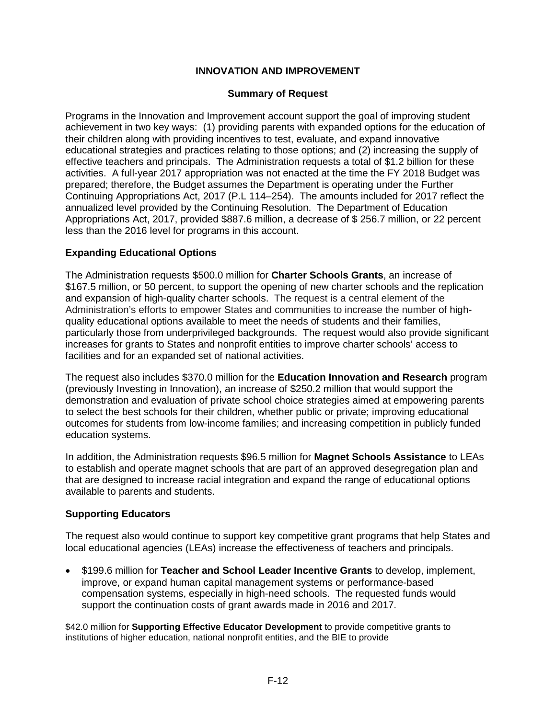## **Summary of Request**

Programs in the Innovation and Improvement account support the goal of improving student achievement in two key ways: (1) providing parents with expanded options for the education of their children along with providing incentives to test, evaluate, and expand innovative educational strategies and practices relating to those options; and (2) increasing the supply of effective teachers and principals. The Administration requests a total of \$1.2 billion for these activities. A full-year 2017 appropriation was not enacted at the time the FY 2018 Budget was prepared; therefore, the Budget assumes the Department is operating under the Further Continuing Appropriations Act, 2017 (P.L 114–254). The amounts included for 2017 reflect the annualized level provided by the Continuing Resolution. The Department of Education Appropriations Act, 2017, provided \$887.6 million, a decrease of \$ 256.7 million, or 22 percent less than the 2016 level for programs in this account.

## **Expanding Educational Options**

The Administration requests \$500.0 million for **Charter Schools Grants**, an increase of \$167.5 million, or 50 percent, to support the opening of new charter schools and the replication and expansion of high-quality charter schools. The request is a central element of the Administration's efforts to empower States and communities to increase the number of highquality educational options available to meet the needs of students and their families, particularly those from underprivileged backgrounds. The request would also provide significant increases for grants to States and nonprofit entities to improve charter schools' access to facilities and for an expanded set of national activities.

The request also includes \$370.0 million for the **Education Innovation and Research** program (previously Investing in Innovation), an increase of \$250.2 million that would support the demonstration and evaluation of private school choice strategies aimed at empowering parents to select the best schools for their children, whether public or private; improving educational outcomes for students from low-income families; and increasing competition in publicly funded education systems.

In addition, the Administration requests \$96.5 million for **Magnet Schools Assistance** to LEAs to establish and operate magnet schools that are part of an approved desegregation plan and that are designed to increase racial integration and expand the range of educational options available to parents and students.

## **Supporting Educators**

The request also would continue to support key competitive grant programs that help States and local educational agencies (LEAs) increase the effectiveness of teachers and principals.

• \$199.6 million for **Teacher and School Leader Incentive Grants** to develop, implement, improve, or expand human capital management systems or performance-based compensation systems, especially in high-need schools. The requested funds would support the continuation costs of grant awards made in 2016 and 2017.

\$42.0 million for **Supporting Effective Educator Development** to provide competitive grants to institutions of higher education, national nonprofit entities, and the BIE to provide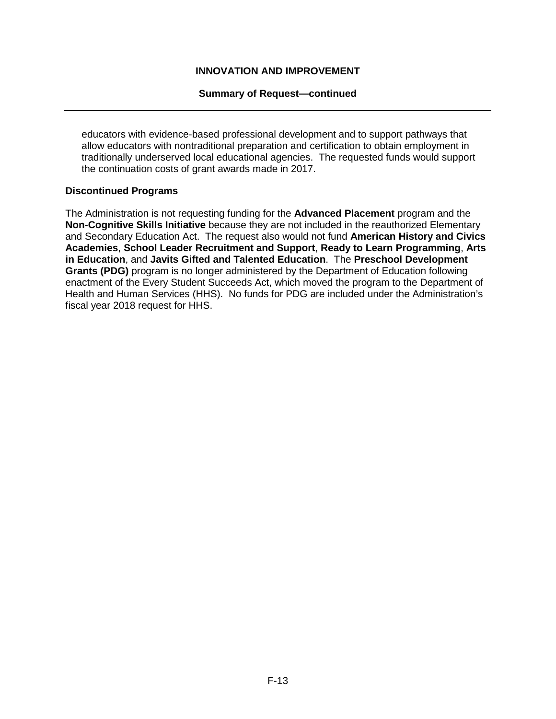#### **Summary of Request—continued**

educators with evidence-based professional development and to support pathways that allow educators with nontraditional preparation and certification to obtain employment in traditionally underserved local educational agencies. The requested funds would support the continuation costs of grant awards made in 2017.

#### **Discontinued Programs**

The Administration is not requesting funding for the **Advanced Placement** program and the **Non-Cognitive Skills Initiative** because they are not included in the reauthorized Elementary and Secondary Education Act. The request also would not fund **American History and Civics Academies**, **School Leader Recruitment and Support**, **Ready to Learn Programming**, **Arts in Education**, and **Javits Gifted and Talented Education**. The **Preschool Development Grants (PDG)** program is no longer administered by the Department of Education following enactment of the Every Student Succeeds Act, which moved the program to the Department of Health and Human Services (HHS). No funds for PDG are included under the Administration's fiscal year 2018 request for HHS.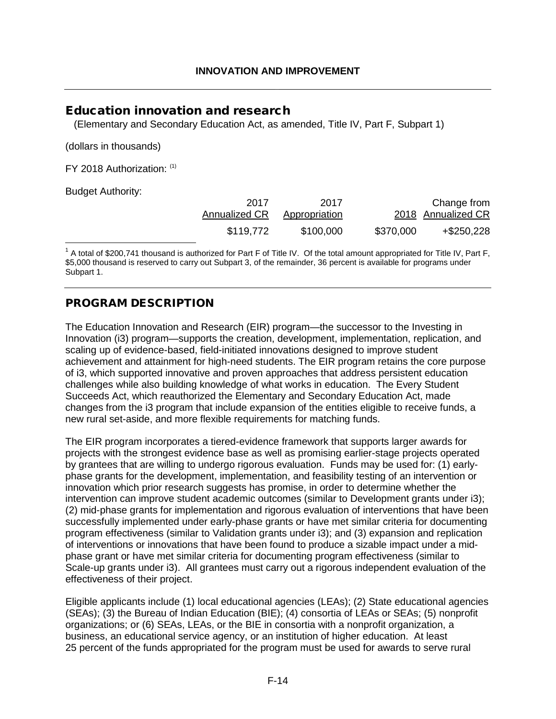# <span id="page-14-1"></span><span id="page-14-0"></span>Education innovation and research

(Elementary and Secondary Education Act, as amended, Title IV, Part F, Subpart 1)

(dollars in thousands)

FY 2018 Authorization: [\(1\)](#page-14-2)

Budget Authority:

<span id="page-14-3"></span>

| 2017          | 2017          |           | Change from        |
|---------------|---------------|-----------|--------------------|
| Annualized CR | Appropriation |           | 2018 Annualized CR |
| \$119,772     | \$100,000     | \$370,000 | +\$250,228         |

<span id="page-14-2"></span> $1$  A total of \$200,741 thousand is authorized for Part F of Title IV. Of the total amount appropriated for Title IV, Part F, \$5,000 thousand is reserved to carry out Subpart 3, of the remainder, 36 percent is available for programs under Subpart 1.

# PROGRAM DESCRIPTION

The Education Innovation and Research (EIR) program—the successor to the Investing in Innovation (i3) program—supports the creation, development, implementation, replication, and scaling up of evidence-based, field-initiated innovations designed to improve student achievement and attainment for high-need students. The EIR program retains the core purpose of i3, which supported innovative and proven approaches that address persistent education challenges while also building knowledge of what works in education. The Every Student Succeeds Act, which reauthorized the Elementary and Secondary Education Act, made changes from the i3 program that include expansion of the entities eligible to receive funds, a new rural set-aside, and more flexible requirements for matching funds.

The EIR program incorporates a tiered-evidence framework that supports larger awards for projects with the strongest evidence base as well as promising earlier-stage projects operated by grantees that are willing to undergo rigorous evaluation. Funds may be used for: (1) earlyphase grants for the development, implementation, and feasibility testing of an intervention or innovation which prior research suggests has promise, in order to determine whether the intervention can improve student academic outcomes (similar to Development grants under i3); (2) mid-phase grants for implementation and rigorous evaluation of interventions that have been successfully implemented under early-phase grants or have met similar criteria for documenting program effectiveness (similar to Validation grants under i3); and (3) expansion and replication of interventions or innovations that have been found to produce a sizable impact under a midphase grant or have met similar criteria for documenting program effectiveness (similar to Scale-up grants under i3). All grantees must carry out a rigorous independent evaluation of the effectiveness of their project.

Eligible applicants include (1) local educational agencies (LEAs); (2) State educational agencies (SEAs); (3) the Bureau of Indian Education (BIE); (4) consortia of LEAs or SEAs; (5) nonprofit organizations; or (6) SEAs, LEAs, or the BIE in consortia with a nonprofit organization, a business, an educational service agency, or an institution of higher education. At least 25 percent of the funds appropriated for the program must be used for awards to serve rural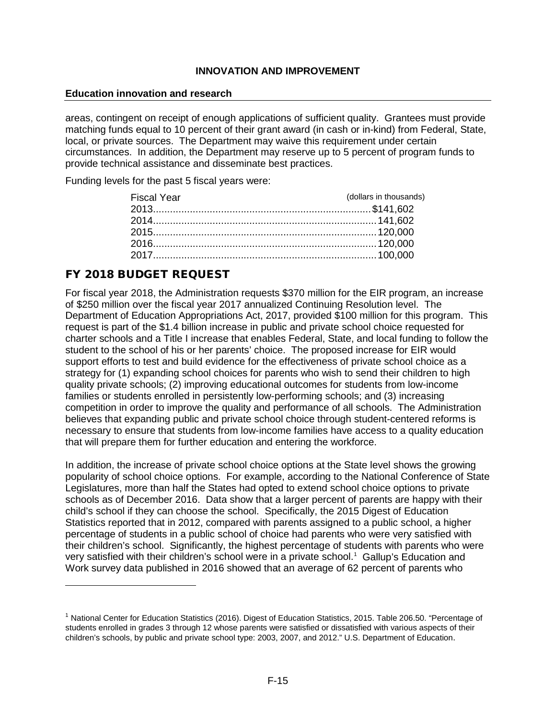#### **Education innovation and research**

areas, contingent on receipt of enough applications of sufficient quality. Grantees must provide matching funds equal to 10 percent of their grant award (in cash or in-kind) from Federal, State, local, or private sources. The Department may waive this requirement under certain circumstances. In addition, the Department may reserve up to 5 percent of program funds to provide technical assistance and disseminate best practices.

Funding levels for the past 5 fiscal years were:

| <b>Fiscal Year</b> | (dollars in thousands) |
|--------------------|------------------------|
|                    |                        |
|                    |                        |
|                    |                        |
|                    |                        |
|                    |                        |
|                    |                        |

# FY 2018 BUDGET REQUEST

For fiscal year 2018, the Administration requests \$370 million for the EIR program, an increase of \$250 million over the fiscal year 2017 annualized Continuing Resolution level. The Department of Education Appropriations Act, 2017, provided \$100 million for this program. This request is part of the \$1.4 billion increase in public and private school choice requested for charter schools and a Title I increase that enables Federal, State, and local funding to follow the student to the school of his or her parents' choice. The proposed increase for EIR would support efforts to test and build evidence for the effectiveness of private school choice as a strategy for (1) expanding school choices for parents who wish to send their children to high quality private schools; (2) improving educational outcomes for students from low-income families or students enrolled in persistently low-performing schools; and (3) increasing competition in order to improve the quality and performance of all schools. The Administration believes that expanding public and private school choice through student-centered reforms is necessary to ensure that students from low-income families have access to a quality education that will prepare them for further education and entering the workforce.

In addition, the increase of private school choice options at the State level shows the growing popularity of school choice options. For example, according to the National Conference of State Legislatures, more than half the States had opted to extend school choice options to private schools as of December 2016. Data show that a larger percent of parents are happy with their child's school if they can choose the school. Specifically, the 2015 Digest of Education Statistics reported that in 2012, compared with parents assigned to a public school, a higher percentage of students in a public school of choice had parents who were very satisfied with their children's school. Significantly, the highest percentage of students with parents who were very satisfied with their children's school were in a private school.<sup>[1](#page-15-0)</sup> Gallup's Education and Work survey data published in 2016 showed that an average of 62 percent of parents who

<span id="page-15-0"></span> $1$  National Center for Education Statistics (201[6\). Digest of Education Statistics, 2015.](https://nces.ed.gov/pubs2016/2016014.pdf) Table 206.50. "Percentage of students enrolled in grades 3 through 12 whose parents were satisfied or dissatisfied with various aspects of their children's schools, by public and private school type: 2003, 2007, and 2012." U.S. Department of Education.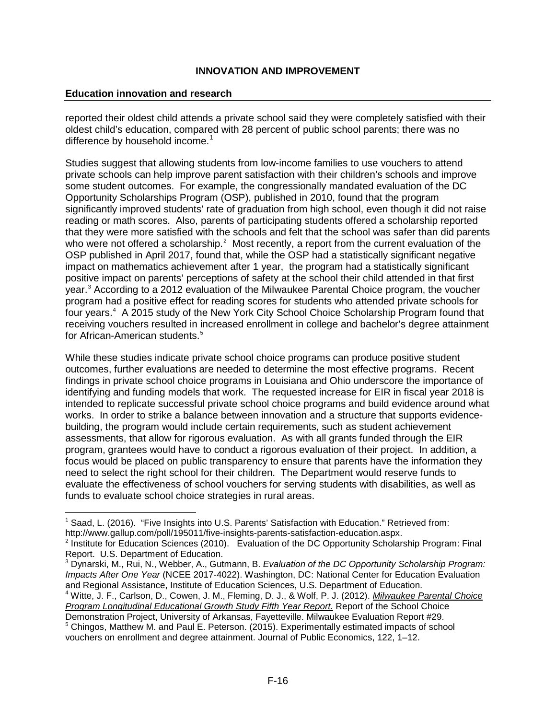#### **Education innovation and research**

reported their oldest child attends a private school said they were completely satisfied with their oldest child's education, compared with 28 percent of public school parents; there was no difference by household income.<sup>[1](#page-16-0)</sup>

Studies suggest that allowing students from low-income families to use vouchers to attend private schools can help improve parent satisfaction with their children's schools and improve some student outcomes. For example, the congressionally mandated evaluation of the DC Opportunity Scholarships Program (OSP), published in 2010, found that the program significantly improved students' rate of graduation from high school, even though it did not raise reading or math scores. Also, parents of participating students offered a scholarship reported that they were more satisfied with the schools and felt that the school was safer than did parents who were not offered a scholarship.<sup>[2](#page-16-1)</sup> Most recently, a report from the current evaluation of the OSP published in April 2017, found that, while the OSP had a statistically significant negative impact on mathematics achievement after 1 year, the program had a statistically significant positive impact on parents' perceptions of safety at the school their child attended in that first year.<sup>[3](#page-16-2)</sup> According to a 2012 evaluation of the Milwaukee Parental Choice program, the voucher program had a positive effect for reading scores for students who attended private schools for four years.<sup>4</sup> A 2015 study of the New York City School Choice Scholarship Program found that receiving vouchers resulted in increased enrollment in college and bachelor's degree attainment for African-American students.<sup>5</sup>

While these studies indicate private school choice programs can produce positive student outcomes, further evaluations are needed to determine the most effective programs. Recent findings in private school choice programs in Louisiana and Ohio underscore the importance of identifying and funding models that work. The requested increase for EIR in fiscal year 2018 is intended to replicate successful private school choice programs and build evidence around what works. In order to strike a balance between innovation and a structure that supports evidencebuilding, the program would include certain requirements, such as student achievement assessments, that allow for rigorous evaluation. As with all grants funded through the EIR program, grantees would have to conduct a rigorous evaluation of their project. In addition, a focus would be placed on public transparency to ensure that parents have the information they need to select the right school for their children. The Department would reserve funds to evaluate the effectiveness of school vouchers for serving students with disabilities, as well as funds to evaluate school choice strategies in rural areas.

<span id="page-16-0"></span> $1$  Saad, L. (2016). "Five Insights into U.S. Parents' Satisfaction with Education." Retrieved from:

[http://www.gallup.com/poll/195011/five-insights-parents-satisfaction-education.aspx.](http://www.gallup.com/poll/195011/five-insights-parents-satisfaction-education.aspx)<br><sup>2</sup> Institute for Education Sciences (2010). Evaluation of the DC Opportunity Scholarship Program: Final<br>Report. U.S. Department of Educa

<span id="page-16-2"></span><span id="page-16-1"></span><sup>&</sup>lt;sup>3</sup> Dynarski, M., Rui, N., Webber, A., Gutmann, B. *Evaluation of the DC Opportunity Scholarship Program: Impacts After One Year* (NCEE 2017-4022). Washington, DC: National Center for Education Evaluation and Regional Assistance, Institute of Education Sciences, U.S. Department of Education.

<sup>4</sup> Witte, J. F., Carlson, D., Cowen, J. M., Fleming, D. J., & Wolf, P. J. (2012). *[Milwaukee Parental Choice](http://files.eric.ed.gov/fulltext/ED530071.pdf)  [Program Longitudinal Educational Growth Study Fifth Year Report.](http://files.eric.ed.gov/fulltext/ED530071.pdf)* Report of the School Choice<br>Demonstration Project, University of Arkansas, Fayetteville. Milwaukee Evaluation Report #29.

<span id="page-16-4"></span><span id="page-16-3"></span> $<sup>5</sup>$  Chingos, Matthew M. and Paul E. Peterson. (2015). Experimentally estimated impacts of school</sup> [vouchers on enrollment and degree attainment.](http://www.sciencedirect.com/science/article/pii/S0047272714002461/pdfft?md5=1dfc16c27452c08484fcb6f40369afc7&pid=1-s2.0-S0047272714002461-main.pdf) Journal of Public Economics, 122, 1–12.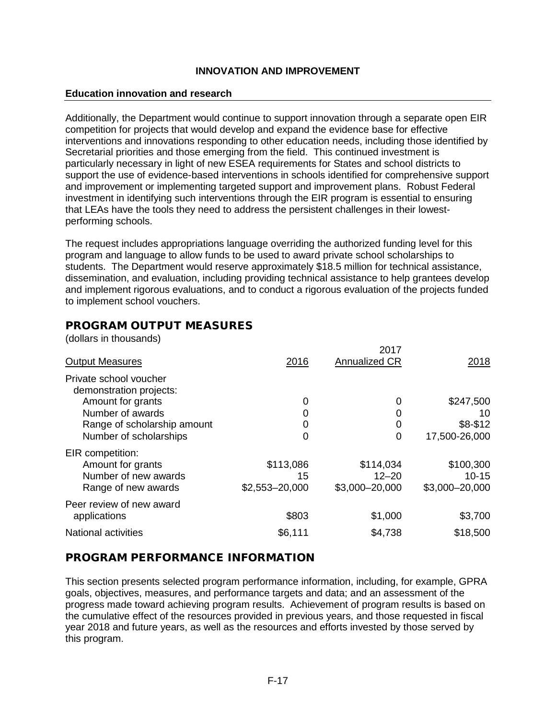#### **Education innovation and research**

Additionally, the Department would continue to support innovation through a separate open EIR competition for projects that would develop and expand the evidence base for effective interventions and innovations responding to other education needs, including those identified by Secretarial priorities and those emerging from the field. This continued investment is particularly necessary in light of new ESEA requirements for States and school districts to support the use of evidence-based interventions in schools identified for comprehensive support and improvement or implementing targeted support and improvement plans. Robust Federal investment in identifying such interventions through the EIR program is essential to ensuring that LEAs have the tools they need to address the persistent challenges in their lowestperforming schools.

The request includes appropriations language overriding the authorized funding level for this program and language to allow funds to be used to award private school scholarships to students. The Department would reserve approximately \$18.5 million for technical assistance, dissemination, and evaluation, including providing technical assistance to help grantees develop and implement rigorous evaluations, and to conduct a rigorous evaluation of the projects funded to implement school vouchers.

# PROGRAM OUTPUT MEASURES

(dollars in thousands)

| <b>Output Measures</b>                                        | 2016            | 2017<br>Annualized CR  | 2018                   |
|---------------------------------------------------------------|-----------------|------------------------|------------------------|
| Private school voucher<br>demonstration projects:             |                 |                        |                        |
| Amount for grants                                             | 0               | 0                      | \$247,500              |
| Number of awards                                              |                 | 0                      | 10                     |
| Range of scholarship amount                                   | 0               | 0                      | $$8-$12$               |
| Number of scholarships                                        | 0               | 0                      | 17,500-26,000          |
| EIR competition:<br>Amount for grants<br>Number of new awards | \$113,086<br>15 | \$114,034<br>$12 - 20$ | \$100,300<br>$10 - 15$ |
| Range of new awards                                           | \$2,553-20,000  | \$3,000-20,000         | \$3,000-20,000         |
| Peer review of new award<br>applications                      | \$803           | \$1,000                | \$3,700                |
| <b>National activities</b>                                    | \$6,111         | \$4,738                | \$18,500               |

# PROGRAM PERFORMANCE INFORMATION

This section presents selected program performance information, including, for example, GPRA goals, objectives, measures, and performance targets and data; and an assessment of the progress made toward achieving program results. Achievement of program results is based on the cumulative effect of the resources provided in previous years, and those requested in fiscal year 2018 and future years, as well as the resources and efforts invested by those served by this program.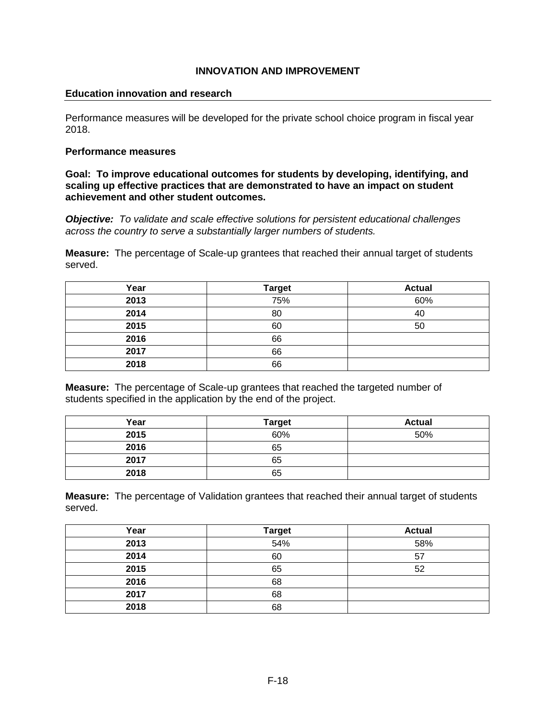#### **Education innovation and research**

Performance measures will be developed for the private school choice program in fiscal year 2018.

#### **Performance measures**

**Goal: To improve educational outcomes for students by developing, identifying, and scaling up effective practices that are demonstrated to have an impact on student achievement and other student outcomes.**

*Objective: To validate and scale effective solutions for persistent educational challenges across the country to serve a substantially larger numbers of students.*

**Measure:** The percentage of Scale-up grantees that reached their annual target of students served.

| Year | <b>Target</b> | <b>Actual</b> |
|------|---------------|---------------|
| 2013 | 75%           | 60%           |
| 2014 | 80            | 40            |
| 2015 | 60            | 50            |
| 2016 | 66            |               |
| 2017 | 66            |               |
| 2018 | 66            |               |

**Measure:** The percentage of Scale-up grantees that reached the targeted number of students specified in the application by the end of the project.

| Year | <b>Target</b> | <b>Actual</b> |
|------|---------------|---------------|
| 2015 | 60%           | 50%           |
| 2016 | 65            |               |
| 2017 | 65            |               |
| 2018 | 65            |               |

**Measure:** The percentage of Validation grantees that reached their annual target of students served.

| Year | <b>Target</b> | <b>Actual</b> |
|------|---------------|---------------|
| 2013 | 54%           | 58%           |
| 2014 | 60            | 57            |
| 2015 | 65            | 52            |
| 2016 | 68            |               |
| 2017 | 68            |               |
| 2018 | 68            |               |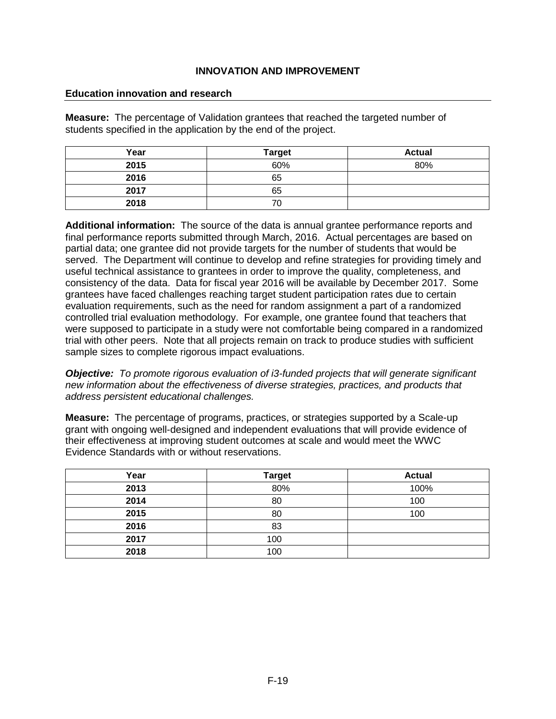#### **Education innovation and research**

**Measure:** The percentage of Validation grantees that reached the targeted number of students specified in the application by the end of the project.

| Year | <b>Target</b> | <b>Actual</b> |
|------|---------------|---------------|
| 2015 | 60%           | 80%           |
| 2016 | 65            |               |
| 2017 | 65            |               |
| 2018 | 70            |               |

**Additional information:** The source of the data is annual grantee performance reports and final performance reports submitted through March, 2016. Actual percentages are based on partial data; one grantee did not provide targets for the number of students that would be served. The Department will continue to develop and refine strategies for providing timely and useful technical assistance to grantees in order to improve the quality, completeness, and consistency of the data. Data for fiscal year 2016 will be available by December 2017. Some grantees have faced challenges reaching target student participation rates due to certain evaluation requirements, such as the need for random assignment a part of a randomized controlled trial evaluation methodology. For example, one grantee found that teachers that were supposed to participate in a study were not comfortable being compared in a randomized trial with other peers. Note that all projects remain on track to produce studies with sufficient sample sizes to complete rigorous impact evaluations.

*Objective:**To promote rigorous evaluation of i3-funded projects that will generate significant new information about the effectiveness of diverse strategies, practices, and products that address persistent educational challenges.*

**Measure:** The percentage of programs, practices, or strategies supported by a Scale-up grant with ongoing well-designed and independent evaluations that will provide evidence of their effectiveness at improving student outcomes at scale and would meet the WWC Evidence Standards with or without reservations.

| Year | <b>Target</b> | <b>Actual</b> |
|------|---------------|---------------|
| 2013 | 80%           | 100%          |
| 2014 | 80            | 100           |
| 2015 | 80            | 100           |
| 2016 | 83            |               |
| 2017 | 100           |               |
| 2018 | 100           |               |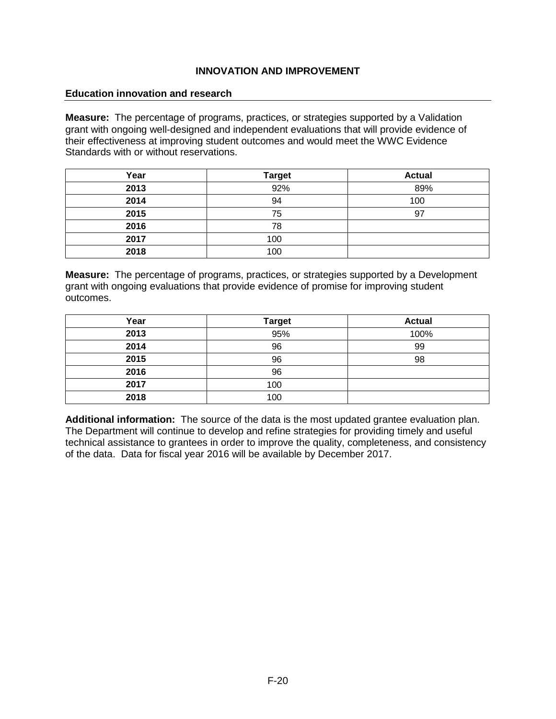#### **Education innovation and research**

**Measure:** The percentage of programs, practices, or strategies supported by a Validation grant with ongoing well-designed and independent evaluations that will provide evidence of their effectiveness at improving student outcomes and would meet the WWC Evidence Standards with or without reservations.

| Year | <b>Target</b> | <b>Actual</b> |
|------|---------------|---------------|
| 2013 | 92%           | 89%           |
| 2014 | 94            | 100           |
| 2015 | 75            | 97            |
| 2016 | 78            |               |
| 2017 | 100           |               |
| 2018 | 100           |               |

**Measure:** The percentage of programs, practices, or strategies supported by a Development grant with ongoing evaluations that provide evidence of promise for improving student outcomes.

| Year | <b>Target</b> | <b>Actual</b> |
|------|---------------|---------------|
| 2013 | 95%           | 100%          |
| 2014 | 96            | 99            |
| 2015 | 96            | 98            |
| 2016 | 96            |               |
| 2017 | 100           |               |
| 2018 | 100           |               |

**Additional information:** The source of the data is the most updated grantee evaluation plan. The Department will continue to develop and refine strategies for providing timely and useful technical assistance to grantees in order to improve the quality, completeness, and consistency of the data. Data for fiscal year 2016 will be available by December 2017.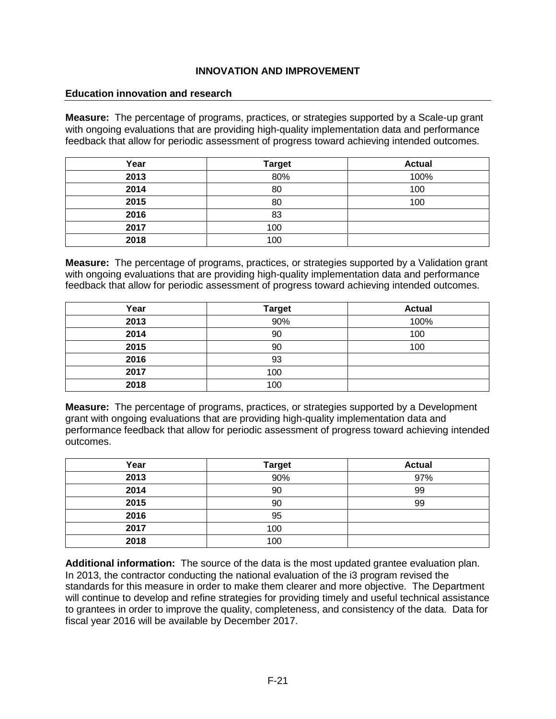#### **Education innovation and research**

**Measure:** The percentage of programs, practices, or strategies supported by a Scale-up grant with ongoing evaluations that are providing high-quality implementation data and performance feedback that allow for periodic assessment of progress toward achieving intended outcomes.

| Year | <b>Target</b> | <b>Actual</b> |
|------|---------------|---------------|
| 2013 | 80%           | 100%          |
| 2014 | 80            | 100           |
| 2015 | 80            | 100           |
| 2016 | 83            |               |
| 2017 | 100           |               |
| 2018 | 100           |               |

**Measure:** The percentage of programs, practices, or strategies supported by a Validation grant with ongoing evaluations that are providing high-quality implementation data and performance feedback that allow for periodic assessment of progress toward achieving intended outcomes.

| Year | <b>Target</b> | <b>Actual</b> |
|------|---------------|---------------|
| 2013 | 90%           | 100%          |
| 2014 | 90            | 100           |
| 2015 | 90            | 100           |
| 2016 | 93            |               |
| 2017 | 100           |               |
| 2018 | 100           |               |

**Measure:** The percentage of programs, practices, or strategies supported by a Development grant with ongoing evaluations that are providing high-quality implementation data and performance feedback that allow for periodic assessment of progress toward achieving intended outcomes.

| Year | <b>Target</b> | <b>Actual</b> |
|------|---------------|---------------|
| 2013 | 90%           | 97%           |
| 2014 | 90            | 99            |
| 2015 | 90            | 99            |
| 2016 | 95            |               |
| 2017 | 100           |               |
| 2018 | 100           |               |

**Additional information:** The source of the data is the most updated grantee evaluation plan. In 2013, the contractor conducting the national evaluation of the i3 program revised the standards for this measure in order to make them clearer and more objective. The Department will continue to develop and refine strategies for providing timely and useful technical assistance to grantees in order to improve the quality, completeness, and consistency of the data. Data for fiscal year 2016 will be available by December 2017.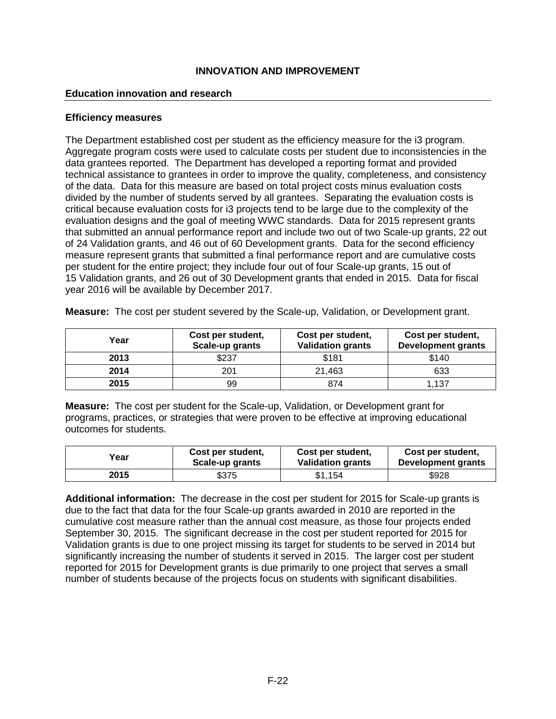#### **Education innovation and research**

#### **Efficiency measures**

The Department established cost per student as the efficiency measure for the i3 program. Aggregate program costs were used to calculate costs per student due to inconsistencies in the data grantees reported. The Department has developed a reporting format and provided technical assistance to grantees in order to improve the quality, completeness, and consistency of the data. Data for this measure are based on total project costs minus evaluation costs divided by the number of students served by all grantees. Separating the evaluation costs is critical because evaluation costs for i3 projects tend to be large due to the complexity of the evaluation designs and the goal of meeting WWC standards. Data for 2015 represent grants that submitted an annual performance report and include two out of two Scale-up grants, 22 out of 24 Validation grants, and 46 out of 60 Development grants. Data for the second efficiency measure represent grants that submitted a final performance report and are cumulative costs per student for the entire project; they include four out of four Scale-up grants, 15 out of 15 Validation grants, and 26 out of 30 Development grants that ended in 2015. Data for fiscal year 2016 will be available by December 2017.

| Year | Cost per student,<br>Scale-up grants | Cost per student,<br><b>Validation grants</b> | Cost per student,<br><b>Development grants</b> |
|------|--------------------------------------|-----------------------------------------------|------------------------------------------------|
| 2013 | \$237                                | \$181                                         | \$140                                          |
| 2014 | 201                                  | 21,463                                        | 633                                            |
| 2015 | 99                                   | 874                                           | 1.137                                          |

**Measure:** The cost per student severed by the Scale-up, Validation, or Development grant.

**Measure:** The cost per student for the Scale-up, Validation, or Development grant for programs, practices, or strategies that were proven to be effective at improving educational outcomes for students.

| Year | Cost per student. | Cost per student,        | Cost per student,  |
|------|-------------------|--------------------------|--------------------|
|      | Scale-up grants   | <b>Validation grants</b> | Development grants |
| 2015 | \$375             | \$1.154                  | \$928              |

**Additional information:** The decrease in the cost per student for 2015 for Scale-up grants is due to the fact that data for the four Scale-up grants awarded in 2010 are reported in the cumulative cost measure rather than the annual cost measure, as those four projects ended September 30, 2015. The significant decrease in the cost per student reported for 2015 for Validation grants is due to one project missing its target for students to be served in 2014 but significantly increasing the number of students it served in 2015. The larger cost per student reported for 2015 for Development grants is due primarily to one project that serves a small number of students because of the projects focus on students with significant disabilities.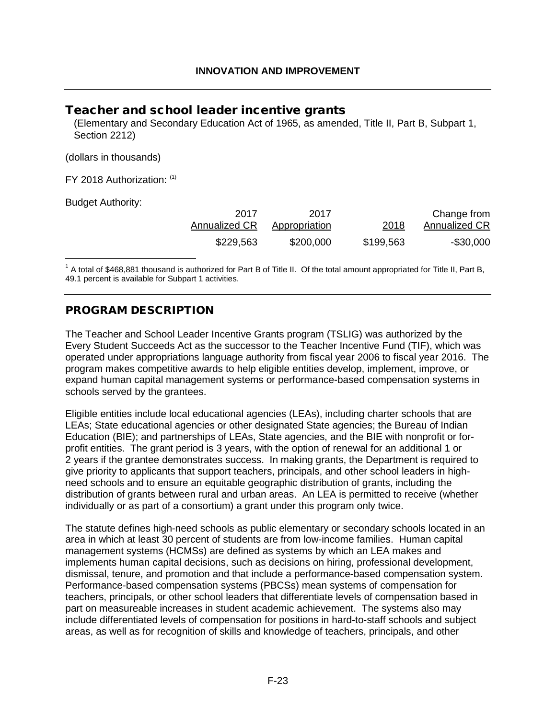# <span id="page-23-0"></span>Teacher and school leader incentive grants

(Elementary and Secondary Education Act of 1965, as amended, Title II, Part B, Subpart 1, Section 2212)

(dollars in thousands)

FY 2018 Authorization: [\(1\)](#page-23-1)

Budget Authority:

<span id="page-23-2"></span>

| Change from   | 2018      | 2017          | 2017          |
|---------------|-----------|---------------|---------------|
| Annualized CR |           | Appropriation | Annualized CR |
| $-$ \$30,000  | \$199,563 | \$200,000     | \$229,563     |

<span id="page-23-1"></span> $1$  A total of \$468,881 thousand is authorized for Part B of Title II. Of the total amount appropriated for Title II, Part B, 49.1 percent is available for Subpart 1 activities.

# PROGRAM DESCRIPTION

The Teacher and School Leader Incentive Grants program (TSLIG) was authorized by the Every Student Succeeds Act as the successor to the Teacher Incentive Fund (TIF), which was operated under appropriations language authority from fiscal year 2006 to fiscal year 2016. The program makes competitive awards to help eligible entities develop, implement, improve, or expand human capital management systems or performance-based compensation systems in schools served by the grantees.

Eligible entities include local educational agencies (LEAs), including charter schools that are LEAs; State educational agencies or other designated State agencies; the Bureau of Indian Education (BIE); and partnerships of LEAs, State agencies, and the BIE with nonprofit or forprofit entities. The grant period is 3 years, with the option of renewal for an additional 1 or 2 years if the grantee demonstrates success. In making grants, the Department is required to give priority to applicants that support teachers, principals, and other school leaders in highneed schools and to ensure an equitable geographic distribution of grants, including the distribution of grants between rural and urban areas. An LEA is permitted to receive (whether individually or as part of a consortium) a grant under this program only twice.

The statute defines high-need schools as public elementary or secondary schools located in an area in which at least 30 percent of students are from low-income families. Human capital management systems (HCMSs) are defined as systems by which an LEA makes and implements human capital decisions, such as decisions on hiring, professional development, dismissal, tenure, and promotion and that include a performance-based compensation system. Performance-based compensation systems (PBCSs) mean systems of compensation for teachers, principals, or other school leaders that differentiate levels of compensation based in part on measureable increases in student academic achievement. The systems also may include differentiated levels of compensation for positions in hard-to-staff schools and subject areas, as well as for recognition of skills and knowledge of teachers, principals, and other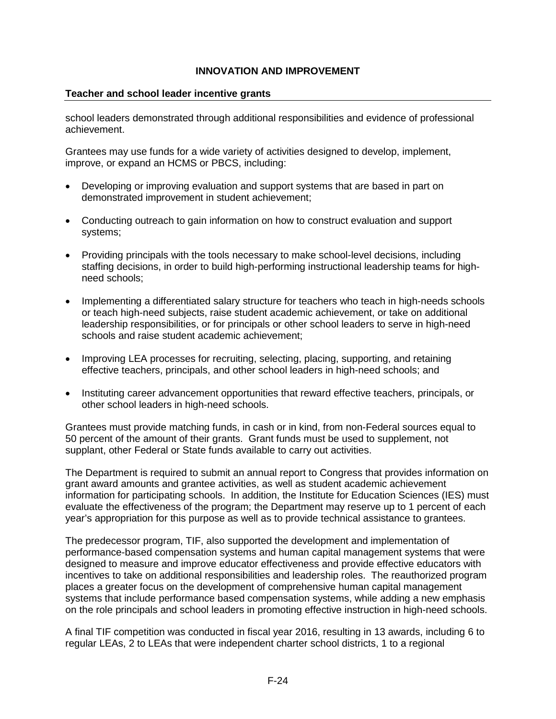## **Teacher and school leader incentive grants**

school leaders demonstrated through additional responsibilities and evidence of professional achievement.

Grantees may use funds for a wide variety of activities designed to develop, implement, improve, or expand an HCMS or PBCS, including:

- Developing or improving evaluation and support systems that are based in part on demonstrated improvement in student achievement;
- Conducting outreach to gain information on how to construct evaluation and support systems;
- Providing principals with the tools necessary to make school-level decisions, including staffing decisions, in order to build high-performing instructional leadership teams for highneed schools;
- Implementing a differentiated salary structure for teachers who teach in high-needs schools or teach high-need subjects, raise student academic achievement, or take on additional leadership responsibilities, or for principals or other school leaders to serve in high-need schools and raise student academic achievement;
- Improving LEA processes for recruiting, selecting, placing, supporting, and retaining effective teachers, principals, and other school leaders in high-need schools; and
- Instituting career advancement opportunities that reward effective teachers, principals, or other school leaders in high-need schools.

Grantees must provide matching funds, in cash or in kind, from non-Federal sources equal to 50 percent of the amount of their grants. Grant funds must be used to supplement, not supplant, other Federal or State funds available to carry out activities.

The Department is required to submit an annual report to Congress that provides information on grant award amounts and grantee activities, as well as student academic achievement information for participating schools. In addition, the Institute for Education Sciences (IES) must evaluate the effectiveness of the program; the Department may reserve up to 1 percent of each year's appropriation for this purpose as well as to provide technical assistance to grantees.

The predecessor program, TIF, also supported the development and implementation of performance-based compensation systems and human capital management systems that were designed to measure and improve educator effectiveness and provide effective educators with incentives to take on additional responsibilities and leadership roles. The reauthorized program places a greater focus on the development of comprehensive human capital management systems that include performance based compensation systems, while adding a new emphasis on the role principals and school leaders in promoting effective instruction in high-need schools.

A final TIF competition was conducted in fiscal year 2016, resulting in 13 awards, including 6 to regular LEAs, 2 to LEAs that were independent charter school districts, 1 to a regional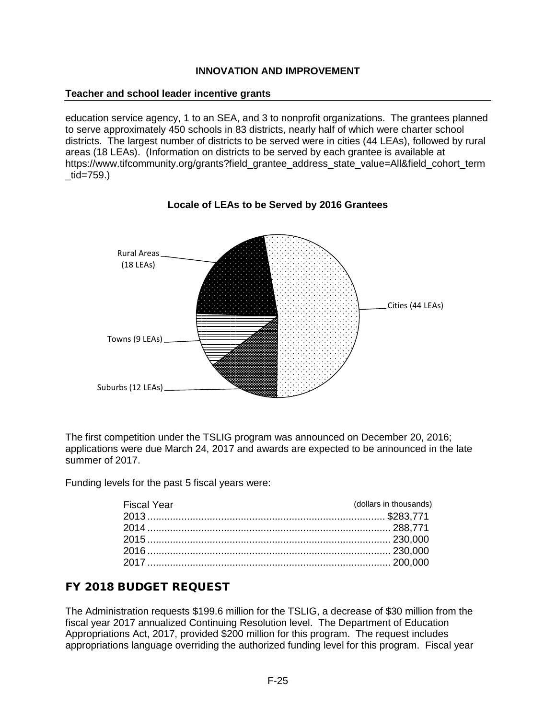#### **Teacher and school leader incentive grants**

education service agency, 1 to an SEA, and 3 to nonprofit organizations. The grantees planned to serve approximately 450 schools in 83 districts, nearly half of which were charter school districts. The largest number of districts to be served were in cities (44 LEAs), followed by rural areas (18 LEAs). (Information on districts to be served by each grantee is available at [https://www.tifcommunity.org/grants?field\\_grantee\\_address\\_state\\_value=All&field\\_cohort\\_term](https://www.tifcommunity.org/grants?field_grantee_address_state_value=All&field_cohort_term_tid=759)  $\_tid = 759.$ 



**Locale of LEAs to be Served by 2016 Grantees**

The first competition under the TSLIG program was announced on December 20, 2016; applications were due March 24, 2017 and awards are expected to be announced in the late summer of 2017.

Funding levels for the past 5 fiscal years were:

| <b>Fiscal Year</b> | (dollars in thousands) |
|--------------------|------------------------|
|                    |                        |
|                    |                        |
|                    |                        |
|                    |                        |
|                    |                        |

# FY 2018 BUDGET REQUEST

The Administration requests \$199.6 million for the TSLIG, a decrease of \$30 million from the fiscal year 2017 annualized Continuing Resolution level. The Department of Education Appropriations Act, 2017, provided \$200 million for this program. The request includes appropriations language overriding the authorized funding level for this program. Fiscal year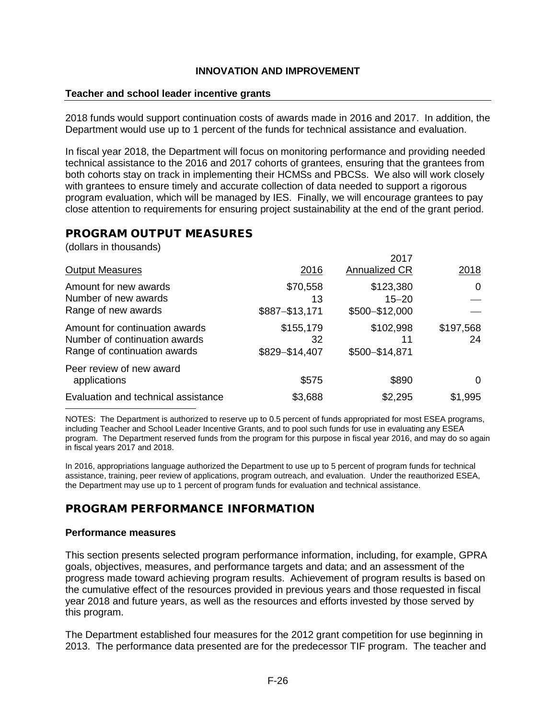#### **Teacher and school leader incentive grants**

2018 funds would support continuation costs of awards made in 2016 and 2017. In addition, the Department would use up to 1 percent of the funds for technical assistance and evaluation.

In fiscal year 2018, the Department will focus on monitoring performance and providing needed technical assistance to the 2016 and 2017 cohorts of grantees, ensuring that the grantees from both cohorts stay on track in implementing their HCMSs and PBCSs. We also will work closely with grantees to ensure timely and accurate collection of data needed to support a rigorous program evaluation, which will be managed by IES. Finally, we will encourage grantees to pay close attention to requirements for ensuring project sustainability at the end of the grant period.

# PROGRAM OUTPUT MEASURES

(dollars in thousands)

|                                                                                                 |                                   | 2017                                     |                 |
|-------------------------------------------------------------------------------------------------|-----------------------------------|------------------------------------------|-----------------|
| <b>Output Measures</b>                                                                          | 2016                              | Annualized CR                            | 2018            |
| Amount for new awards<br>Number of new awards<br>Range of new awards                            | \$70,558<br>13<br>\$887-\$13,171  | \$123,380<br>$15 - 20$<br>\$500-\$12,000 | 0               |
| Amount for continuation awards<br>Number of continuation awards<br>Range of continuation awards | \$155,179<br>32<br>\$829-\$14,407 | \$102,998<br>11<br>\$500-\$14,871        | \$197,568<br>24 |
| Peer review of new award<br>applications                                                        | \$575                             | \$890                                    | O               |
| Evaluation and technical assistance                                                             | \$3,688                           | \$2,295                                  | \$1,995         |

NOTES: The Department is authorized to reserve up to 0.5 percent of funds appropriated for most ESEA programs, including Teacher and School Leader Incentive Grants, and to pool such funds for use in evaluating any ESEA program. The Department reserved funds from the program for this purpose in fiscal year 2016, and may do so again in fiscal years 2017 and 2018.

In 2016, appropriations language authorized the Department to use up to 5 percent of program funds for technical assistance, training, peer review of applications, program outreach, and evaluation. Under the reauthorized ESEA, the Department may use up to 1 percent of program funds for evaluation and technical assistance.

# PROGRAM PERFORMANCE INFORMATION

#### **Performance measures**

This section presents selected program performance information, including, for example, GPRA goals, objectives, measures, and performance targets and data; and an assessment of the progress made toward achieving program results. Achievement of program results is based on the cumulative effect of the resources provided in previous years and those requested in fiscal year 2018 and future years, as well as the resources and efforts invested by those served by this program.

The Department established four measures for the 2012 grant competition for use beginning in 2013. The performance data presented are for the predecessor TIF program. The teacher and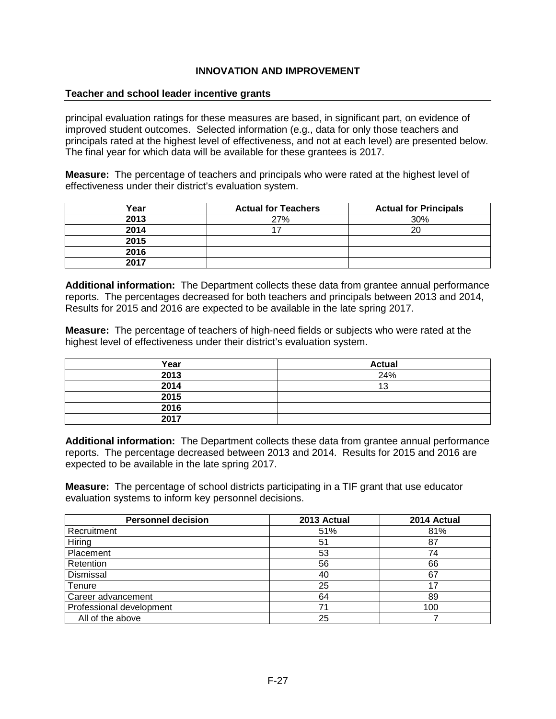#### **Teacher and school leader incentive grants**

principal evaluation ratings for these measures are based, in significant part, on evidence of improved student outcomes. Selected information (e.g., data for only those teachers and principals rated at the highest level of effectiveness, and not at each level) are presented below. The final year for which data will be available for these grantees is 2017.

**Measure:** The percentage of teachers and principals who were rated at the highest level of effectiveness under their district's evaluation system.

| Year | <b>Actual for Teachers</b> | <b>Actual for Principals</b> |
|------|----------------------------|------------------------------|
| 2013 | 27%                        | 30%                          |
| 2014 |                            | 20                           |
| 2015 |                            |                              |
| 2016 |                            |                              |
| 2017 |                            |                              |

**Additional information:** The Department collects these data from grantee annual performance reports. The percentages decreased for both teachers and principals between 2013 and 2014, Results for 2015 and 2016 are expected to be available in the late spring 2017.

**Measure:** The percentage of teachers of high-need fields or subjects who were rated at the highest level of effectiveness under their district's evaluation system.

| Year | <b>Actual</b> |
|------|---------------|
| 2013 | 24%           |
| 2014 | 13            |
| 2015 |               |
| 2016 |               |
| 2017 |               |

**Additional information:** The Department collects these data from grantee annual performance reports. The percentage decreased between 2013 and 2014. Results for 2015 and 2016 are expected to be available in the late spring 2017.

**Measure:** The percentage of school districts participating in a TIF grant that use educator evaluation systems to inform key personnel decisions.

| <b>Personnel decision</b> | 2013 Actual | 2014 Actual |
|---------------------------|-------------|-------------|
| Recruitment               | 51%         | 81%         |
| Hiring                    | 51          | 87          |
| Placement                 | 53          | 74          |
| Retention                 | 56          | 66          |
| Dismissal                 | 40          | 67          |
| Tenure                    | 25          | 17          |
| Career advancement        | 64          | 89          |
| Professional development  | 71          | 100         |
| All of the above          | 25          |             |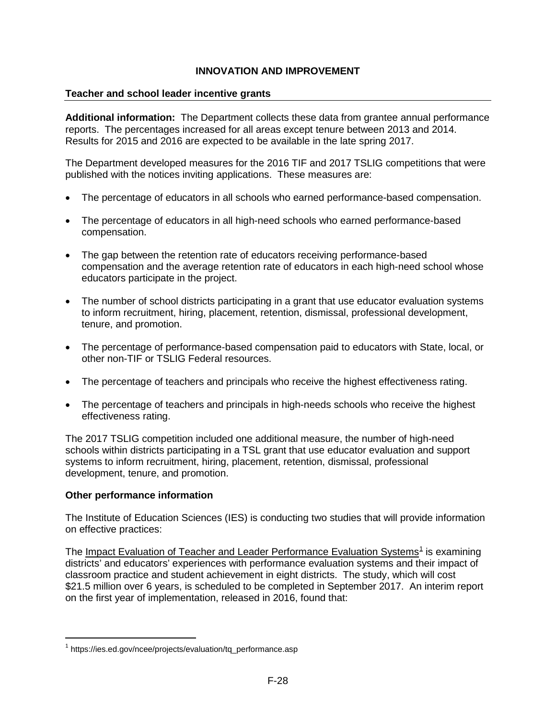## **Teacher and school leader incentive grants**

**Additional information:** The Department collects these data from grantee annual performance reports. The percentages increased for all areas except tenure between 2013 and 2014. Results for 2015 and 2016 are expected to be available in the late spring 2017.

The Department developed measures for the 2016 TIF and 2017 TSLIG competitions that were published with the notices inviting applications. These measures are:

- The percentage of educators in all schools who earned performance-based compensation.
- The percentage of educators in all high-need schools who earned performance-based compensation.
- The gap between the retention rate of educators receiving performance-based compensation and the average retention rate of educators in each high-need school whose educators participate in the project.
- The number of school districts participating in a grant that use educator evaluation systems to inform recruitment, hiring, placement, retention, dismissal, professional development, tenure, and promotion.
- The percentage of performance-based compensation paid to educators with State, local, or other non-TIF or TSLIG Federal resources.
- The percentage of teachers and principals who receive the highest effectiveness rating.
- The percentage of teachers and principals in high-needs schools who receive the highest effectiveness rating.

The 2017 TSLIG competition included one additional measure, the number of high-need schools within districts participating in a TSL grant that use educator evaluation and support systems to inform recruitment, hiring, placement, retention, dismissal, professional development, tenure, and promotion.

## **Other performance information**

The Institute of Education Sciences (IES) is conducting two studies that will provide information on effective practices:

The Impact Evaluation of Teacher and Leader Performance Evaluation Systems<sup>[1](#page-28-0)</sup> is examining districts' and educators' experiences with performance evaluation systems and their impact of classroom practice and student achievement in eight districts. The study, which will cost \$21.5 million over 6 years, is scheduled to be completed in September 2017. An interim report on the first year of implementation, released in 2016, found that:

<span id="page-28-0"></span> $1$  [https://ies.ed.gov/ncee/projects/evaluation/tq\\_performance.asp](https://ies.ed.gov/ncee/projects/evaluation/tq_performance.asp)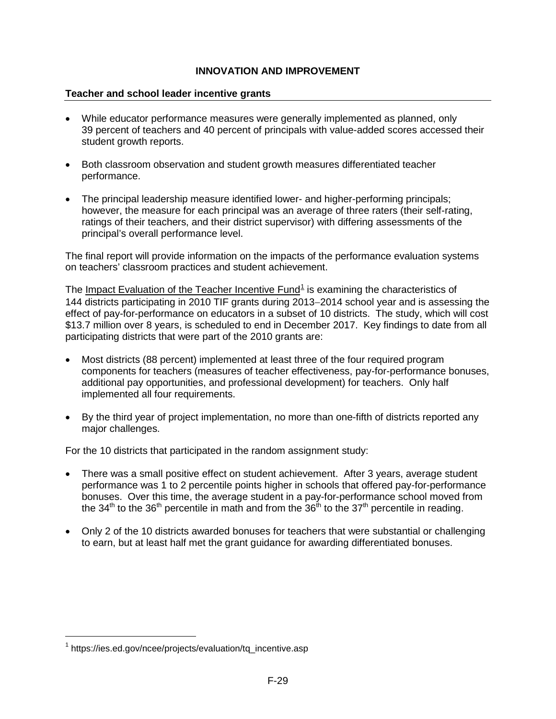## **Teacher and school leader incentive grants**

- While educator performance measures were generally implemented as planned, only 39 percent of teachers and 40 percent of principals with value-added scores accessed their student growth reports.
- Both classroom observation and student growth measures differentiated teacher performance.
- The principal leadership measure identified lower- and higher-performing principals; however, the measure for each principal was an average of three raters (their self-rating, ratings of their teachers, and their district supervisor) with differing assessments of the principal's overall performance level.

The final report will provide information on the impacts of the performance evaluation systems on teachers' classroom practices and student achievement.

The Impact Evaluation of the Teacher Incentive Fund<sup>[1](#page-29-0)</sup> is examining the characteristics of 144 districts participating in 2010 TIF grants during 2013−2014 school year and is assessing the effect of pay-for-performance on educators in a subset of 10 districts. The study, which will cost \$13.7 million over 8 years, is scheduled to end in December 2017. Key findings to date from all participating districts that were part of the 2010 grants are:

- Most districts (88 percent) implemented at least three of the four required program components for teachers (measures of teacher effectiveness, pay-for-performance bonuses, additional pay opportunities, and professional development) for teachers. Only half implemented all four requirements.
- By the third year of project implementation, no more than one-fifth of districts reported any major challenges.

For the 10 districts that participated in the random assignment study:

- There was a small positive effect on student achievement. After 3 years, average student performance was 1 to 2 percentile points higher in schools that offered pay-for-performance bonuses. Over this time, the average student in a pay-for-performance school moved from the 34<sup>th</sup> to the 36<sup>th</sup> percentile in math and from the  $36<sup>th</sup>$  to the 37<sup>th</sup> percentile in reading.
- Only 2 of the 10 districts awarded bonuses for teachers that were substantial or challenging to earn, but at least half met the grant guidance for awarding differentiated bonuses.

<span id="page-29-0"></span><sup>&</sup>lt;sup>1</sup> [https://ies.ed.gov/ncee/projects/evaluation/tq\\_incentive.asp](https://ies.ed.gov/ncee/projects/evaluation/tq_incentive.asp)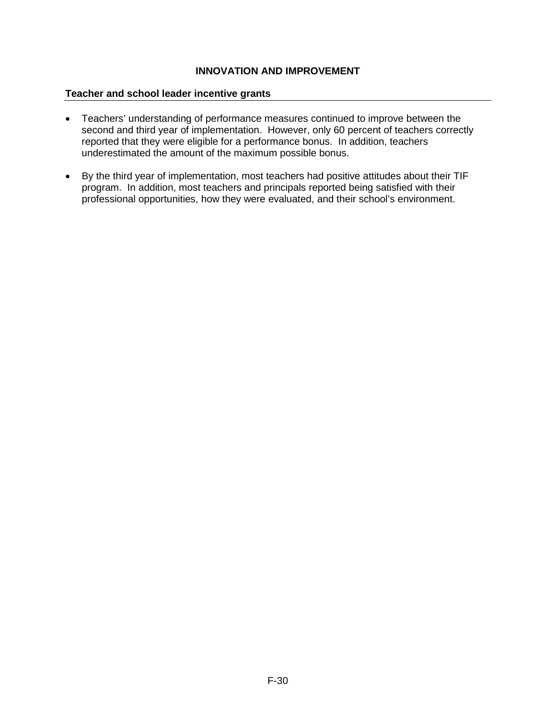#### **Teacher and school leader incentive grants**

- Teachers' understanding of performance measures continued to improve between the second and third year of implementation. However, only 60 percent of teachers correctly reported that they were eligible for a performance bonus. In addition, teachers underestimated the amount of the maximum possible bonus.
- By the third year of implementation, most teachers had positive attitudes about their TIF program. In addition, most teachers and principals reported being satisfied with their professional opportunities, how they were evaluated, and their school's environment.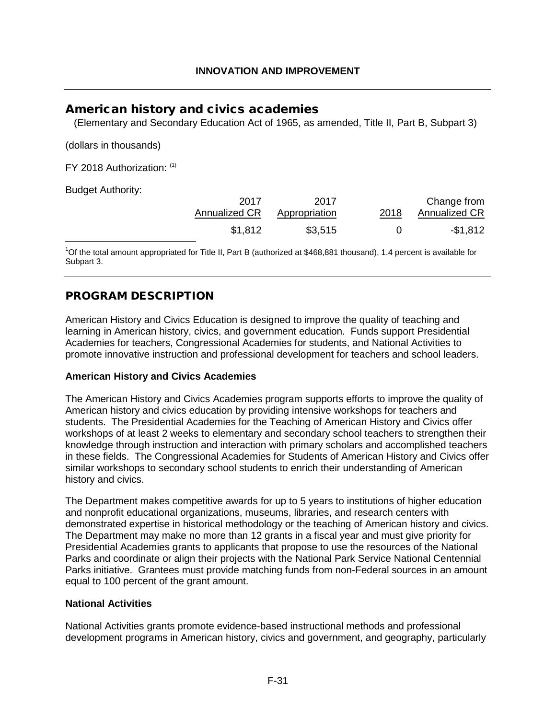# <span id="page-31-0"></span>American history and civics academies

(Elementary and Secondary Education Act of 1965, as amended, Title II, Part B, Subpart 3)

(dollars in thousands)

FY 2018 Authorization: [\(1\)](#page-31-1)

Budget Authority:

<span id="page-31-2"></span>

| 2017<br>Annualized CR | 2017<br>Appropriation | 2018 | Change from<br>Annualized CR |
|-----------------------|-----------------------|------|------------------------------|
| \$1,812               | \$3,515               |      | $-$ \$1,812                  |

<span id="page-31-1"></span><sup>1</sup>[O](#page-31-2)f the total amount appropriated for Title II, Part B (authorized at \$468,881 thousand), 1.4 percent is available for Subpart 3.

# PROGRAM DESCRIPTION

American History and Civics Education is designed to improve the quality of teaching and learning in American history, civics, and government education. Funds support Presidential Academies for teachers, Congressional Academies for students, and National Activities to promote innovative instruction and professional development for teachers and school leaders.

## **American History and Civics Academies**

The American History and Civics Academies program supports efforts to improve the quality of American history and civics education by providing intensive workshops for teachers and students. The Presidential Academies for the Teaching of American History and Civics offer workshops of at least 2 weeks to elementary and secondary school teachers to strengthen their knowledge through instruction and interaction with primary scholars and accomplished teachers in these fields. The Congressional Academies for Students of American History and Civics offer similar workshops to secondary school students to enrich their understanding of American history and civics.

The Department makes competitive awards for up to 5 years to institutions of higher education and nonprofit educational organizations, museums, libraries, and research centers with demonstrated expertise in historical methodology or the teaching of American history and civics. The Department may make no more than 12 grants in a fiscal year and must give priority for Presidential Academies grants to applicants that propose to use the resources of the National Parks and coordinate or align their projects with the National Park Service National Centennial Parks initiative. Grantees must provide matching funds from non-Federal sources in an amount equal to 100 percent of the grant amount.

## **National Activities**

National Activities grants promote evidence-based instructional methods and professional development programs in American history, civics and government, and geography, particularly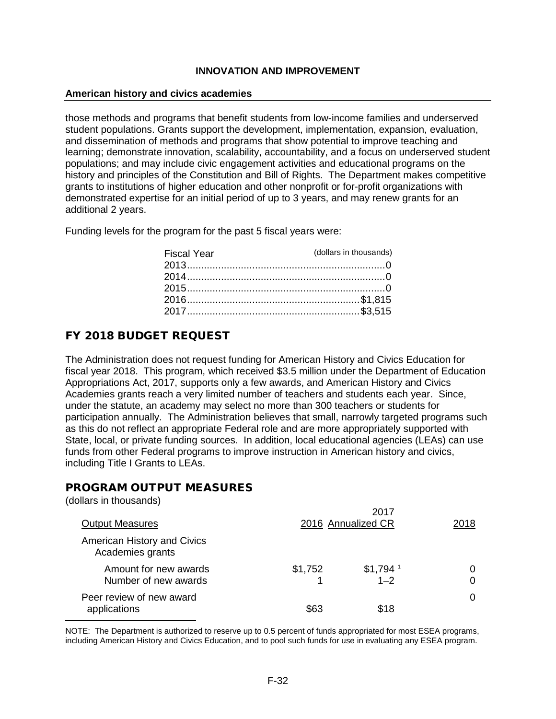#### **American history and civics academies**

those methods and programs that benefit students from low-income families and underserved student populations. Grants support the development, implementation, expansion, evaluation, and dissemination of methods and programs that show potential to improve teaching and learning; demonstrate innovation, scalability, accountability, and a focus on underserved student populations; and may include civic engagement activities and educational programs on the history and principles of the Constitution and Bill of Rights. The Department makes competitive grants to institutions of higher education and other nonprofit or for-profit organizations with demonstrated expertise for an initial period of up to 3 years, and may renew grants for an additional 2 years.

Funding levels for the program for the past 5 fiscal years were:

| <b>Fiscal Year</b> | (dollars in thousands) |
|--------------------|------------------------|
|                    |                        |
|                    |                        |
|                    |                        |
|                    |                        |
|                    |                        |

# FY 2018 BUDGET REQUEST

The Administration does not request funding for American History and Civics Education for fiscal year 2018. This program, which received \$3.5 million under the Department of Education Appropriations Act, 2017, supports only a few awards, and American History and Civics Academies grants reach a very limited number of teachers and students each year. Since, under the statute, an academy may select no more than 300 teachers or students for participation annually. The Administration believes that small, narrowly targeted programs such as this do not reflect an appropriate Federal role and are more appropriately supported with State, local, or private funding sources. In addition, local educational agencies (LEAs) can use funds from other Federal programs to improve instruction in American history and civics, including Title I Grants to LEAs.

## PROGRAM OUTPUT MEASURES

(dollars in thousands)

| <b>Output Measures</b>                          |         | 2017<br>2016 Annualized CR       | 2018 |
|-------------------------------------------------|---------|----------------------------------|------|
| American History and Civics<br>Academies grants |         |                                  |      |
| Amount for new awards<br>Number of new awards   | \$1,752 | $$1,794$ <sup>1</sup><br>$1 - 2$ |      |
| Peer review of new award<br>applications        | \$63    | \$18                             | 0    |

<span id="page-32-0"></span>NOTE: The Department is authorized to reserve up to 0.5 percent of funds appropriated for most ESEA programs, including American History and Civics Education, and to pool such funds for use in evaluating any ESEA program.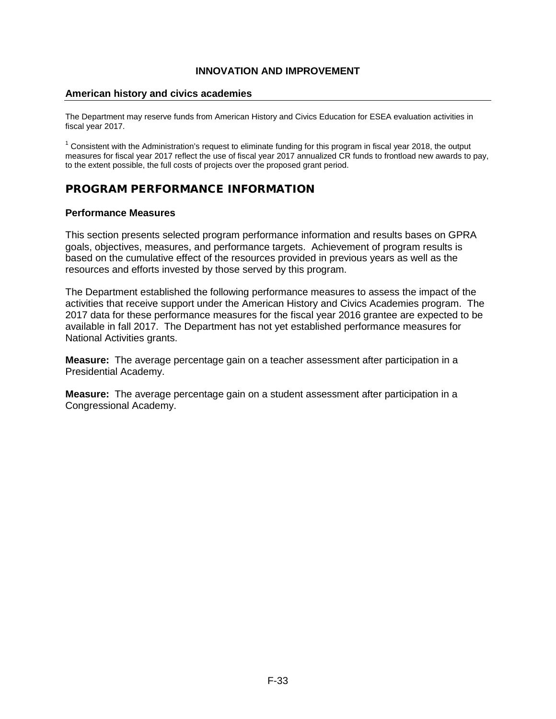#### **American history and civics academies**

The Department may reserve funds from American History and Civics Education for ESEA evaluation activities in fiscal year 2017.

 $1$  Consistent with the Administration's request to eliminate funding for this program in fiscal year 2018, the output measures for fiscal year 2017 reflect the use of fiscal year 2017 annualized CR funds to frontload new awards to pay, to the extent possible, the full costs of projects over the proposed grant period.

# PROGRAM PERFORMANCE INFORMATION

#### **Performance Measures**

This section presents selected program performance information and results bases on GPRA goals, objectives, measures, and performance targets. Achievement of program results is based on the cumulative effect of the resources provided in previous years as well as the resources and efforts invested by those served by this program.

The Department established the following performance measures to assess the impact of the activities that receive support under the American History and Civics Academies program. The 2017 data for these performance measures for the fiscal year 2016 grantee are expected to be available in fall 2017. The Department has not yet established performance measures for National Activities grants.

**Measure:** The average percentage gain on a teacher assessment after participation in a Presidential Academy.

**Measure:** The average percentage gain on a student assessment after participation in a Congressional Academy.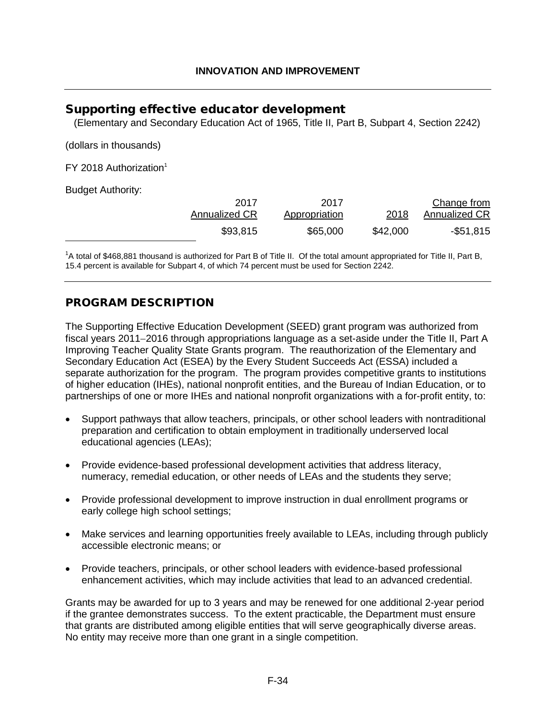# <span id="page-34-0"></span>Supporting effective educator development

(Elementary and Secondary Education Act of 1965, Title II, Part B, Subpart 4, Section 2242)

(dollars in thousands)

 $FY$  2018 Authorization<sup>1</sup>

Budget Authority:

<span id="page-34-2"></span>

| Change from   |          | 2017          | 2017                 |
|---------------|----------|---------------|----------------------|
| Annualized CR | 2018     | Appropriation | <b>Annualized CR</b> |
| $-$ \$51,815  | \$42,000 | \$65,000      | \$93,815             |

<span id="page-34-1"></span><sup>1</sup>[A](#page-34-2) total of \$468,881 thousand is authorized for Part B of Title II. Of the total amount appropriated for Title II, Part B, 15.4 percent is available for Subpart 4, of which 74 percent must be used for Section 2242.

# PROGRAM DESCRIPTION

The Supporting Effective Education Development (SEED) grant program was authorized from fiscal years 2011−2016 through appropriations language as a set-aside under the Title II, Part A Improving Teacher Quality State Grants program. The reauthorization of the Elementary and Secondary Education Act (ESEA) by the Every Student Succeeds Act (ESSA) included a separate authorization for the program. The program provides competitive grants to institutions of higher education (IHEs), national nonprofit entities, and the Bureau of Indian Education, or to partnerships of one or more IHEs and national nonprofit organizations with a for-profit entity, to:

- Support pathways that allow teachers, principals, or other school leaders with nontraditional preparation and certification to obtain employment in traditionally underserved local educational agencies (LEAs);
- Provide evidence-based professional development activities that address literacy, numeracy, remedial education, or other needs of LEAs and the students they serve;
- Provide professional development to improve instruction in dual enrollment programs or early college high school settings;
- Make services and learning opportunities freely available to LEAs, including through publicly accessible electronic means; or
- Provide teachers, principals, or other school leaders with evidence-based professional enhancement activities, which may include activities that lead to an advanced credential.

Grants may be awarded for up to 3 years and may be renewed for one additional 2-year period if the grantee demonstrates success. To the extent practicable, the Department must ensure that grants are distributed among eligible entities that will serve geographically diverse areas. No entity may receive more than one grant in a single competition.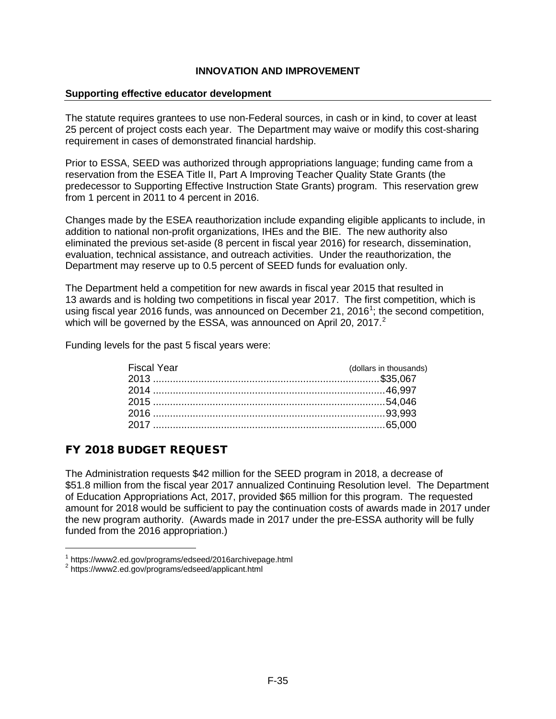#### **Supporting effective educator development**

The statute requires grantees to use non-Federal sources, in cash or in kind, to cover at least 25 percent of project costs each year. The Department may waive or modify this cost-sharing requirement in cases of demonstrated financial hardship.

Prior to ESSA, SEED was authorized through appropriations language; funding came from a reservation from the ESEA Title II, Part A Improving Teacher Quality State Grants (the predecessor to Supporting Effective Instruction State Grants) program. This reservation grew from 1 percent in 2011 to 4 percent in 2016.

Changes made by the ESEA reauthorization include expanding eligible applicants to include, in addition to national non-profit organizations, IHEs and the BIE. The new authority also eliminated the previous set-aside (8 percent in fiscal year 2016) for research, dissemination, evaluation, technical assistance, and outreach activities. Under the reauthorization, the Department may reserve up to 0.5 percent of SEED funds for evaluation only.

The Department held a competition for new awards in fiscal year 2015 that resulted in 13 awards and is holding two competitions in fiscal year 2017. The first competition, which is using fiscal year 20[1](#page-35-0)6 funds, was announced on December 21, 2016<sup>1</sup>; the second competition, which will be governed by the ESSA, was announced on April [2](#page-35-1)0, 2017. $^2$ 

Funding levels for the past 5 fiscal years were:

| (dollars in thousands) |
|------------------------|
|                        |
|                        |
|                        |
|                        |
|                        |
|                        |

# FY 2018 BUDGET REQUEST

The Administration requests \$42 million for the SEED program in 2018, a decrease of \$51.8 million from the fiscal year 2017 annualized Continuing Resolution level. The Department of Education Appropriations Act, 2017, provided \$65 million for this program. The requested amount for 2018 would be sufficient to pay the continuation costs of awards made in 2017 under the new program authority. (Awards made in 2017 under the pre-ESSA authority will be fully funded from the 2016 appropriation.)

<span id="page-35-0"></span> $1 \text{ https://www2.edu.gov/programs/edseed/2016archivepage.html}$ <br> $2 \text{ https://www2.edu.gov/programs/edseed/application.html}$ 

<span id="page-35-1"></span>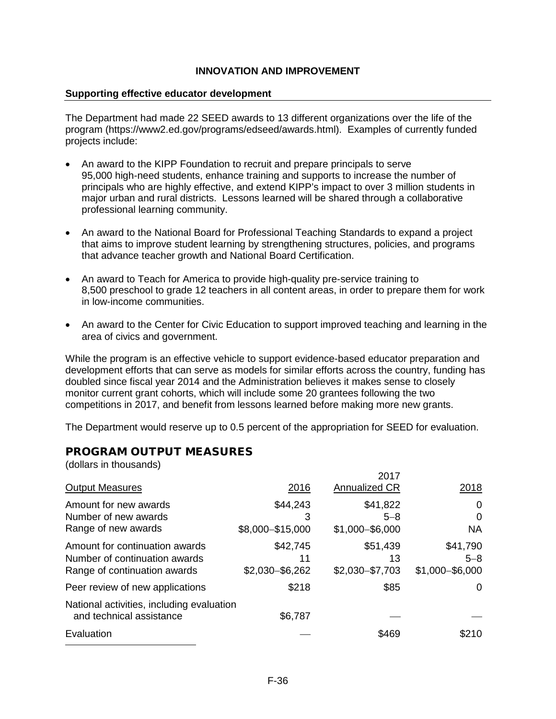### **Supporting effective educator development**

The Department had made 22 SEED awards to 13 different organizations over the life of the program (https://www2.ed.gov/programs/edseed/awards.html). Examples of currently funded projects include:

- An award to the KIPP Foundation to recruit and prepare principals to serve 95,000 high-need students, enhance training and supports to increase the number of principals who are highly effective, and extend KIPP's impact to over 3 million students in major urban and rural districts. Lessons learned will be shared through a collaborative professional learning community.
- An award to the National Board for Professional Teaching Standards to expand a project that aims to improve student learning by strengthening structures, policies, and programs that advance teacher growth and National Board Certification.
- An award to Teach for America to provide high-quality pre-service training to 8,500 preschool to grade 12 teachers in all content areas, in order to prepare them for work in low-income communities.
- An award to the Center for Civic Education to support improved teaching and learning in the area of civics and government.

While the program is an effective vehicle to support evidence-based educator preparation and development efforts that can serve as models for similar efforts across the country, funding has doubled since fiscal year 2014 and the Administration believes it makes sense to closely monitor current grant cohorts, which will include some 20 grantees following the two competitions in 2017, and benefit from lessons learned before making more new grants.

The Department would reserve up to 0.5 percent of the appropriation for SEED for evaluation.

 $0.17$ 

# PROGRAM OUTPUT MEASURES

(dollars in thousands)

| <b>Output Measures</b>                                                                          | 2016                              | <b>2017</b><br><b>Annualized CR</b>      | 2018                                     |
|-------------------------------------------------------------------------------------------------|-----------------------------------|------------------------------------------|------------------------------------------|
| Amount for new awards<br>Number of new awards<br>Range of new awards                            | \$44,243<br>3<br>\$8,000-\$15,000 | \$41,822<br>$5 - 8$<br>$$1,000 - $6,000$ | 0<br>0<br><b>NA</b>                      |
| Amount for continuation awards<br>Number of continuation awards<br>Range of continuation awards | \$42,745<br>11<br>\$2,030-\$6,262 | \$51,439<br>13<br>\$2,030-\$7,703        | \$41,790<br>$5 - 8$<br>$$1,000 - $6,000$ |
| Peer review of new applications                                                                 | \$218                             | \$85                                     | 0                                        |
| National activities, including evaluation<br>and technical assistance                           | \$6,787                           |                                          |                                          |
| Evaluation                                                                                      |                                   | \$469                                    | \$210                                    |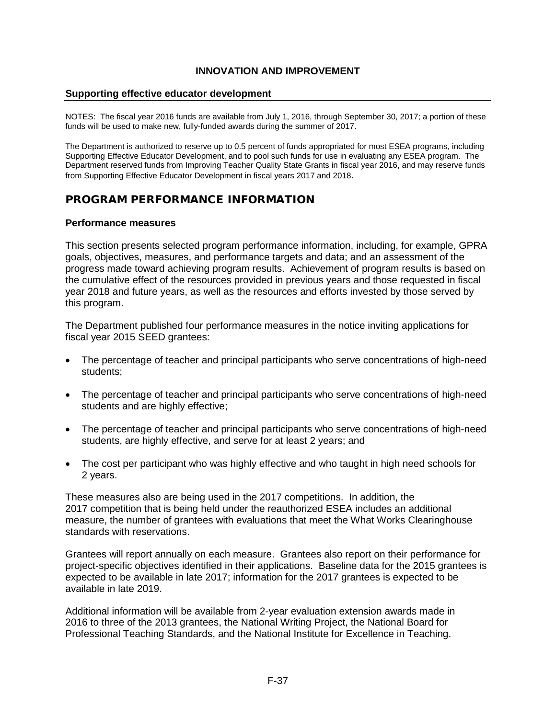#### **Supporting effective educator development**

NOTES: The fiscal year 2016 funds are available from July 1, 2016, through September 30, 2017; a portion of these funds will be used to make new, fully-funded awards during the summer of 2017.

The Department is authorized to reserve up to 0.5 percent of funds appropriated for most ESEA programs, including Supporting Effective Educator Development, and to pool such funds for use in evaluating any ESEA program. The Department reserved funds from Improving Teacher Quality State Grants in fiscal year 2016, and may reserve funds from Supporting Effective Educator Development in fiscal years 2017 and 2018.

# PROGRAM PERFORMANCE INFORMATION

#### **Performance measures**

This section presents selected program performance information, including, for example, GPRA goals, objectives, measures, and performance targets and data; and an assessment of the progress made toward achieving program results. Achievement of program results is based on the cumulative effect of the resources provided in previous years and those requested in fiscal year 2018 and future years, as well as the resources and efforts invested by those served by this program.

The Department published four performance measures in the notice inviting applications for fiscal year 2015 SEED grantees:

- The percentage of teacher and principal participants who serve concentrations of high-need students;
- The percentage of teacher and principal participants who serve concentrations of high-need students and are highly effective:
- The percentage of teacher and principal participants who serve concentrations of high-need students, are highly effective, and serve for at least 2 years; and
- The cost per participant who was highly effective and who taught in high need schools for 2 years.

These measures also are being used in the 2017 competitions. In addition, the 2017 competition that is being held under the reauthorized ESEA includes an additional measure, the number of grantees with evaluations that meet the What Works Clearinghouse standards with reservations.

Grantees will report annually on each measure. Grantees also report on their performance for project-specific objectives identified in their applications. Baseline data for the 2015 grantees is expected to be available in late 2017; information for the 2017 grantees is expected to be available in late 2019.

Additional information will be available from 2-year evaluation extension awards made in 2016 to three of the 2013 grantees, the National Writing Project, the National Board for Professional Teaching Standards, and the National Institute for Excellence in Teaching.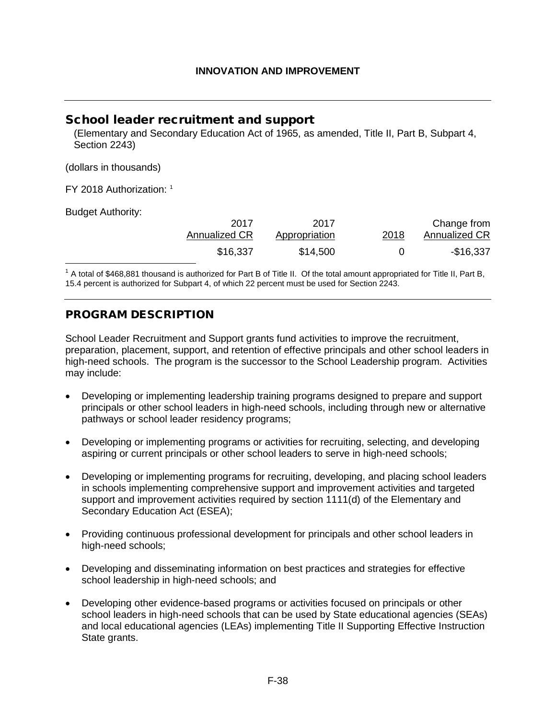# School leader recruitment and support

(Elementary and Secondary Education Act of 1965, as amended, Title II, Part B, Subpart 4, Section 2243)

(dollars in thousands)

FY 2018 Authorization: [1](#page-38-0)

Budget Authority:

<span id="page-38-1"></span>

| Change from   | 2018 | 2017          | 2017          |
|---------------|------|---------------|---------------|
| Annualized CR |      | Appropriation | Annualized CR |
| -\$16,337     |      | \$14,500      | \$16,337      |

<span id="page-38-0"></span> $1$  A total of \$468,881 thousand is authorized for Part B of Title II. Of the total amount appropriated for Title II, Part B, 15.4 percent is authorized for Subpart 4, of which 22 percent must be used for Section 2243.

# PROGRAM DESCRIPTION

School Leader Recruitment and Support grants fund activities to improve the recruitment, preparation, placement, support, and retention of effective principals and other school leaders in high-need schools. The program is the successor to the School Leadership program. Activities may include:

- Developing or implementing leadership training programs designed to prepare and support principals or other school leaders in high-need schools, including through new or alternative pathways or school leader residency programs;
- Developing or implementing programs or activities for recruiting, selecting, and developing aspiring or current principals or other school leaders to serve in high-need schools;
- Developing or implementing programs for recruiting, developing, and placing school leaders in schools implementing comprehensive support and improvement activities and targeted support and improvement activities required by section 1111(d) of the Elementary and Secondary Education Act (ESEA);
- Providing continuous professional development for principals and other school leaders in high-need schools;
- Developing and disseminating information on best practices and strategies for effective school leadership in high-need schools; and
- Developing other evidence-based programs or activities focused on principals or other school leaders in high-need schools that can be used by State educational agencies (SEAs) and local educational agencies (LEAs) implementing Title II Supporting Effective Instruction State grants.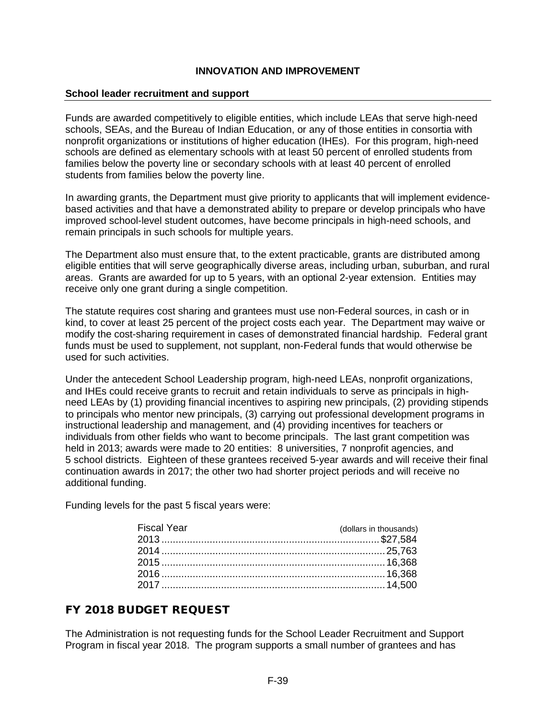#### **School leader recruitment and support**

Funds are awarded competitively to eligible entities, which include LEAs that serve high-need schools, SEAs, and the Bureau of Indian Education, or any of those entities in consortia with nonprofit organizations or institutions of higher education (IHEs). For this program, high-need schools are defined as elementary schools with at least 50 percent of enrolled students from families below the poverty line or secondary schools with at least 40 percent of enrolled students from families below the poverty line.

In awarding grants, the Department must give priority to applicants that will implement evidencebased activities and that have a demonstrated ability to prepare or develop principals who have improved school-level student outcomes, have become principals in high-need schools, and remain principals in such schools for multiple years.

The Department also must ensure that, to the extent practicable, grants are distributed among eligible entities that will serve geographically diverse areas, including urban, suburban, and rural areas. Grants are awarded for up to 5 years, with an optional 2-year extension. Entities may receive only one grant during a single competition.

The statute requires cost sharing and grantees must use non-Federal sources, in cash or in kind, to cover at least 25 percent of the project costs each year. The Department may waive or modify the cost-sharing requirement in cases of demonstrated financial hardship. Federal grant funds must be used to supplement, not supplant, non-Federal funds that would otherwise be used for such activities.

Under the antecedent School Leadership program, high-need LEAs, nonprofit organizations, and IHEs could receive grants to recruit and retain individuals to serve as principals in highneed LEAs by (1) providing financial incentives to aspiring new principals, (2) providing stipends to principals who mentor new principals, (3) carrying out professional development programs in instructional leadership and management, and (4) providing incentives for teachers or individuals from other fields who want to become principals. The last grant competition was held in 2013; awards were made to 20 entities: 8 universities, 7 nonprofit agencies, and 5 school districts. Eighteen of these grantees received 5-year awards and will receive their final continuation awards in 2017; the other two had shorter project periods and will receive no additional funding.

Funding levels for the past 5 fiscal years were:

| Fiscal Year | (dollars in thousands) |
|-------------|------------------------|
|             |                        |
|             |                        |
|             |                        |
|             |                        |
|             |                        |

# FY 2018 BUDGET REQUEST

The Administration is not requesting funds for the School Leader Recruitment and Support Program in fiscal year 2018. The program supports a small number of grantees and has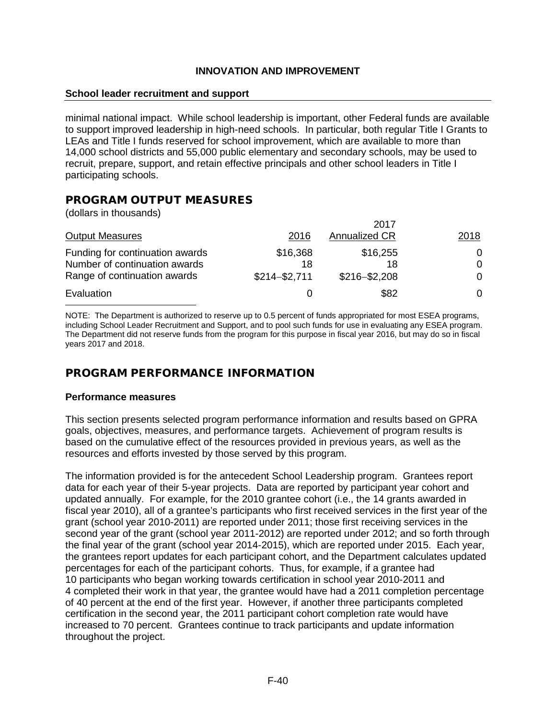#### **School leader recruitment and support**

minimal national impact. While school leadership is important, other Federal funds are available to support improved leadership in high-need schools. In particular, both regular Title I Grants to LEAs and Title I funds reserved for school improvement, which are available to more than 14,000 school districts and 55,000 public elementary and secondary schools, may be used to recruit, prepare, support, and retain effective principals and other school leaders in Title I participating schools.

# PROGRAM OUTPUT MEASURES

(dollars in thousands)

|                                 |                 | 2017                 |      |
|---------------------------------|-----------------|----------------------|------|
| <b>Output Measures</b>          | 2016            | <b>Annualized CR</b> | 2018 |
| Funding for continuation awards | \$16,368        | \$16,255             | 0    |
| Number of continuation awards   | 18              | 18                   | 0    |
| Range of continuation awards    | $$214 - $2,711$ | $$216 - $2,208$      | 0    |
| Evaluation                      |                 | \$82                 | 0    |

NOTE: The Department is authorized to reserve up to 0.5 percent of funds appropriated for most ESEA programs, including School Leader Recruitment and Support, and to pool such funds for use in evaluating any ESEA program. The Department did not reserve funds from the program for this purpose in fiscal year 2016, but may do so in fiscal years 2017 and 2018.

# PROGRAM PERFORMANCE INFORMATION

#### **Performance measures**

This section presents selected program performance information and results based on GPRA goals, objectives, measures, and performance targets. Achievement of program results is based on the cumulative effect of the resources provided in previous years, as well as the resources and efforts invested by those served by this program.

The information provided is for the antecedent School Leadership program. Grantees report data for each year of their 5-year projects. Data are reported by participant year cohort and updated annually. For example, for the 2010 grantee cohort (i.e., the 14 grants awarded in fiscal year 2010), all of a grantee's participants who first received services in the first year of the grant (school year 2010-2011) are reported under 2011; those first receiving services in the second year of the grant (school year 2011-2012) are reported under 2012; and so forth through the final year of the grant (school year 2014-2015), which are reported under 2015. Each year, the grantees report updates for each participant cohort, and the Department calculates updated percentages for each of the participant cohorts. Thus, for example, if a grantee had 10 participants who began working towards certification in school year 2010-2011 and 4 completed their work in that year, the grantee would have had a 2011 completion percentage of 40 percent at the end of the first year. However, if another three participants completed certification in the second year, the 2011 participant cohort completion rate would have increased to 70 percent. Grantees continue to track participants and update information throughout the project.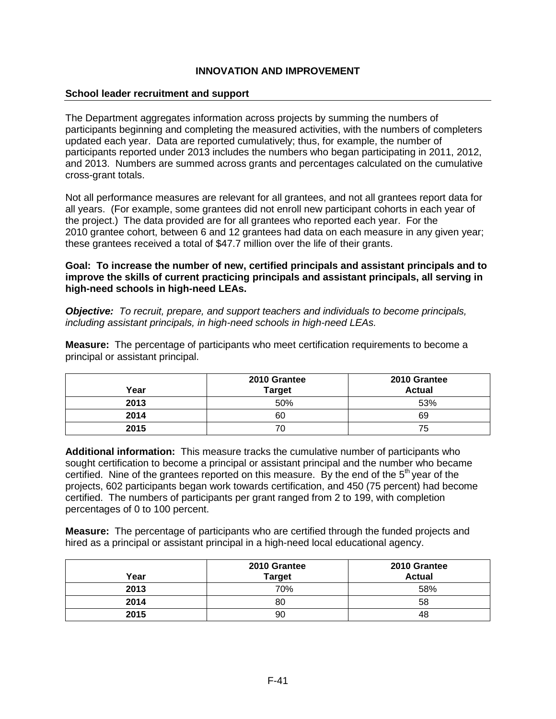### **School leader recruitment and support**

The Department aggregates information across projects by summing the numbers of participants beginning and completing the measured activities, with the numbers of completers updated each year. Data are reported cumulatively; thus, for example, the number of participants reported under 2013 includes the numbers who began participating in 2011, 2012, and 2013. Numbers are summed across grants and percentages calculated on the cumulative cross-grant totals.

Not all performance measures are relevant for all grantees, and not all grantees report data for all years. (For example, some grantees did not enroll new participant cohorts in each year of the project.) The data provided are for all grantees who reported each year. For the 2010 grantee cohort, between 6 and 12 grantees had data on each measure in any given year; these grantees received a total of \$47.7 million over the life of their grants.

**Goal: To increase the number of new, certified principals and assistant principals and to improve the skills of current practicing principals and assistant principals, all serving in high-need schools in high-need LEAs.**

*Objective: To recruit, prepare, and support teachers and individuals to become principals, including assistant principals, in high-need schools in high-need LEAs.*

**Measure:** The percentage of participants who meet certification requirements to become a principal or assistant principal.

| Year | 2010 Grantee<br><b>Target</b> | 2010 Grantee<br><b>Actual</b> |
|------|-------------------------------|-------------------------------|
| 2013 | 50%                           | 53%                           |
| 2014 | 60                            | 69                            |
| 2015 | 70                            | 75                            |

**Additional information:** This measure tracks the cumulative number of participants who sought certification to become a principal or assistant principal and the number who became certified. Nine of the grantees reported on this measure. By the end of the  $5<sup>th</sup>$  year of the projects, 602 participants began work towards certification, and 450 (75 percent) had become certified. The numbers of participants per grant ranged from 2 to 199, with completion percentages of 0 to 100 percent.

**Measure:** The percentage of participants who are certified through the funded projects and hired as a principal or assistant principal in a high-need local educational agency.

| Year | 2010 Grantee<br><b>Target</b> | 2010 Grantee<br><b>Actual</b> |
|------|-------------------------------|-------------------------------|
| 2013 | 70%                           | 58%                           |
| 2014 | 80                            | 58                            |
| 2015 | 90                            | 48                            |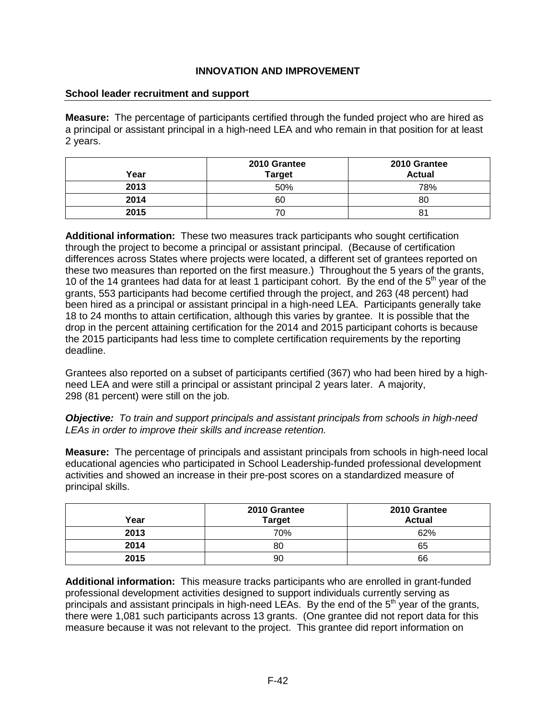### **School leader recruitment and support**

**Measure:** The percentage of participants certified through the funded project who are hired as a principal or assistant principal in a high-need LEA and who remain in that position for at least 2 years.

| Year | 2010 Grantee<br><b>Target</b> | 2010 Grantee<br><b>Actual</b> |
|------|-------------------------------|-------------------------------|
| 2013 | 50%                           | 78%                           |
| 2014 | 60                            | 80                            |
| 2015 | 70                            | 8 <sup>1</sup>                |

**Additional information:** These two measures track participants who sought certification through the project to become a principal or assistant principal. (Because of certification differences across States where projects were located, a different set of grantees reported on these two measures than reported on the first measure.) Throughout the 5 years of the grants, 10 of the 14 grantees had data for at least 1 participant cohort. By the end of the  $5<sup>th</sup>$  year of the grants, 553 participants had become certified through the project, and 263 (48 percent) had been hired as a principal or assistant principal in a high-need LEA. Participants generally take 18 to 24 months to attain certification, although this varies by grantee. It is possible that the drop in the percent attaining certification for the 2014 and 2015 participant cohorts is because the 2015 participants had less time to complete certification requirements by the reporting deadline.

Grantees also reported on a subset of participants certified (367) who had been hired by a highneed LEA and were still a principal or assistant principal 2 years later. A majority, 298 (81 percent) were still on the job.

*Objective: To train and support principals and assistant principals from schools in high-need LEAs in order to improve their skills and increase retention.*

**Measure:** The percentage of principals and assistant principals from schools in high-need local educational agencies who participated in School Leadership-funded professional development activities and showed an increase in their pre-post scores on a standardized measure of principal skills.

| Year | 2010 Grantee<br><b>Target</b> | 2010 Grantee<br><b>Actual</b> |
|------|-------------------------------|-------------------------------|
| 2013 | 70%                           | 62%                           |
| 2014 | 80                            | 65                            |
| 2015 | 90                            | 66                            |

**Additional information:** This measure tracks participants who are enrolled in grant-funded professional development activities designed to support individuals currently serving as principals and assistant principals in high-need LEAs. By the end of the  $5<sup>th</sup>$  year of the grants, there were 1,081 such participants across 13 grants. (One grantee did not report data for this measure because it was not relevant to the project. This grantee did report information on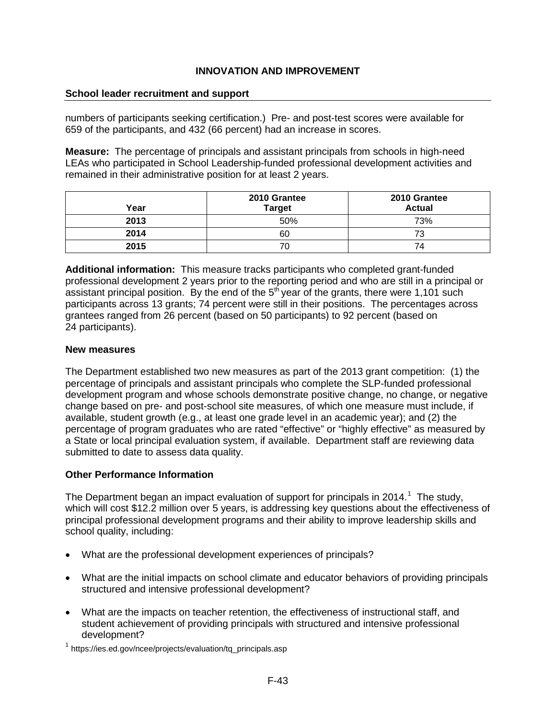#### **School leader recruitment and support**

numbers of participants seeking certification.) Pre- and post-test scores were available for 659 of the participants, and 432 (66 percent) had an increase in scores.

**Measure:** The percentage of principals and assistant principals from schools in high-need LEAs who participated in School Leadership-funded professional development activities and remained in their administrative position for at least 2 years.

| Year | 2010 Grantee<br><b>Target</b> | 2010 Grantee<br><b>Actual</b> |
|------|-------------------------------|-------------------------------|
| 2013 | 50%                           | 73%                           |
| 2014 | 60                            | 73                            |
| 2015 | 70                            | 74                            |

**Additional information:** This measure tracks participants who completed grant-funded professional development 2 years prior to the reporting period and who are still in a principal or assistant principal position. By the end of the  $5<sup>th</sup>$  year of the grants, there were 1,101 such participants across 13 grants; 74 percent were still in their positions. The percentages across grantees ranged from 26 percent (based on 50 participants) to 92 percent (based on 24 participants).

#### **New measures**

The Department established two new measures as part of the 2013 grant competition: (1) the percentage of principals and assistant principals who complete the SLP-funded professional development program and whose schools demonstrate positive change, no change, or negative change based on pre- and post-school site measures, of which one measure must include, if available, student growth (e.g., at least one grade level in an academic year); and (2) the percentage of program graduates who are rated "effective" or "highly effective" as measured by a State or local principal evaluation system, if available. Department staff are reviewing data submitted to date to assess data quality.

### **Other Performance Information**

The Department began an impact evaluation of support for principals in 20[1](#page-43-0)4.<sup>1</sup> The study, which will cost \$12.2 million over 5 years, is addressing key questions about the effectiveness of principal professional development programs and their ability to improve leadership skills and school quality, including:

- What are the professional development experiences of principals?
- What are the initial impacts on school climate and educator behaviors of providing principals structured and intensive professional development?
- What are the impacts on teacher retention, the effectiveness of instructional staff, and student achievement of providing principals with structured and intensive professional development?

<span id="page-43-0"></span><sup>&</sup>lt;sup>1</sup> [https://ies.ed.gov/ncee/projects/evaluation/tq\\_principals.asp](https://ies.ed.gov/ncee/projects/evaluation/tq_principals.asp)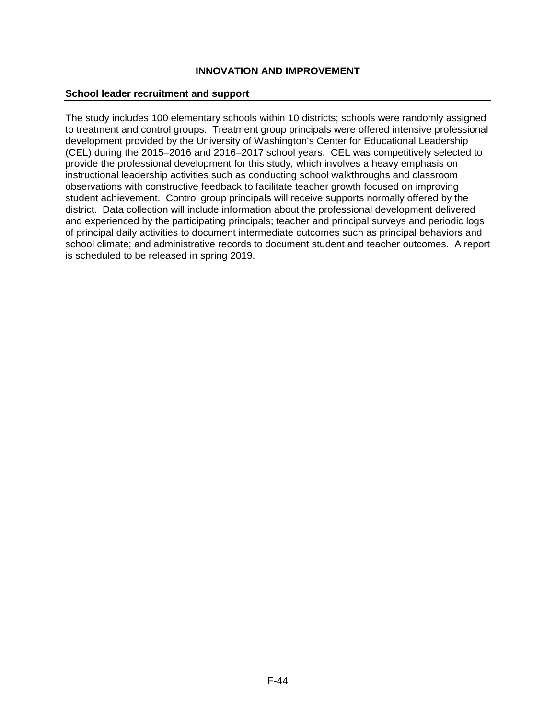#### **School leader recruitment and support**

The study includes 100 elementary schools within 10 districts; schools were randomly assigned to treatment and control groups. Treatment group principals were offered intensive professional development provided by the University of Washington's Center for Educational Leadership (CEL) during the 2015–2016 and 2016–2017 school years. CEL was competitively selected to provide the professional development for this study, which involves a heavy emphasis on instructional leadership activities such as conducting school walkthroughs and classroom observations with constructive feedback to facilitate teacher growth focused on improving student achievement. Control group principals will receive supports normally offered by the district. Data collection will include information about the professional development delivered and experienced by the participating principals; teacher and principal surveys and periodic logs of principal daily activities to document intermediate outcomes such as principal behaviors and school climate; and administrative records to document student and teacher outcomes. A report is scheduled to be released in spring 2019.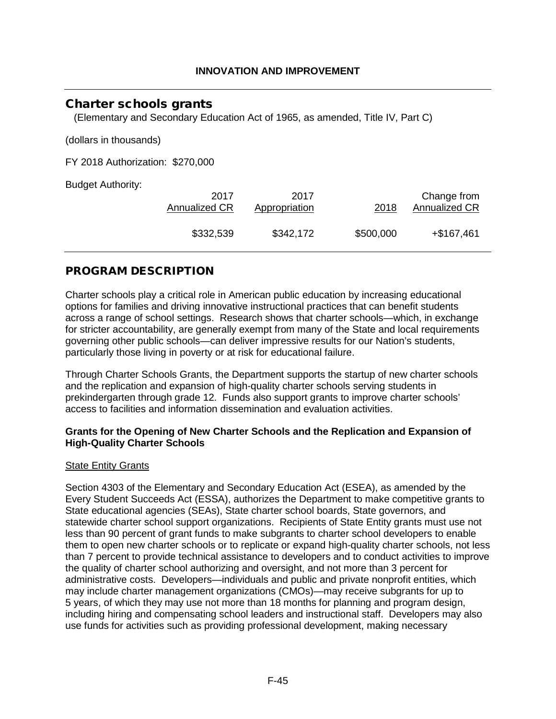# Charter schools grants

(Elementary and Secondary Education Act of 1965, as amended, Title IV, Part C)

(dollars in thousands)

FY 2018 Authorization: \$270,000

Budget Authority:

| 2017          | 2017          | 2018      | Change from          |
|---------------|---------------|-----------|----------------------|
| Annualized CR | Appropriation |           | <b>Annualized CR</b> |
| \$332,539     | \$342,172     | \$500,000 | $+$ \$167,461        |

# PROGRAM DESCRIPTION

Charter schools play a critical role in American public education by increasing educational options for families and driving innovative instructional practices that can benefit students across a range of school settings. Research shows that charter schools—which, in exchange for stricter accountability, are generally exempt from many of the State and local requirements governing other public schools—can deliver impressive results for our Nation's students, particularly those living in poverty or at risk for educational failure.

Through Charter Schools Grants, the Department supports the startup of new charter schools and the replication and expansion of high-quality charter schools serving students in prekindergarten through grade 12. Funds also support grants to improve charter schools' access to facilities and information dissemination and evaluation activities.

#### **Grants for the Opening of New Charter Schools and the Replication and Expansion of High-Quality Charter Schools**

### State Entity Grants

Section 4303 of the Elementary and Secondary Education Act (ESEA), as amended by the Every Student Succeeds Act (ESSA), authorizes the Department to make competitive grants to State educational agencies (SEAs), State charter school boards, State governors, and statewide charter school support organizations. Recipients of State Entity grants must use not less than 90 percent of grant funds to make subgrants to charter school developers to enable them to open new charter schools or to replicate or expand high-quality charter schools, not less than 7 percent to provide technical assistance to developers and to conduct activities to improve the quality of charter school authorizing and oversight, and not more than 3 percent for administrative costs. Developers—individuals and public and private nonprofit entities, which may include charter management organizations (CMOs)—may receive subgrants for up to 5 years, of which they may use not more than 18 months for planning and program design, including hiring and compensating school leaders and instructional staff. Developers may also use funds for activities such as providing professional development, making necessary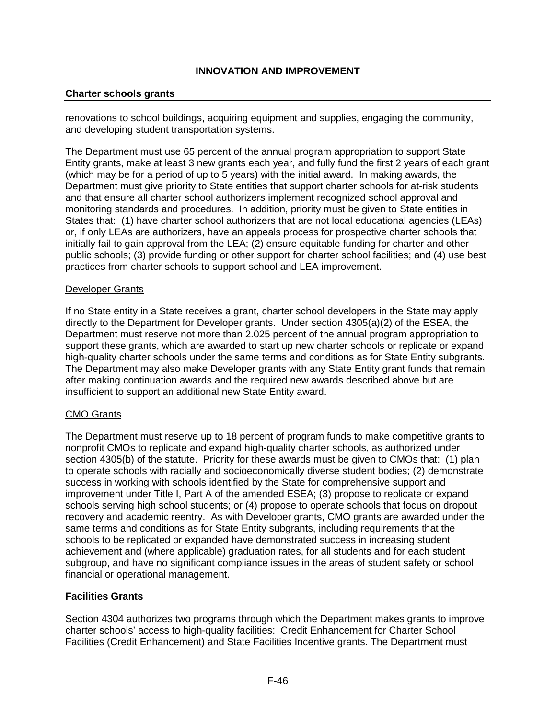### **Charter schools grants**

renovations to school buildings, acquiring equipment and supplies, engaging the community, and developing student transportation systems.

The Department must use 65 percent of the annual program appropriation to support State Entity grants, make at least 3 new grants each year, and fully fund the first 2 years of each grant (which may be for a period of up to 5 years) with the initial award. In making awards, the Department must give priority to State entities that support charter schools for at-risk students and that ensure all charter school authorizers implement recognized school approval and monitoring standards and procedures. In addition, priority must be given to State entities in States that: (1) have charter school authorizers that are not local educational agencies (LEAs) or, if only LEAs are authorizers, have an appeals process for prospective charter schools that initially fail to gain approval from the LEA; (2) ensure equitable funding for charter and other public schools; (3) provide funding or other support for charter school facilities; and (4) use best practices from charter schools to support school and LEA improvement.

#### Developer Grants

If no State entity in a State receives a grant, charter school developers in the State may apply directly to the Department for Developer grants. Under section 4305(a)(2) of the ESEA, the Department must reserve not more than 2.025 percent of the annual program appropriation to support these grants, which are awarded to start up new charter schools or replicate or expand high-quality charter schools under the same terms and conditions as for State Entity subgrants. The Department may also make Developer grants with any State Entity grant funds that remain after making continuation awards and the required new awards described above but are insufficient to support an additional new State Entity award.

### CMO Grants

The Department must reserve up to 18 percent of program funds to make competitive grants to nonprofit CMOs to replicate and expand high-quality charter schools, as authorized under section 4305(b) of the statute. Priority for these awards must be given to CMOs that: (1) plan to operate schools with racially and socioeconomically diverse student bodies; (2) demonstrate success in working with schools identified by the State for comprehensive support and improvement under Title I, Part A of the amended ESEA; (3) propose to replicate or expand schools serving high school students; or (4) propose to operate schools that focus on dropout recovery and academic reentry. As with Developer grants, CMO grants are awarded under the same terms and conditions as for State Entity subgrants, including requirements that the schools to be replicated or expanded have demonstrated success in increasing student achievement and (where applicable) graduation rates, for all students and for each student subgroup, and have no significant compliance issues in the areas of student safety or school financial or operational management.

# **Facilities Grants**

Section 4304 authorizes two programs through which the Department makes grants to improve charter schools' access to high-quality facilities: Credit Enhancement for Charter School Facilities (Credit Enhancement) and State Facilities Incentive grants. The Department must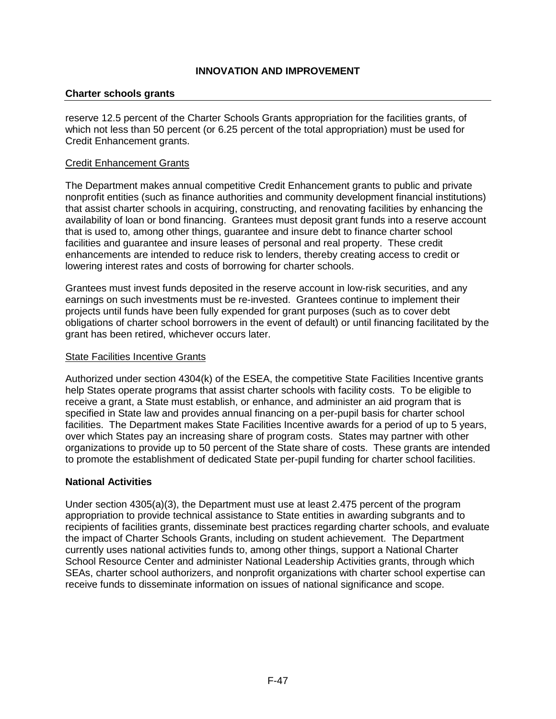### **Charter schools grants**

reserve 12.5 percent of the Charter Schools Grants appropriation for the facilities grants, of which not less than 50 percent (or 6.25 percent of the total appropriation) must be used for Credit Enhancement grants.

### Credit Enhancement Grants

The Department makes annual competitive Credit Enhancement grants to public and private nonprofit entities (such as finance authorities and community development financial institutions) that assist charter schools in acquiring, constructing, and renovating facilities by enhancing the availability of loan or bond financing. Grantees must deposit grant funds into a reserve account that is used to, among other things, guarantee and insure debt to finance charter school facilities and guarantee and insure leases of personal and real property. These credit enhancements are intended to reduce risk to lenders, thereby creating access to credit or lowering interest rates and costs of borrowing for charter schools.

Grantees must invest funds deposited in the reserve account in low-risk securities, and any earnings on such investments must be re-invested. Grantees continue to implement their projects until funds have been fully expended for grant purposes (such as to cover debt obligations of charter school borrowers in the event of default) or until financing facilitated by the grant has been retired, whichever occurs later.

#### State Facilities Incentive Grants

Authorized under section 4304(k) of the ESEA, the competitive State Facilities Incentive grants help States operate programs that assist charter schools with facility costs. To be eligible to receive a grant, a State must establish, or enhance, and administer an aid program that is specified in State law and provides annual financing on a per-pupil basis for charter school facilities. The Department makes State Facilities Incentive awards for a period of up to 5 years, over which States pay an increasing share of program costs. States may partner with other organizations to provide up to 50 percent of the State share of costs. These grants are intended to promote the establishment of dedicated State per-pupil funding for charter school facilities.

#### **National Activities**

Under section 4305(a)(3), the Department must use at least 2.475 percent of the program appropriation to provide technical assistance to State entities in awarding subgrants and to recipients of facilities grants, disseminate best practices regarding charter schools, and evaluate the impact of Charter Schools Grants, including on student achievement. The Department currently uses national activities funds to, among other things, support a National Charter School Resource Center and administer National Leadership Activities grants, through which SEAs, charter school authorizers, and nonprofit organizations with charter school expertise can receive funds to disseminate information on issues of national significance and scope.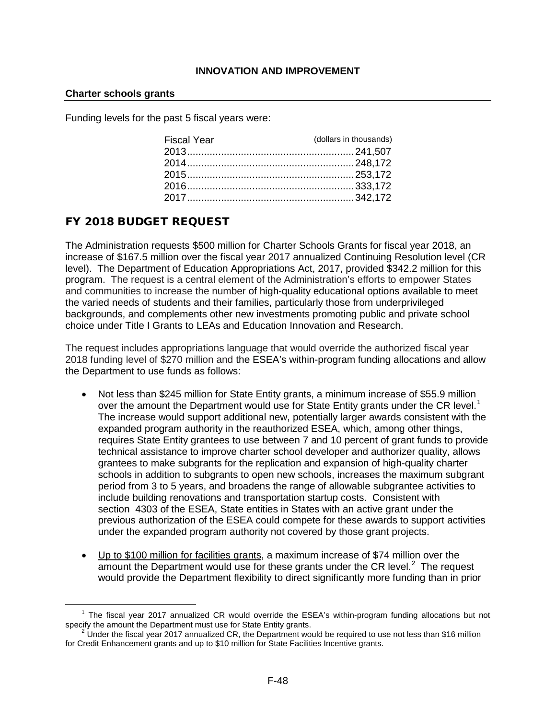#### **Charter schools grants**

Funding levels for the past 5 fiscal years were:

| <b>Fiscal Year</b> | (dollars in thousands) |
|--------------------|------------------------|
|                    |                        |
|                    |                        |
|                    |                        |
|                    |                        |
|                    |                        |

# FY 2018 BUDGET REQUEST

The Administration requests \$500 million for Charter Schools Grants for fiscal year 2018, an increase of \$167.5 million over the fiscal year 2017 annualized Continuing Resolution level (CR level). The Department of Education Appropriations Act, 2017, provided \$342.2 million for this program. The request is a central element of the Administration's efforts to empower States and communities to increase the number of high-quality educational options available to meet the varied needs of students and their families, particularly those from underprivileged backgrounds, and complements other new investments promoting public and private school choice under Title I Grants to LEAs and Education Innovation and Research.

The request includes appropriations language that would override the authorized fiscal year 2018 funding level of \$270 million and the ESEA's within-program funding allocations and allow the Department to use funds as follows:

- Not less than \$245 million for State Entity grants, a minimum increase of \$55.9 million over the amount the Department would use for State Entity grants under the CR level.<sup>[1](#page-48-0)</sup> The increase would support additional new, potentially larger awards consistent with the expanded program authority in the reauthorized ESEA, which, among other things, requires State Entity grantees to use between 7 and 10 percent of grant funds to provide technical assistance to improve charter school developer and authorizer quality, allows grantees to make subgrants for the replication and expansion of high-quality charter schools in addition to subgrants to open new schools, increases the maximum subgrant period from 3 to 5 years, and broadens the range of allowable subgrantee activities to include building renovations and transportation startup costs. Consistent with section 4303 of the ESEA, State entities in States with an active grant under the previous authorization of the ESEA could compete for these awards to support activities under the expanded program authority not covered by those grant projects.
- Up to \$100 million for facilities grants, a maximum increase of \$74 million over the amount the Department would use for these grants under the CR level.<sup>[2](#page-48-1)</sup> The request would provide the Department flexibility to direct significantly more funding than in prior

<span id="page-48-0"></span><sup>&</sup>lt;sup>1</sup> The fiscal year 2017 annualized CR would override the ESEA's within-program funding allocations but not specify the amount the Department must use for State Entity grants.

<span id="page-48-1"></span><sup>&</sup>lt;sup>2</sup> Under the fiscal year 2017 annualized CR, the Department would be required to use not less than \$16 million for Credit Enhancement grants and up to \$10 million for State Facilities Incentive grants.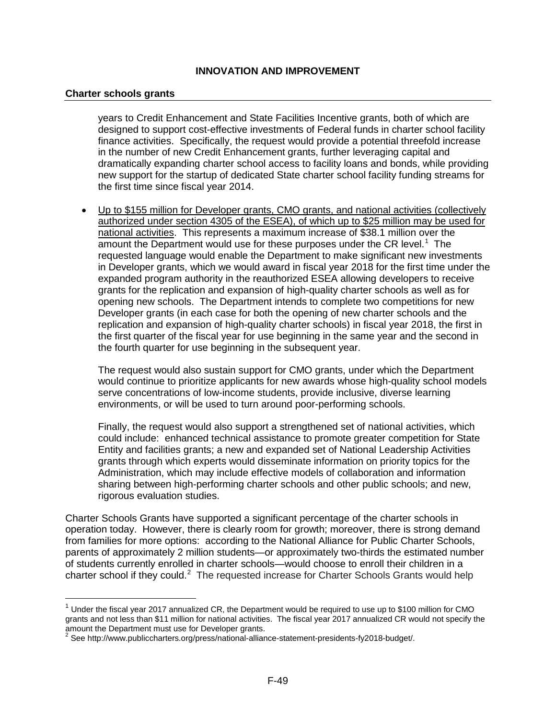#### **Charter schools grants**

years to Credit Enhancement and State Facilities Incentive grants, both of which are designed to support cost-effective investments of Federal funds in charter school facility finance activities. Specifically, the request would provide a potential threefold increase in the number of new Credit Enhancement grants, further leveraging capital and dramatically expanding charter school access to facility loans and bonds, while providing new support for the startup of dedicated State charter school facility funding streams for the first time since fiscal year 2014.

• Up to \$155 million for Developer grants, CMO grants, and national activities (collectively authorized under section 4305 of the ESEA), of which up to \$25 million may be used for national activities. This represents a maximum increase of \$38.1 million over the amount the Department would use for these purposes under the CR level.<sup>[1](#page-49-0)</sup> The requested language would enable the Department to make significant new investments in Developer grants, which we would award in fiscal year 2018 for the first time under the expanded program authority in the reauthorized ESEA allowing developers to receive grants for the replication and expansion of high-quality charter schools as well as for opening new schools. The Department intends to complete two competitions for new Developer grants (in each case for both the opening of new charter schools and the replication and expansion of high-quality charter schools) in fiscal year 2018, the first in the first quarter of the fiscal year for use beginning in the same year and the second in the fourth quarter for use beginning in the subsequent year.

The request would also sustain support for CMO grants, under which the Department would continue to prioritize applicants for new awards whose high-quality school models serve concentrations of low-income students, provide inclusive, diverse learning environments, or will be used to turn around poor-performing schools.

Finally, the request would also support a strengthened set of national activities, which could include: enhanced technical assistance to promote greater competition for State Entity and facilities grants; a new and expanded set of National Leadership Activities grants through which experts would disseminate information on priority topics for the Administration, which may include effective models of collaboration and information sharing between high-performing charter schools and other public schools; and new, rigorous evaluation studies.

Charter Schools Grants have supported a significant percentage of the charter schools in operation today. However, there is clearly room for growth; moreover, there is strong demand from families for more options: according to the National Alliance for Public Charter Schools, parents of approximately 2 million students—or approximately two-thirds the estimated number of students currently enrolled in charter schools—would choose to enroll their children in a charter school if they could.<sup>[2](#page-49-1)</sup> The requested increase for Charter Schools Grants would help

<span id="page-49-0"></span> $1$  Under the fiscal year 2017 annualized CR, the Department would be required to use up to \$100 million for CMO grants and not less than \$11 million for national activities. The fiscal year 2017 annualized CR would not specify the amount the Department must use for Developer grants.<br>
<sup>2</sup> See [http://www.publiccharters.org/press/national-alliance-statement-presidents-fy2018-budget/.](http://www.publiccharters.org/press/national-alliance-statement-presidents-fy2018-budget/)

<span id="page-49-1"></span>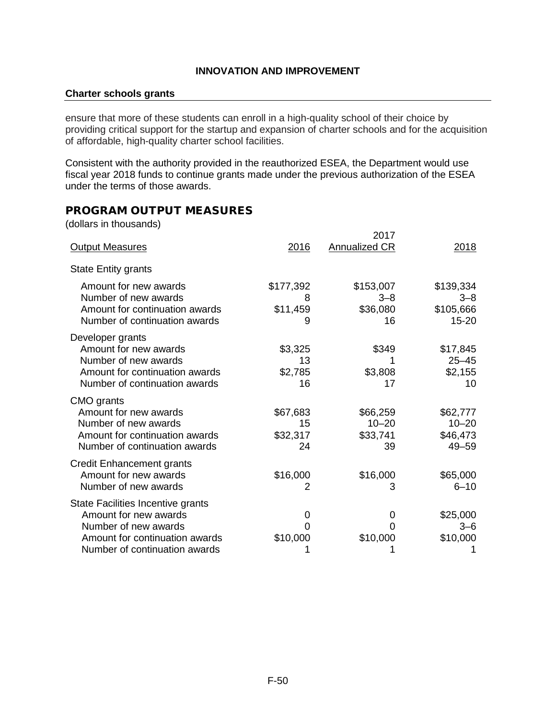#### **Charter schools grants**

ensure that more of these students can enroll in a high-quality school of their choice by providing critical support for the startup and expansion of charter schools and for the acquisition of affordable, high-quality charter school facilities.

Consistent with the authority provided in the reauthorized ESEA, the Department would use fiscal year 2018 funds to continue grants made under the previous authorization of the ESEA under the terms of those awards.

# PROGRAM OUTPUT MEASURES

(dollars in thousands)

|                                                                                                                                                       |                                  | 2017                                    |                                                |
|-------------------------------------------------------------------------------------------------------------------------------------------------------|----------------------------------|-----------------------------------------|------------------------------------------------|
| <b>Output Measures</b>                                                                                                                                | 2016                             | <b>Annualized CR</b>                    | 2018                                           |
| <b>State Entity grants</b>                                                                                                                            |                                  |                                         |                                                |
| Amount for new awards<br>Number of new awards<br>Amount for continuation awards<br>Number of continuation awards                                      | \$177,392<br>8<br>\$11,459<br>9  | \$153,007<br>$3 - 8$<br>\$36,080<br>16  | \$139,334<br>$3 - 8$<br>\$105,666<br>$15 - 20$ |
| Developer grants<br>Amount for new awards<br>Number of new awards<br>Amount for continuation awards<br>Number of continuation awards                  | \$3,325<br>13<br>\$2,785<br>16   | \$349<br>\$3,808<br>17                  | \$17,845<br>$25 - 45$<br>\$2,155<br>10         |
| CMO grants<br>Amount for new awards<br>Number of new awards<br>Amount for continuation awards<br>Number of continuation awards                        | \$67,683<br>15<br>\$32,317<br>24 | \$66,259<br>$10 - 20$<br>\$33,741<br>39 | \$62,777<br>$10 - 20$<br>\$46,473<br>$49 - 59$ |
| <b>Credit Enhancement grants</b><br>Amount for new awards<br>Number of new awards                                                                     | \$16,000<br>2                    | \$16,000<br>3                           | \$65,000<br>$6 - 10$                           |
| State Facilities Incentive grants<br>Amount for new awards<br>Number of new awards<br>Amount for continuation awards<br>Number of continuation awards | 0<br>O<br>\$10,000               | 0<br>O<br>\$10,000                      | \$25,000<br>$3 - 6$<br>\$10,000                |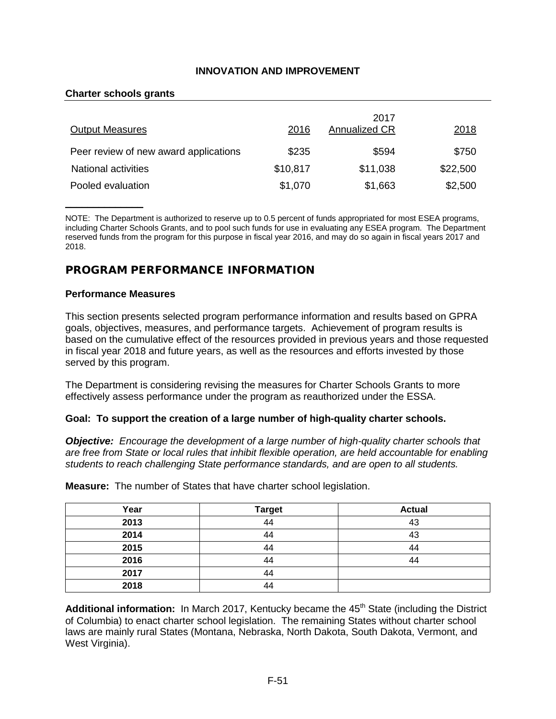#### **Charter schools grants**

| <b>Output Measures</b>                | 2016     | 2017<br>Annualized CR | 2018     |
|---------------------------------------|----------|-----------------------|----------|
| Peer review of new award applications | \$235    | \$594                 | \$750    |
| <b>National activities</b>            | \$10,817 | \$11,038              | \$22,500 |
| Pooled evaluation                     | \$1,070  | \$1,663               | \$2,500  |

NOTE: The Department is authorized to reserve up to 0.5 percent of funds appropriated for most ESEA programs, including Charter Schools Grants, and to pool such funds for use in evaluating any ESEA program. The Department reserved funds from the program for this purpose in fiscal year 2016, and may do so again in fiscal years 2017 and 2018.

# PROGRAM PERFORMANCE INFORMATION

#### **Performance Measures**

 $\overline{\phantom{a}}$  , where  $\overline{\phantom{a}}$ 

This section presents selected program performance information and results based on GPRA goals, objectives, measures, and performance targets. Achievement of program results is based on the cumulative effect of the resources provided in previous years and those requested in fiscal year 2018 and future years, as well as the resources and efforts invested by those served by this program.

The Department is considering revising the measures for Charter Schools Grants to more effectively assess performance under the program as reauthorized under the ESSA.

#### **Goal: To support the creation of a large number of high-quality charter schools.**

*Objective: Encourage the development of a large number of high-quality charter schools that are free from State or local rules that inhibit flexible operation, are held accountable for enabling students to reach challenging State performance standards, and are open to all students.*

| Year | <b>Target</b> | <b>Actual</b> |
|------|---------------|---------------|
| 2013 | 44            | 43            |
| 2014 | 44            | 43            |
| 2015 | 44            | 44            |
| 2016 | 44            | 44            |
| 2017 | 44            |               |
| 2018 | 44            |               |

**Measure:** The number of States that have charter school legislation.

Additional information: In March 2017, Kentucky became the 45<sup>th</sup> State (including the District of Columbia) to enact charter school legislation. The remaining States without charter school laws are mainly rural States (Montana, Nebraska, North Dakota, South Dakota, Vermont, and West Virginia).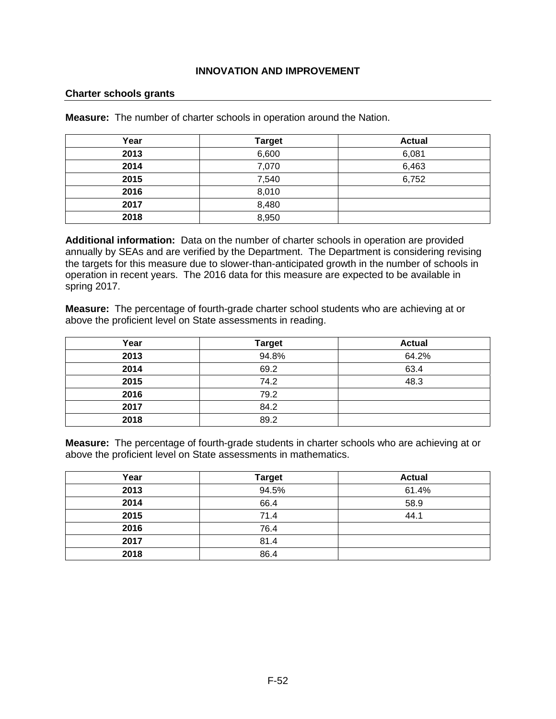#### **Charter schools grants**

**Measure:** The number of charter schools in operation around the Nation.

| Year | <b>Target</b> | <b>Actual</b> |
|------|---------------|---------------|
| 2013 | 6,600         | 6,081         |
| 2014 | 7,070         | 6,463         |
| 2015 | 7,540         | 6,752         |
| 2016 | 8,010         |               |
| 2017 | 8,480         |               |
| 2018 | 8,950         |               |

**Additional information:** Data on the number of charter schools in operation are provided annually by SEAs and are verified by the Department. The Department is considering revising the targets for this measure due to slower-than-anticipated growth in the number of schools in operation in recent years. The 2016 data for this measure are expected to be available in spring 2017.

**Measure:** The percentage of fourth-grade charter school students who are achieving at or above the proficient level on State assessments in reading.

| Year | <b>Target</b> | <b>Actual</b> |
|------|---------------|---------------|
| 2013 | 94.8%         | 64.2%         |
| 2014 | 69.2          | 63.4          |
| 2015 | 74.2          | 48.3          |
| 2016 | 79.2          |               |
| 2017 | 84.2          |               |
| 2018 | 89.2          |               |

**Measure:** The percentage of fourth-grade students in charter schools who are achieving at or above the proficient level on State assessments in mathematics.

| Year | <b>Target</b> | <b>Actual</b> |
|------|---------------|---------------|
| 2013 | 94.5%         | 61.4%         |
| 2014 | 66.4          | 58.9          |
| 2015 | 71.4          | 44.1          |
| 2016 | 76.4          |               |
| 2017 | 81.4          |               |
| 2018 | 86.4          |               |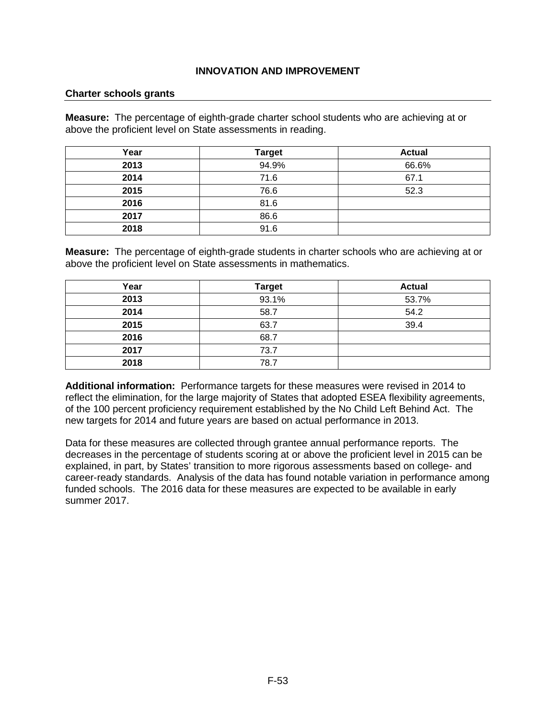#### **Charter schools grants**

**Measure:** The percentage of eighth-grade charter school students who are achieving at or above the proficient level on State assessments in reading.

| Year | <b>Target</b> | <b>Actual</b> |
|------|---------------|---------------|
| 2013 | 94.9%         | 66.6%         |
| 2014 | 71.6          | 67.1          |
| 2015 | 76.6          | 52.3          |
| 2016 | 81.6          |               |
| 2017 | 86.6          |               |
| 2018 | 91.6          |               |

**Measure:** The percentage of eighth-grade students in charter schools who are achieving at or above the proficient level on State assessments in mathematics.

| Year | <b>Target</b> | <b>Actual</b> |
|------|---------------|---------------|
| 2013 | 93.1%         | 53.7%         |
| 2014 | 58.7          | 54.2          |
| 2015 | 63.7          | 39.4          |
| 2016 | 68.7          |               |
| 2017 | 73.7          |               |
| 2018 | 78.7          |               |

**Additional information:** Performance targets for these measures were revised in 2014 to reflect the elimination, for the large majority of States that adopted ESEA flexibility agreements, of the 100 percent proficiency requirement established by the No Child Left Behind Act. The new targets for 2014 and future years are based on actual performance in 2013.

Data for these measures are collected through grantee annual performance reports. The decreases in the percentage of students scoring at or above the proficient level in 2015 can be explained, in part, by States' transition to more rigorous assessments based on college- and career-ready standards. Analysis of the data has found notable variation in performance among funded schools. The 2016 data for these measures are expected to be available in early summer 2017.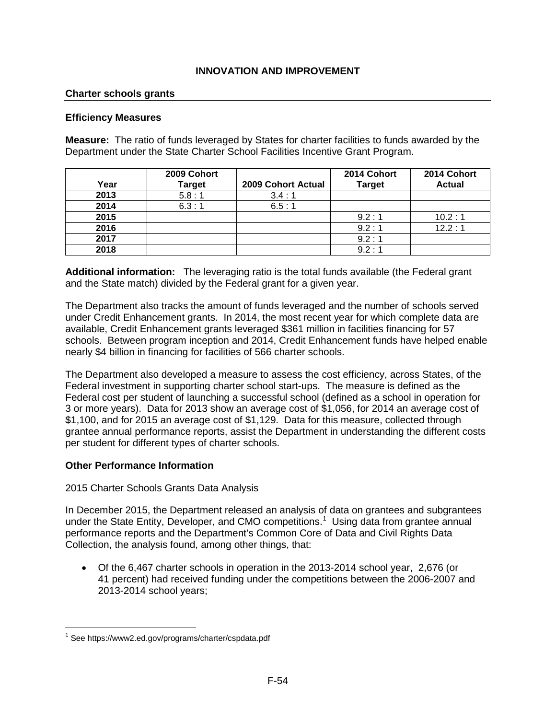### **Charter schools grants**

#### **Efficiency Measures**

**Measure:** The ratio of funds leveraged by States for charter facilities to funds awarded by the Department under the State Charter School Facilities Incentive Grant Program.

|      | 2009 Cohort   |                    | 2014 Cohort   | 2014 Cohort   |
|------|---------------|--------------------|---------------|---------------|
| Year | <b>Target</b> | 2009 Cohort Actual | <b>Target</b> | <b>Actual</b> |
| 2013 | 5.8:1         | 3.4:1              |               |               |
| 2014 | 6.3:1         | 6.5:1              |               |               |
| 2015 |               |                    | 9.2:1         | 10.2:1        |
| 2016 |               |                    | 9.2:1         | 12.2:1        |
| 2017 |               |                    | 9.2:1         |               |
| 2018 |               |                    | 9.2:1         |               |

**Additional information:** The leveraging ratio is the total funds available (the Federal grant and the State match) divided by the Federal grant for a given year.

The Department also tracks the amount of funds leveraged and the number of schools served under Credit Enhancement grants. In 2014, the most recent year for which complete data are available, Credit Enhancement grants leveraged \$361 million in facilities financing for 57 schools. Between program inception and 2014, Credit Enhancement funds have helped enable nearly \$4 billion in financing for facilities of 566 charter schools.

The Department also developed a measure to assess the cost efficiency, across States, of the Federal investment in supporting charter school start-ups. The measure is defined as the Federal cost per student of launching a successful school (defined as a school in operation for 3 or more years). Data for 2013 show an average cost of \$1,056, for 2014 an average cost of \$1,100, and for 2015 an average cost of \$1,129. Data for this measure, collected through grantee annual performance reports, assist the Department in understanding the different costs per student for different types of charter schools.

### **Other Performance Information**

#### 2015 Charter Schools Grants Data Analysis

In December 2015, the Department released an analysis of data on grantees and subgrantees under the State Entity, Developer, and CMO competitions.<sup>[1](#page-54-0)</sup> Using data from grantee annual performance reports and the Department's Common Core of Data and Civil Rights Data Collection, the analysis found, among other things, that:

• Of the 6,467 charter schools in operation in the 2013-2014 school year, 2,676 (or 41 percent) had received funding under the competitions between the 2006-2007 and 2013-2014 school years;

<span id="page-54-0"></span><sup>1</sup> See<https://www2.ed.gov/programs/charter/cspdata.pdf>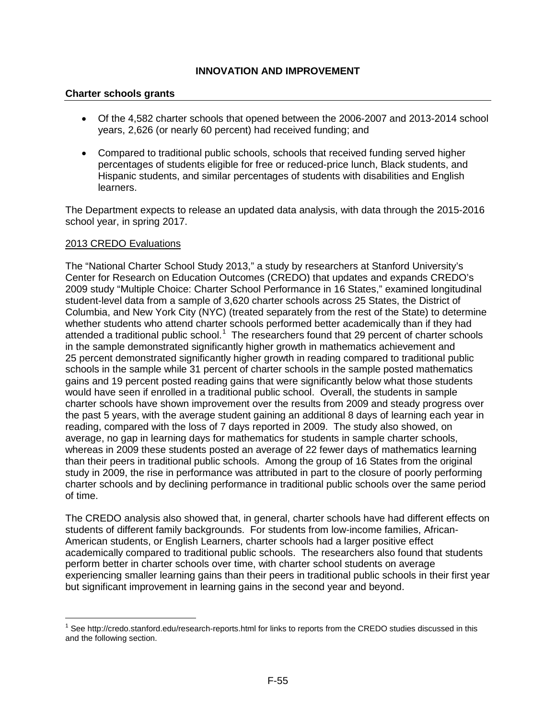#### **Charter schools grants**

- Of the 4,582 charter schools that opened between the 2006-2007 and 2013-2014 school years, 2,626 (or nearly 60 percent) had received funding; and
- Compared to traditional public schools, schools that received funding served higher percentages of students eligible for free or reduced-price lunch, Black students, and Hispanic students, and similar percentages of students with disabilities and English learners.

The Department expects to release an updated data analysis, with data through the 2015-2016 school year, in spring 2017.

#### 2013 CREDO Evaluations

The "National Charter School Study 2013," a study by researchers at Stanford University's Center for Research on Education Outcomes (CREDO) that updates and expands CREDO's 2009 study "Multiple Choice: Charter School Performance in 16 States," examined longitudinal student-level data from a sample of 3,620 charter schools across 25 States, the District of Columbia, and New York City (NYC) (treated separately from the rest of the State) to determine whether students who attend charter schools performed better academically than if they had attended a traditional public school.<sup>[1](#page-55-0)</sup> The researchers found that 29 percent of charter schools in the sample demonstrated significantly higher growth in mathematics achievement and 25 percent demonstrated significantly higher growth in reading compared to traditional public schools in the sample while 31 percent of charter schools in the sample posted mathematics gains and 19 percent posted reading gains that were significantly below what those students would have seen if enrolled in a traditional public school. Overall, the students in sample charter schools have shown improvement over the results from 2009 and steady progress over the past 5 years, with the average student gaining an additional 8 days of learning each year in reading, compared with the loss of 7 days reported in 2009. The study also showed, on average, no gap in learning days for mathematics for students in sample charter schools, whereas in 2009 these students posted an average of 22 fewer days of mathematics learning than their peers in traditional public schools. Among the group of 16 States from the original study in 2009, the rise in performance was attributed in part to the closure of poorly performing charter schools and by declining performance in traditional public schools over the same period of time.

The CREDO analysis also showed that, in general, charter schools have had different effects on students of different family backgrounds. For students from low-income families, African-American students, or English Learners, charter schools had a larger positive effect academically compared to traditional public schools. The researchers also found that students perform better in charter schools over time, with charter school students on average experiencing smaller learning gains than their peers in traditional public schools in their first year but significant improvement in learning gains in the second year and beyond.

<span id="page-55-0"></span><sup>&</sup>lt;sup>1</sup> See<http://credo.stanford.edu/research-reports.html> for links to reports from the CREDO studies discussed in this and the following section.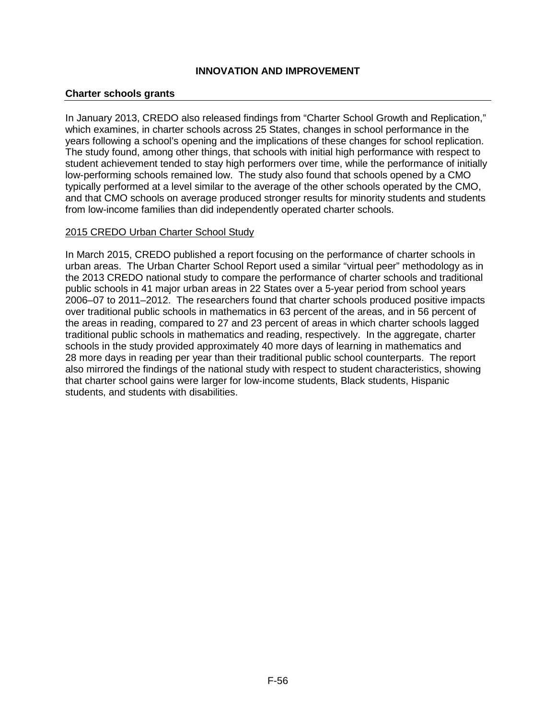#### **Charter schools grants**

In January 2013, CREDO also released findings from "Charter School Growth and Replication," which examines, in charter schools across 25 States, changes in school performance in the years following a school's opening and the implications of these changes for school replication. The study found, among other things, that schools with initial high performance with respect to student achievement tended to stay high performers over time, while the performance of initially low-performing schools remained low. The study also found that schools opened by a CMO typically performed at a level similar to the average of the other schools operated by the CMO, and that CMO schools on average produced stronger results for minority students and students from low-income families than did independently operated charter schools.

#### 2015 CREDO Urban Charter School Study

In March 2015, CREDO published a report focusing on the performance of charter schools in urban areas. The Urban Charter School Report used a similar "virtual peer" methodology as in the 2013 CREDO national study to compare the performance of charter schools and traditional public schools in 41 major urban areas in 22 States over a 5-year period from school years 2006–07 to 2011–2012. The researchers found that charter schools produced positive impacts over traditional public schools in mathematics in 63 percent of the areas, and in 56 percent of the areas in reading, compared to 27 and 23 percent of areas in which charter schools lagged traditional public schools in mathematics and reading, respectively. In the aggregate, charter schools in the study provided approximately 40 more days of learning in mathematics and 28 more days in reading per year than their traditional public school counterparts. The report also mirrored the findings of the national study with respect to student characteristics, showing that charter school gains were larger for low-income students, Black students, Hispanic students, and students with disabilities.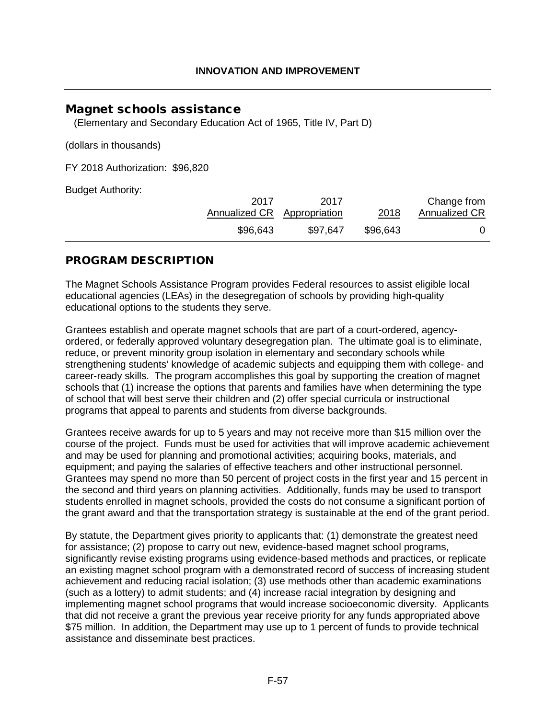# Magnet schools assistance

(Elementary and Secondary Education Act of 1965, Title IV, Part D)

(dollars in thousands)

FY 2018 Authorization: \$96,820

Budget Authority:

| 2017<br>Annualized CR Appropriation | 2017     | 2018     | Change from<br><b>Annualized CR</b> |
|-------------------------------------|----------|----------|-------------------------------------|
| \$96,643                            | \$97,647 | \$96,643 |                                     |

# PROGRAM DESCRIPTION

The Magnet Schools Assistance Program provides Federal resources to assist eligible local educational agencies (LEAs) in the desegregation of schools by providing high-quality educational options to the students they serve.

Grantees establish and operate magnet schools that are part of a court-ordered, agencyordered, or federally approved voluntary desegregation plan. The ultimate goal is to eliminate, reduce, or prevent minority group isolation in elementary and secondary schools while strengthening students' knowledge of academic subjects and equipping them with college- and career-ready skills. The program accomplishes this goal by supporting the creation of magnet schools that (1) increase the options that parents and families have when determining the type of school that will best serve their children and (2) offer special curricula or instructional programs that appeal to parents and students from diverse backgrounds.

Grantees receive awards for up to 5 years and may not receive more than \$15 million over the course of the project. Funds must be used for activities that will improve academic achievement and may be used for planning and promotional activities; acquiring books, materials, and equipment; and paying the salaries of effective teachers and other instructional personnel. Grantees may spend no more than 50 percent of project costs in the first year and 15 percent in the second and third years on planning activities. Additionally, funds may be used to transport students enrolled in magnet schools, provided the costs do not consume a significant portion of the grant award and that the transportation strategy is sustainable at the end of the grant period.

By statute, the Department gives priority to applicants that: (1) demonstrate the greatest need for assistance; (2) propose to carry out new, evidence-based magnet school programs, significantly revise existing programs using evidence-based methods and practices, or replicate an existing magnet school program with a demonstrated record of success of increasing student achievement and reducing racial isolation; (3) use methods other than academic examinations (such as a lottery) to admit students; and (4) increase racial integration by designing and implementing magnet school programs that would increase socioeconomic diversity. Applicants that did not receive a grant the previous year receive priority for any funds appropriated above \$75 million. In addition, the Department may use up to 1 percent of funds to provide technical assistance and disseminate best practices.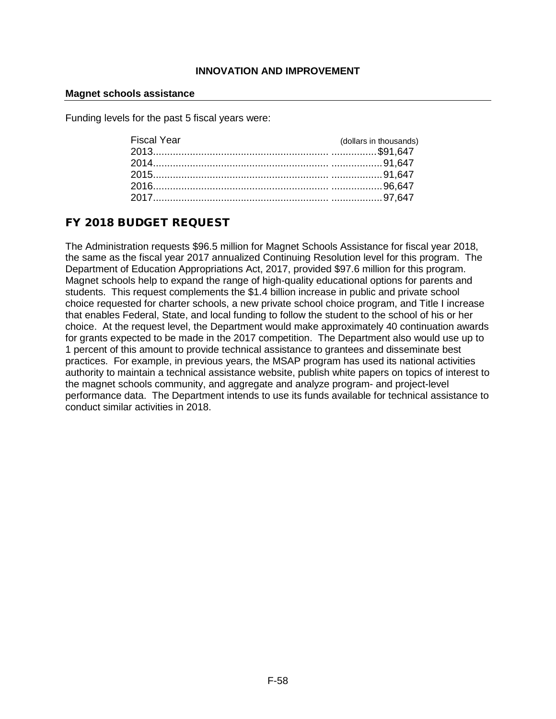#### **Magnet schools assistance**

Funding levels for the past 5 fiscal years were:

| Fiscal Year | (dollars in thousands) |
|-------------|------------------------|
|             |                        |
|             |                        |
|             |                        |
|             |                        |
|             |                        |

# FY 2018 BUDGET REQUEST

The Administration requests \$96.5 million for Magnet Schools Assistance for fiscal year 2018, the same as the fiscal year 2017 annualized Continuing Resolution level for this program. The Department of Education Appropriations Act, 2017, provided \$97.6 million for this program. Magnet schools help to expand the range of high-quality educational options for parents and students. This request complements the \$1.4 billion increase in public and private school choice requested for charter schools, a new private school choice program, and Title I increase that enables Federal, State, and local funding to follow the student to the school of his or her choice. At the request level, the Department would make approximately 40 continuation awards for grants expected to be made in the 2017 competition. The Department also would use up to 1 percent of this amount to provide technical assistance to grantees and disseminate best practices. For example, in previous years, the MSAP program has used its national activities authority to maintain a technical assistance website, publish white papers on topics of interest to the magnet schools community, and aggregate and analyze program- and project-level performance data. The Department intends to use its funds available for technical assistance to conduct similar activities in 2018.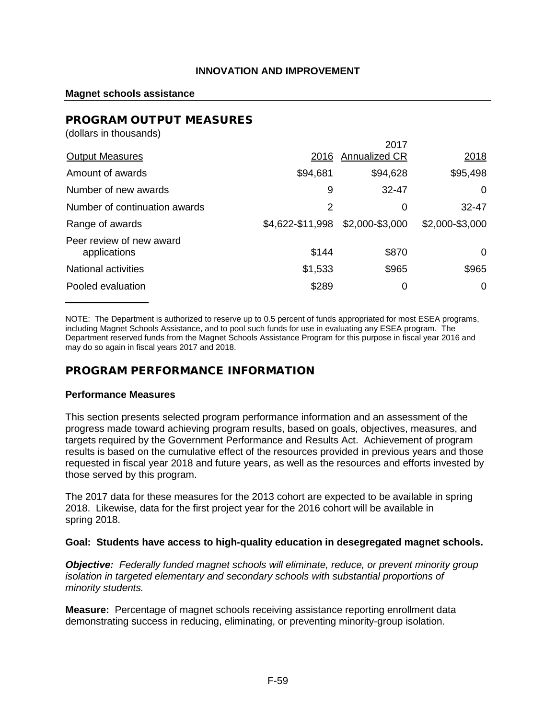#### **Magnet schools assistance**

#### PROGRAM OUTPUT MEASURES (dollars in thousands)

| (dollars in thousands)                   |                  |                      |                 |
|------------------------------------------|------------------|----------------------|-----------------|
|                                          |                  | 2017                 |                 |
| <b>Output Measures</b>                   | 2016             | <b>Annualized CR</b> | 2018            |
| Amount of awards                         | \$94,681         | \$94,628             | \$95,498        |
| Number of new awards                     | 9                | $32 - 47$            | 0               |
| Number of continuation awards            | 2                | 0                    | $32 - 47$       |
| Range of awards                          | \$4,622-\$11,998 | \$2,000-\$3,000      | \$2,000-\$3,000 |
| Peer review of new award<br>applications | \$144            | \$870                | 0               |
| National activities                      | \$1,533          | \$965                | \$965           |
| Pooled evaluation                        | \$289            | 0                    | 0               |
|                                          |                  |                      |                 |

NOTE: The Department is authorized to reserve up to 0.5 percent of funds appropriated for most ESEA programs, including Magnet Schools Assistance, and to pool such funds for use in evaluating any ESEA program. The Department reserved funds from the Magnet Schools Assistance Program for this purpose in fiscal year 2016 and may do so again in fiscal years 2017 and 2018.

# PROGRAM PERFORMANCE INFORMATION

### **Performance Measures**

This section presents selected program performance information and an assessment of the progress made toward achieving program results, based on goals, objectives, measures, and targets required by the Government Performance and Results Act. Achievement of program results is based on the cumulative effect of the resources provided in previous years and those requested in fiscal year 2018 and future years, as well as the resources and efforts invested by those served by this program.

The 2017 data for these measures for the 2013 cohort are expected to be available in spring 2018. Likewise, data for the first project year for the 2016 cohort will be available in spring 2018.

#### **Goal: Students have access to high-quality education in desegregated magnet schools.**

*Objective: Federally funded magnet schools will eliminate, reduce, or prevent minority group isolation in targeted elementary and secondary schools with substantial proportions of minority students.*

**Measure:** Percentage of magnet schools receiving assistance reporting enrollment data demonstrating success in reducing, eliminating, or preventing minority-group isolation.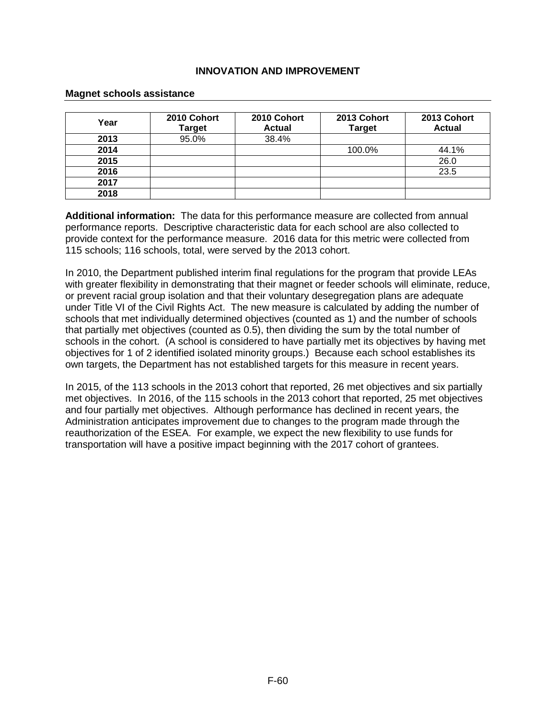#### **Magnet schools assistance**

| Year | 2010 Cohort<br><b>Target</b> | 2010 Cohort<br><b>Actual</b> | 2013 Cohort<br><b>Target</b> | 2013 Cohort<br><b>Actual</b> |
|------|------------------------------|------------------------------|------------------------------|------------------------------|
| 2013 | 95.0%                        | 38.4%                        |                              |                              |
| 2014 |                              |                              | 100.0%                       | 44.1%                        |
| 2015 |                              |                              |                              | 26.0                         |
| 2016 |                              |                              |                              | 23.5                         |
| 2017 |                              |                              |                              |                              |
| 2018 |                              |                              |                              |                              |

**Additional information:** The data for this performance measure are collected from annual performance reports. Descriptive characteristic data for each school are also collected to provide context for the performance measure. 2016 data for this metric were collected from 115 schools; 116 schools, total, were served by the 2013 cohort.

In 2010, the Department published interim final regulations for the program that provide LEAs with greater flexibility in demonstrating that their magnet or feeder schools will eliminate, reduce, or prevent racial group isolation and that their voluntary desegregation plans are adequate under Title VI of the Civil Rights Act. The new measure is calculated by adding the number of schools that met individually determined objectives (counted as 1) and the number of schools that partially met objectives (counted as 0.5), then dividing the sum by the total number of schools in the cohort. (A school is considered to have partially met its objectives by having met objectives for 1 of 2 identified isolated minority groups.) Because each school establishes its own targets, the Department has not established targets for this measure in recent years.

In 2015, of the 113 schools in the 2013 cohort that reported, 26 met objectives and six partially met objectives. In 2016, of the 115 schools in the 2013 cohort that reported, 25 met objectives and four partially met objectives. Although performance has declined in recent years, the Administration anticipates improvement due to changes to the program made through the reauthorization of the ESEA. For example, we expect the new flexibility to use funds for transportation will have a positive impact beginning with the 2017 cohort of grantees.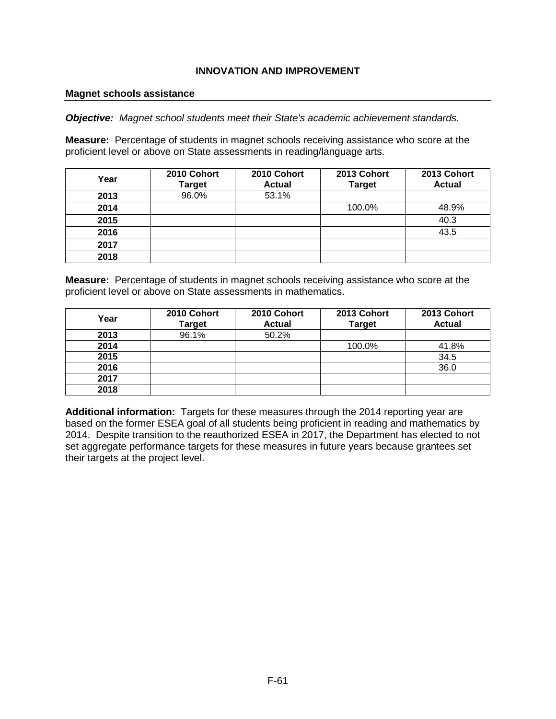#### **Magnet schools assistance**

*Objective: Magnet school students meet their State's academic achievement standards.*

**Measure:** Percentage of students in magnet schools receiving assistance who score at the proficient level or above on State assessments in reading/language arts.

| Year | 2010 Cohort<br><b>Target</b> | 2010 Cohort<br><b>Actual</b> | 2013 Cohort<br><b>Target</b> | 2013 Cohort<br><b>Actual</b> |
|------|------------------------------|------------------------------|------------------------------|------------------------------|
| 2013 | 96.0%                        | 53.1%                        |                              |                              |
| 2014 |                              |                              | 100.0%                       | 48.9%                        |
| 2015 |                              |                              |                              | 40.3                         |
| 2016 |                              |                              |                              | 43.5                         |
| 2017 |                              |                              |                              |                              |
| 2018 |                              |                              |                              |                              |

**Measure:** Percentage of students in magnet schools receiving assistance who score at the proficient level or above on State assessments in mathematics.

| Year | 2010 Cohort<br><b>Target</b> | 2010 Cohort<br><b>Actual</b> | 2013 Cohort<br><b>Target</b> | 2013 Cohort<br><b>Actual</b> |
|------|------------------------------|------------------------------|------------------------------|------------------------------|
| 2013 | 96.1%                        | 50.2%                        |                              |                              |
| 2014 |                              |                              | 100.0%                       | 41.8%                        |
| 2015 |                              |                              |                              | 34.5                         |
| 2016 |                              |                              |                              | 36.0                         |
| 2017 |                              |                              |                              |                              |
| 2018 |                              |                              |                              |                              |

**Additional information:** Targets for these measures through the 2014 reporting year are based on the former ESEA goal of all students being proficient in reading and mathematics by 2014. Despite transition to the reauthorized ESEA in 2017, the Department has elected to not set aggregate performance targets for these measures in future years because grantees set their targets at the project level.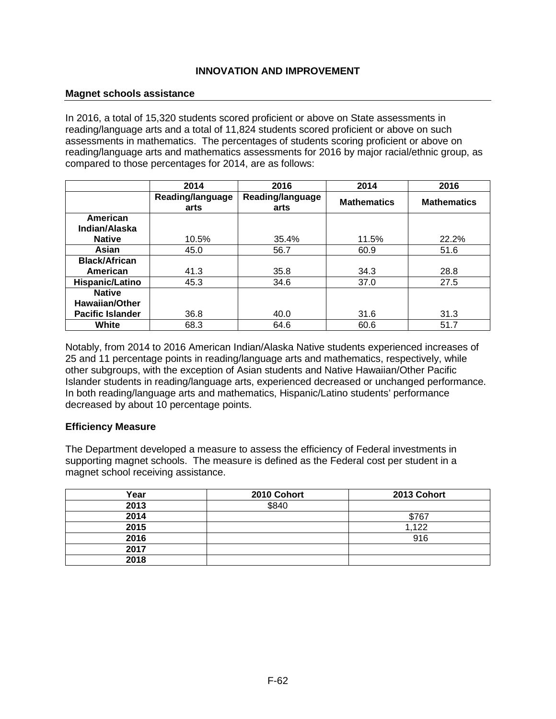#### **Magnet schools assistance**

In 2016, a total of 15,320 students scored proficient or above on State assessments in reading/language arts and a total of 11,824 students scored proficient or above on such assessments in mathematics. The percentages of students scoring proficient or above on reading/language arts and mathematics assessments for 2016 by major racial/ethnic group, as compared to those percentages for 2014, are as follows:

|                         | 2014                     | 2016                     | 2014               | 2016               |
|-------------------------|--------------------------|--------------------------|--------------------|--------------------|
|                         | Reading/language<br>arts | Reading/language<br>arts | <b>Mathematics</b> | <b>Mathematics</b> |
| American                |                          |                          |                    |                    |
| Indian/Alaska           |                          |                          |                    |                    |
| <b>Native</b>           | 10.5%                    | 35.4%                    | 11.5%              | 22.2%              |
| Asian                   | 45.0                     | 56.7                     | 60.9               | 51.6               |
| <b>Black/African</b>    |                          |                          |                    |                    |
| American                | 41.3                     | 35.8                     | 34.3               | 28.8               |
| Hispanic/Latino         | 45.3                     | 34.6                     | 37.0               | 27.5               |
| <b>Native</b>           |                          |                          |                    |                    |
| <b>Hawaiian/Other</b>   |                          |                          |                    |                    |
| <b>Pacific Islander</b> | 36.8                     | 40.0                     | 31.6               | 31.3               |
| White                   | 68.3                     | 64.6                     | 60.6               | 51.7               |

Notably, from 2014 to 2016 American Indian/Alaska Native students experienced increases of 25 and 11 percentage points in reading/language arts and mathematics, respectively, while other subgroups, with the exception of Asian students and Native Hawaiian/Other Pacific Islander students in reading/language arts, experienced decreased or unchanged performance. In both reading/language arts and mathematics, Hispanic/Latino students' performance decreased by about 10 percentage points.

### **Efficiency Measure**

The Department developed a measure to assess the efficiency of Federal investments in supporting magnet schools. The measure is defined as the Federal cost per student in a magnet school receiving assistance.

| Year | 2010 Cohort | 2013 Cohort |
|------|-------------|-------------|
| 2013 | \$840       |             |
| 2014 |             | \$767       |
| 2015 |             | 1,122       |
| 2016 |             | 916         |
| 2017 |             |             |
| 2018 |             |             |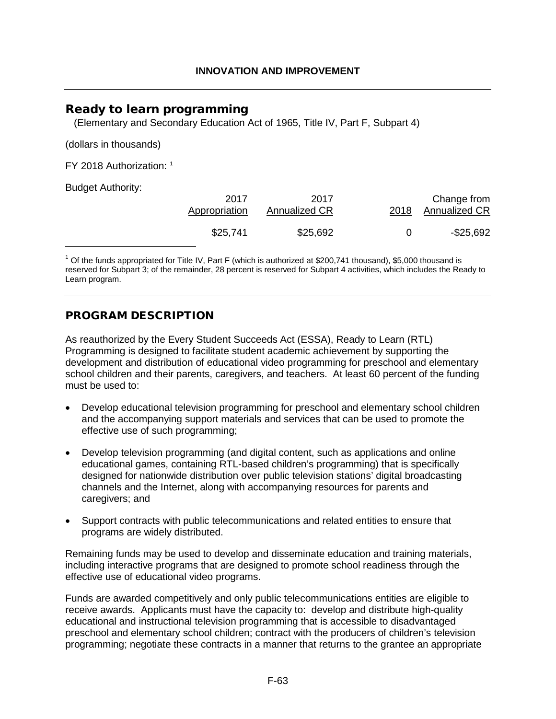# Ready to learn programming

<span id="page-63-1"></span>(Elementary and Secondary Education Act of 1965, Title IV, Part F, Subpart 4)

(dollars in thousands)

FY 2018 Authorization: [1](#page-63-0)

Budget Authority:

| 2017<br>Appropriation | 2017<br>Annualized CR | 2018 | Change from<br><b>Annualized CR</b> |
|-----------------------|-----------------------|------|-------------------------------------|
| \$25,741              | \$25,692              | 0    | $-$ \$25,692                        |

<span id="page-63-0"></span> $1$  Of the funds appropriated for Title IV, Part F (which is authorized at \$200,741 thousand), \$5,000 thousand is reserved for Subpart 3; of the remainder, 28 percent is reserved for Subpart 4 activities, which includes the Ready to Learn program.

# PROGRAM DESCRIPTION

As reauthorized by the Every Student Succeeds Act (ESSA), Ready to Learn (RTL) Programming is designed to facilitate student academic achievement by supporting the development and distribution of educational video programming for preschool and elementary school children and their parents, caregivers, and teachers. At least 60 percent of the funding must be used to:

- Develop educational television programming for preschool and elementary school children and the accompanying support materials and services that can be used to promote the effective use of such programming;
- Develop television programming (and digital content, such as applications and online educational games, containing RTL-based children's programming) that is specifically designed for nationwide distribution over public television stations' digital broadcasting channels and the Internet, along with accompanying resources for parents and caregivers; and
- Support contracts with public telecommunications and related entities to ensure that programs are widely distributed.

Remaining funds may be used to develop and disseminate education and training materials, including interactive programs that are designed to promote school readiness through the effective use of educational video programs.

Funds are awarded competitively and only public telecommunications entities are eligible to receive awards. Applicants must have the capacity to: develop and distribute high-quality educational and instructional television programming that is accessible to disadvantaged preschool and elementary school children; contract with the producers of children's television programming; negotiate these contracts in a manner that returns to the grantee an appropriate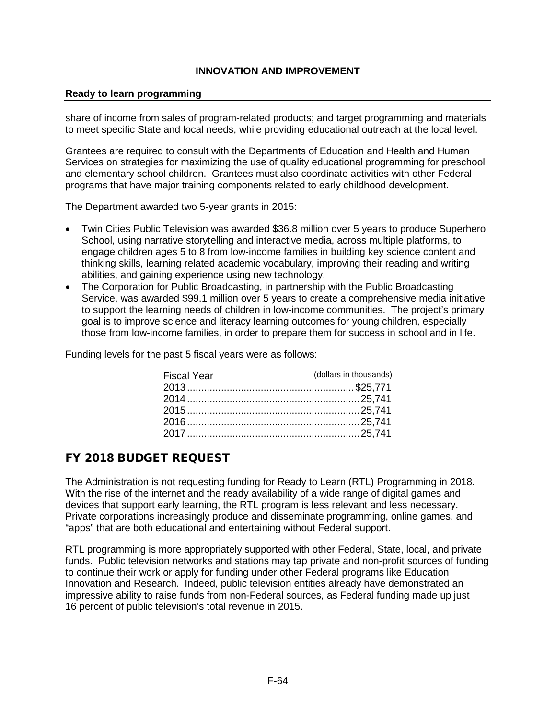#### **Ready to learn programming**

share of income from sales of program-related products; and target programming and materials to meet specific State and local needs, while providing educational outreach at the local level.

Grantees are required to consult with the Departments of Education and Health and Human Services on strategies for maximizing the use of quality educational programming for preschool and elementary school children. Grantees must also coordinate activities with other Federal programs that have major training components related to early childhood development.

The Department awarded two 5-year grants in 2015:

- Twin Cities Public Television was awarded \$36.8 million over 5 years to produce Superhero School, using narrative storytelling and interactive media, across multiple platforms, to engage children ages 5 to 8 from low-income families in building key science content and thinking skills, learning related academic vocabulary, improving their reading and writing abilities, and gaining experience using new technology.
- The Corporation for Public Broadcasting, in partnership with the Public Broadcasting Service, was awarded \$99.1 million over 5 years to create a comprehensive media initiative to support the learning needs of children in low-income communities. The project's primary goal is to improve science and literacy learning outcomes for young children, especially those from low-income families, in order to prepare them for success in school and in life.

Funding levels for the past 5 fiscal years were as follows:

| <b>Fiscal Year</b> | (dollars in thousands) |
|--------------------|------------------------|
|                    |                        |
|                    |                        |
|                    |                        |
|                    |                        |
|                    |                        |

# FY 2018 BUDGET REQUEST

The Administration is not requesting funding for Ready to Learn (RTL) Programming in 2018. With the rise of the internet and the ready availability of a wide range of digital games and devices that support early learning, the RTL program is less relevant and less necessary. Private corporations increasingly produce and disseminate programming, online games, and "apps" that are both educational and entertaining without Federal support.

RTL programming is more appropriately supported with other Federal, State, local, and private funds. Public television networks and stations may tap private and non-profit sources of funding to continue their work or apply for funding under other Federal programs like Education Innovation and Research. Indeed, public television entities already have demonstrated an impressive ability to raise funds from non-Federal sources, as Federal funding made up just 16 percent of public television's total revenue in 2015.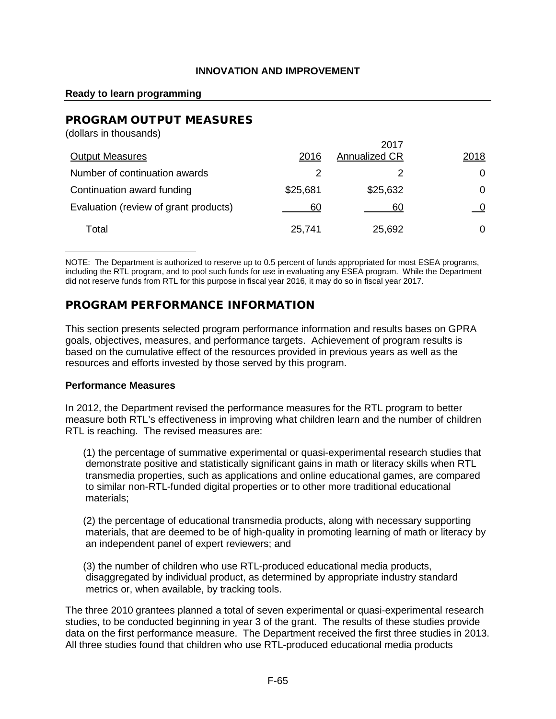#### **Ready to learn programming**

# PROGRAM OUTPUT MEASURES

| 2016     | 2017<br><b>Annualized CR</b> | 2018 |
|----------|------------------------------|------|
| 2        |                              | 0    |
| \$25,681 | \$25,632                     |      |
| 60       | 60                           |      |
| 25,741   | 25,692                       |      |
|          |                              |      |

NOTE: The Department is authorized to reserve up to 0.5 percent of funds appropriated for most ESEA programs, including the RTL program, and to pool such funds for use in evaluating any ESEA program. While the Department did not reserve funds from RTL for this purpose in fiscal year 2016, it may do so in fiscal year 2017.

# PROGRAM PERFORMANCE INFORMATION

This section presents selected program performance information and results bases on GPRA goals, objectives, measures, and performance targets. Achievement of program results is based on the cumulative effect of the resources provided in previous years as well as the resources and efforts invested by those served by this program.

#### **Performance Measures**

In 2012, the Department revised the performance measures for the RTL program to better measure both RTL's effectiveness in improving what children learn and the number of children RTL is reaching. The revised measures are:

(1) the percentage of summative experimental or quasi-experimental research studies that demonstrate positive and statistically significant gains in math or literacy skills when RTL transmedia properties, such as applications and online educational games, are compared to similar non-RTL-funded digital properties or to other more traditional educational materials;

(2) the percentage of educational transmedia products, along with necessary supporting materials, that are deemed to be of high-quality in promoting learning of math or literacy by an independent panel of expert reviewers; and

(3) the number of children who use RTL-produced educational media products, disaggregated by individual product, as determined by appropriate industry standard metrics or, when available, by tracking tools.

The three 2010 grantees planned a total of seven experimental or quasi-experimental research studies, to be conducted beginning in year 3 of the grant. The results of these studies provide data on the first performance measure. The Department received the first three studies in 2013. All three studies found that children who use RTL-produced educational media products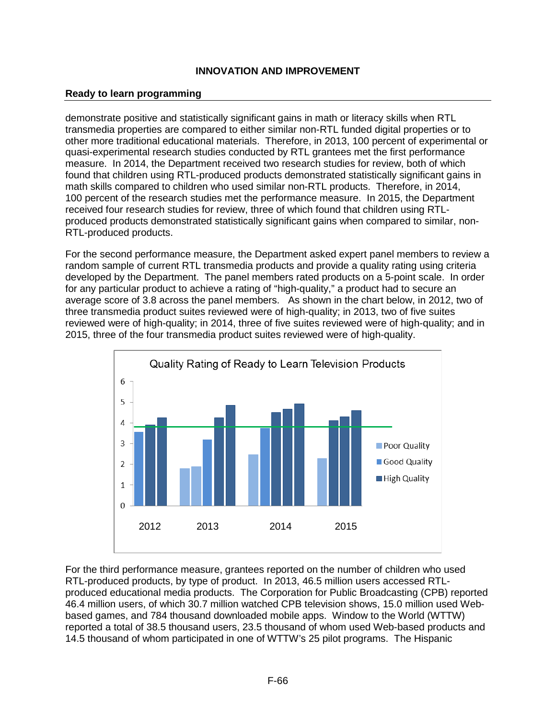### **Ready to learn programming**

demonstrate positive and statistically significant gains in math or literacy skills when RTL transmedia properties are compared to either similar non-RTL funded digital properties or to other more traditional educational materials. Therefore, in 2013, 100 percent of experimental or quasi-experimental research studies conducted by RTL grantees met the first performance measure. In 2014, the Department received two research studies for review, both of which found that children using RTL-produced products demonstrated statistically significant gains in math skills compared to children who used similar non-RTL products. Therefore, in 2014, 100 percent of the research studies met the performance measure. In 2015, the Department received four research studies for review, three of which found that children using RTLproduced products demonstrated statistically significant gains when compared to similar, non-RTL-produced products.

For the second performance measure, the Department asked expert panel members to review a random sample of current RTL transmedia products and provide a quality rating using criteria developed by the Department. The panel members rated products on a 5-point scale. In order for any particular product to achieve a rating of "high-quality," a product had to secure an average score of 3.8 across the panel members. As shown in the chart below, in 2012, two of three transmedia product suites reviewed were of high-quality; in 2013, two of five suites reviewed were of high-quality; in 2014, three of five suites reviewed were of high-quality; and in 2015, three of the four transmedia product suites reviewed were of high-quality.



For the third performance measure, grantees reported on the number of children who used RTL-produced products, by type of product. In 2013, 46.5 million users accessed RTLproduced educational media products. The Corporation for Public Broadcasting (CPB) reported 46.4 million users, of which 30.7 million watched CPB television shows, 15.0 million used Webbased games, and 784 thousand downloaded mobile apps. Window to the World (WTTW) reported a total of 38.5 thousand users, 23.5 thousand of whom used Web-based products and 14.5 thousand of whom participated in one of WTTW's 25 pilot programs. The Hispanic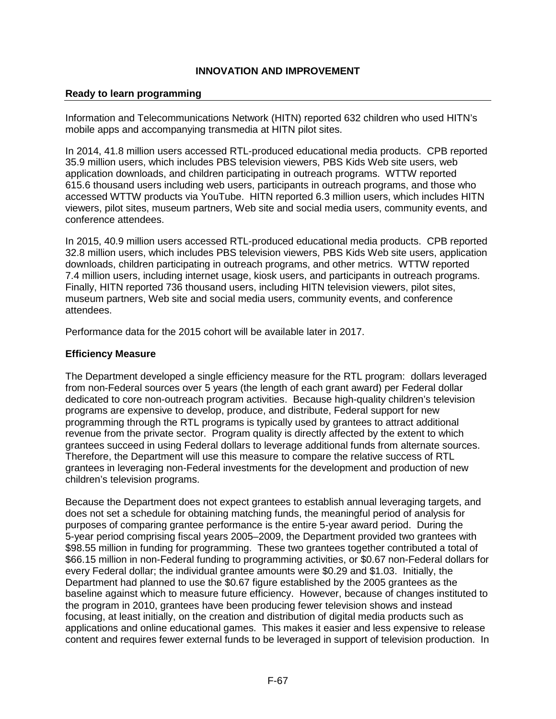#### **Ready to learn programming**

Information and Telecommunications Network (HITN) reported 632 children who used HITN's mobile apps and accompanying transmedia at HITN pilot sites.

In 2014, 41.8 million users accessed RTL-produced educational media products. CPB reported 35.9 million users, which includes PBS television viewers, PBS Kids Web site users, web application downloads, and children participating in outreach programs. WTTW reported 615.6 thousand users including web users, participants in outreach programs, and those who accessed WTTW products via YouTube. HITN reported 6.3 million users, which includes HITN viewers, pilot sites, museum partners, Web site and social media users, community events, and conference attendees.

In 2015, 40.9 million users accessed RTL-produced educational media products. CPB reported 32.8 million users, which includes PBS television viewers, PBS Kids Web site users, application downloads, children participating in outreach programs, and other metrics. WTTW reported 7.4 million users, including internet usage, kiosk users, and participants in outreach programs. Finally, HITN reported 736 thousand users, including HITN television viewers, pilot sites, museum partners, Web site and social media users, community events, and conference attendees.

Performance data for the 2015 cohort will be available later in 2017.

#### **Efficiency Measure**

The Department developed a single efficiency measure for the RTL program: dollars leveraged from non-Federal sources over 5 years (the length of each grant award) per Federal dollar dedicated to core non-outreach program activities. Because high-quality children's television programs are expensive to develop, produce, and distribute, Federal support for new programming through the RTL programs is typically used by grantees to attract additional revenue from the private sector. Program quality is directly affected by the extent to which grantees succeed in using Federal dollars to leverage additional funds from alternate sources. Therefore, the Department will use this measure to compare the relative success of RTL grantees in leveraging non-Federal investments for the development and production of new children's television programs.

Because the Department does not expect grantees to establish annual leveraging targets, and does not set a schedule for obtaining matching funds, the meaningful period of analysis for purposes of comparing grantee performance is the entire 5-year award period. During the 5-year period comprising fiscal years 2005–2009, the Department provided two grantees with \$98.55 million in funding for programming. These two grantees together contributed a total of \$66.15 million in non-Federal funding to programming activities, or \$0.67 non-Federal dollars for every Federal dollar; the individual grantee amounts were \$0.29 and \$1.03. Initially, the Department had planned to use the \$0.67 figure established by the 2005 grantees as the baseline against which to measure future efficiency. However, because of changes instituted to the program in 2010, grantees have been producing fewer television shows and instead focusing, at least initially, on the creation and distribution of digital media products such as applications and online educational games. This makes it easier and less expensive to release content and requires fewer external funds to be leveraged in support of television production. In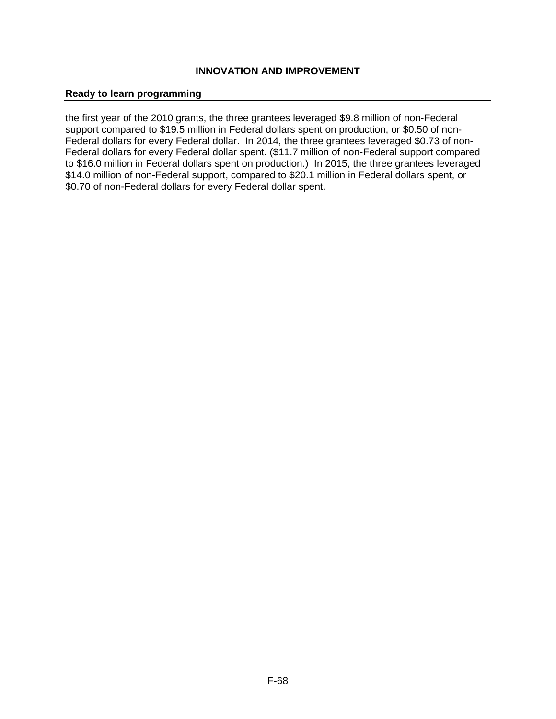#### **Ready to learn programming**

the first year of the 2010 grants, the three grantees leveraged \$9.8 million of non-Federal support compared to \$19.5 million in Federal dollars spent on production, or \$0.50 of non-Federal dollars for every Federal dollar. In 2014, the three grantees leveraged \$0.73 of non-Federal dollars for every Federal dollar spent. (\$11.7 million of non-Federal support compared to \$16.0 million in Federal dollars spent on production.) In 2015, the three grantees leveraged \$14.0 million of non-Federal support, compared to \$20.1 million in Federal dollars spent, or \$0.70 of non-Federal dollars for every Federal dollar spent.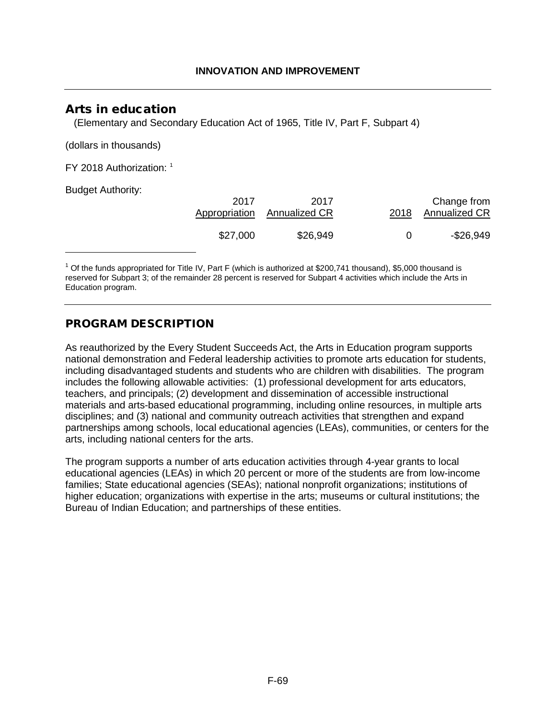# Arts in education

(Elementary and Secondary Education Act of 1965, Title IV, Part F, Subpart 4)

(dollars in thousands)

FY 2018 Authorization: [1](#page-69-0)

Budget Authority:

<span id="page-69-1"></span>

| . | 2017     | 2017<br>Appropriation Annualized CR | 2018 | Change from<br><b>Annualized CR</b> |
|---|----------|-------------------------------------|------|-------------------------------------|
|   | \$27,000 | \$26,949                            |      | -\$26,949                           |

<span id="page-69-0"></span> $1$  Of the funds appropriated for Title IV, Part F (which is authorized at \$200,741 thousand), \$5,000 thousand is reserved for Subpart 3; of the remainder 28 percent is reserved for Subpart 4 activities which include the Arts in Education program.

# PROGRAM DESCRIPTION

As reauthorized by the Every Student Succeeds Act, the Arts in Education program supports national demonstration and Federal leadership activities to promote arts education for students, including disadvantaged students and students who are children with disabilities. The program includes the following allowable activities: (1) professional development for arts educators, teachers, and principals; (2) development and dissemination of accessible instructional materials and arts-based educational programming, including online resources, in multiple arts disciplines; and (3) national and community outreach activities that strengthen and expand partnerships among schools, local educational agencies (LEAs), communities, or centers for the arts, including national centers for the arts.

The program supports a number of arts education activities through 4-year grants to local educational agencies (LEAs) in which 20 percent or more of the students are from low-income families; State educational agencies (SEAs); national nonprofit organizations; institutions of higher education; organizations with expertise in the arts; museums or cultural institutions; the Bureau of Indian Education; and partnerships of these entities.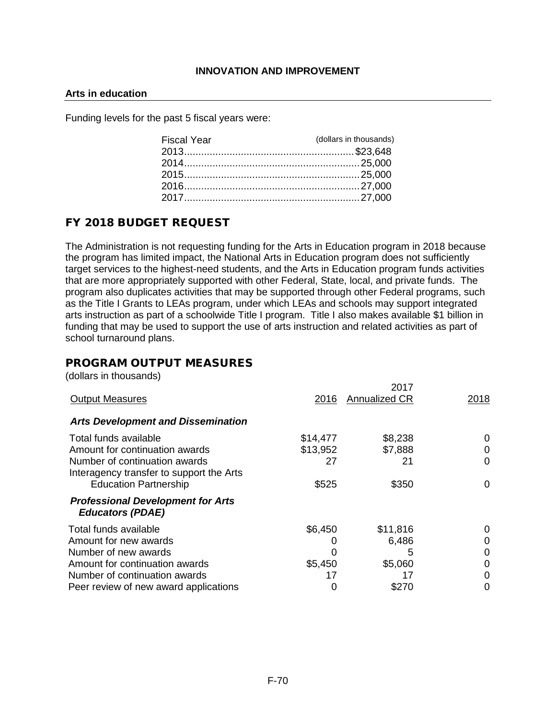#### **Arts in education**

Funding levels for the past 5 fiscal years were:

| <b>Fiscal Year</b> | (dollars in thousands) |
|--------------------|------------------------|
|                    |                        |
|                    |                        |
|                    |                        |
|                    |                        |
|                    |                        |
|                    |                        |

# FY 2018 BUDGET REQUEST

The Administration is not requesting funding for the Arts in Education program in 2018 because the program has limited impact, the National Arts in Education program does not sufficiently target services to the highest-need students, and the Arts in Education program funds activities that are more appropriately supported with other Federal, State, local, and private funds. The program also duplicates activities that may be supported through other Federal programs, such as the Title I Grants to LEAs program, under which LEAs and schools may support integrated arts instruction as part of a schoolwide Title I program. Title I also makes available \$1 billion in funding that may be used to support the use of arts instruction and related activities as part of school turnaround plans.

# PROGRAM OUTPUT MEASURES

(dollars in thousands)

| <b>Output Measures</b>                                                    | 2016     | 2017<br><b>Annualized CR</b> | 2018         |
|---------------------------------------------------------------------------|----------|------------------------------|--------------|
| <b>Arts Development and Dissemination</b>                                 |          |                              |              |
| Total funds available                                                     | \$14,477 | \$8,238                      | 0            |
| Amount for continuation awards                                            | \$13,952 | \$7,888                      | $\mathbf{0}$ |
| Number of continuation awards<br>Interagency transfer to support the Arts | 27       | 21                           | 0            |
| <b>Education Partnership</b>                                              | \$525    | \$350                        | 0            |
| <b>Professional Development for Arts</b><br><b>Educators (PDAE)</b>       |          |                              |              |
| Total funds available                                                     | \$6,450  | \$11,816                     |              |
| Amount for new awards                                                     |          | 6,486                        |              |
| Number of new awards                                                      |          | 5                            | O            |
| Amount for continuation awards                                            | \$5,450  | \$5,060                      |              |
| Number of continuation awards                                             | 17       | 17                           |              |
| Peer review of new award applications                                     | 0        | \$270                        |              |
|                                                                           |          |                              |              |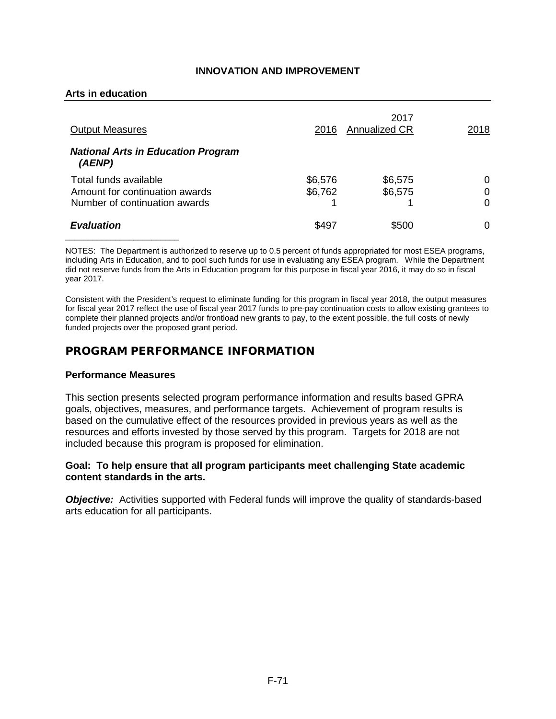#### **Arts in education**

| <b>Output Measures</b>                                  | 2016               | 2017<br>Annualized CR | 2018   |
|---------------------------------------------------------|--------------------|-----------------------|--------|
| <b>National Arts in Education Program</b><br>(AENP)     |                    |                       |        |
| Total funds available<br>Amount for continuation awards | \$6,576<br>\$6,762 | \$6,575<br>\$6,575    | 0<br>0 |
| Number of continuation awards                           |                    |                       | 0      |
| <b>Evaluation</b>                                       | \$497              | \$500                 | O      |

NOTES: The Department is authorized to reserve up to 0.5 percent of funds appropriated for most ESEA programs, including Arts in Education, and to pool such funds for use in evaluating any ESEA program. While the Department did not reserve funds from the Arts in Education program for this purpose in fiscal year 2016, it may do so in fiscal year 2017.

Consistent with the President's request to eliminate funding for this program in fiscal year 2018, the output measures for fiscal year 2017 reflect the use of fiscal year 2017 funds to pre-pay continuation costs to allow existing grantees to complete their planned projects and/or frontload new grants to pay, to the extent possible, the full costs of newly funded projects over the proposed grant period.

# PROGRAM PERFORMANCE INFORMATION

#### **Performance Measures**

This section presents selected program performance information and results based GPRA goals, objectives, measures, and performance targets. Achievement of program results is based on the cumulative effect of the resources provided in previous years as well as the resources and efforts invested by those served by this program. Targets for 2018 are not included because this program is proposed for elimination.

#### **Goal: To help ensure that all program participants meet challenging State academic content standards in the arts.**

**Objective:** Activities supported with Federal funds will improve the quality of standards-based arts education for all participants.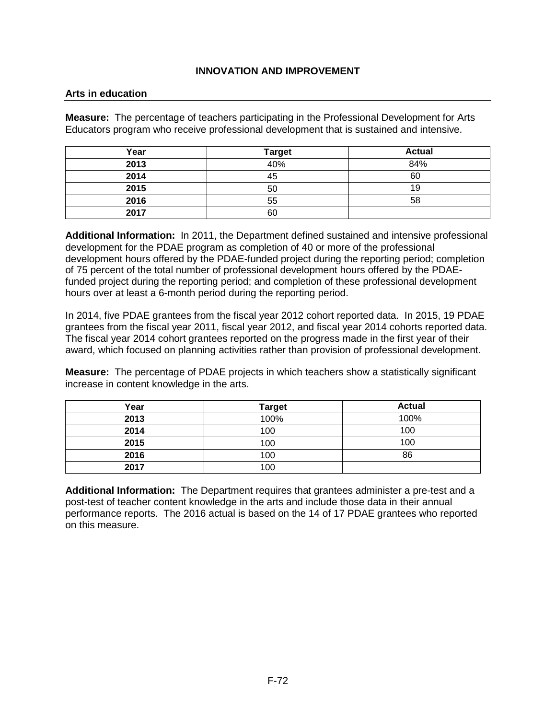#### **Arts in education**

**Measure:** The percentage of teachers participating in the Professional Development for Arts Educators program who receive professional development that is sustained and intensive.

| Year | <b>Target</b> | <b>Actual</b> |
|------|---------------|---------------|
| 2013 | 40%           | 84%           |
| 2014 | 45            | 60            |
| 2015 | 50            | 19            |
| 2016 | 55            | 58            |
| 2017 | 60            |               |

**Additional Information:** In 2011, the Department defined sustained and intensive professional development for the PDAE program as completion of 40 or more of the professional development hours offered by the PDAE-funded project during the reporting period; completion of 75 percent of the total number of professional development hours offered by the PDAEfunded project during the reporting period; and completion of these professional development hours over at least a 6-month period during the reporting period.

In 2014, five PDAE grantees from the fiscal year 2012 cohort reported data. In 2015, 19 PDAE grantees from the fiscal year 2011, fiscal year 2012, and fiscal year 2014 cohorts reported data. The fiscal year 2014 cohort grantees reported on the progress made in the first year of their award, which focused on planning activities rather than provision of professional development.

**Measure:** The percentage of PDAE projects in which teachers show a statistically significant increase in content knowledge in the arts.

| Year | <b>Target</b> | <b>Actual</b> |
|------|---------------|---------------|
| 2013 | 100%          | 100%          |
| 2014 | 100           | 100           |
| 2015 | 100           | 100           |
| 2016 | 100           | 86            |
| 2017 | 100           |               |

**Additional Information:** The Department requires that grantees administer a pre-test and a post-test of teacher content knowledge in the arts and include those data in their annual performance reports. The 2016 actual is based on the 14 of 17 PDAE grantees who reported on this measure.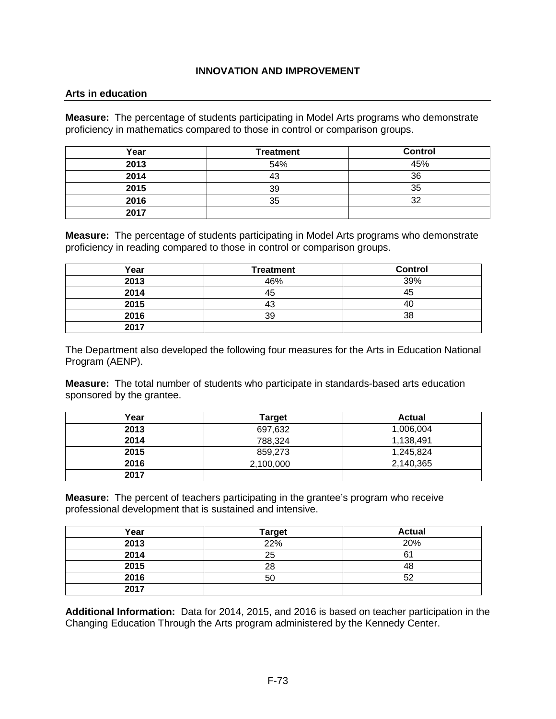#### **Arts in education**

**Measure:** The percentage of students participating in Model Arts programs who demonstrate proficiency in mathematics compared to those in control or comparison groups.

| Year | <b>Treatment</b> | <b>Control</b> |
|------|------------------|----------------|
| 2013 | 54%              | 45%            |
| 2014 | 43               | 36             |
| 2015 | 39               | 35             |
| 2016 | 35               | າາ             |
| 2017 |                  |                |

**Measure:** The percentage of students participating in Model Arts programs who demonstrate proficiency in reading compared to those in control or comparison groups.

| Year | <b>Treatment</b> | <b>Control</b> |
|------|------------------|----------------|
| 2013 | 46%              | 39%            |
| 2014 | 45               | 45             |
| 2015 | 43               |                |
| 2016 | 39               | 38             |
| 2017 |                  |                |

The Department also developed the following four measures for the Arts in Education National Program (AENP).

**Measure:** The total number of students who participate in standards-based arts education sponsored by the grantee.

| Year | <b>Target</b> | <b>Actual</b> |
|------|---------------|---------------|
| 2013 | 697,632       | 1,006,004     |
| 2014 | 788,324       | 1,138,491     |
| 2015 | 859.273       | 1,245,824     |
| 2016 | 2,100,000     | 2,140,365     |
| 2017 |               |               |

**Measure:** The percent of teachers participating in the grantee's program who receive professional development that is sustained and intensive.

| Year | <b>Target</b> | <b>Actual</b> |
|------|---------------|---------------|
| 2013 | 22%           | 20%           |
| 2014 | 25            | 61            |
| 2015 | 28            | 48            |
| 2016 | 50            | につ            |
| 2017 |               |               |

**Additional Information:** Data for 2014, 2015, and 2016 is based on teacher participation in the Changing Education Through the Arts program administered by the Kennedy Center.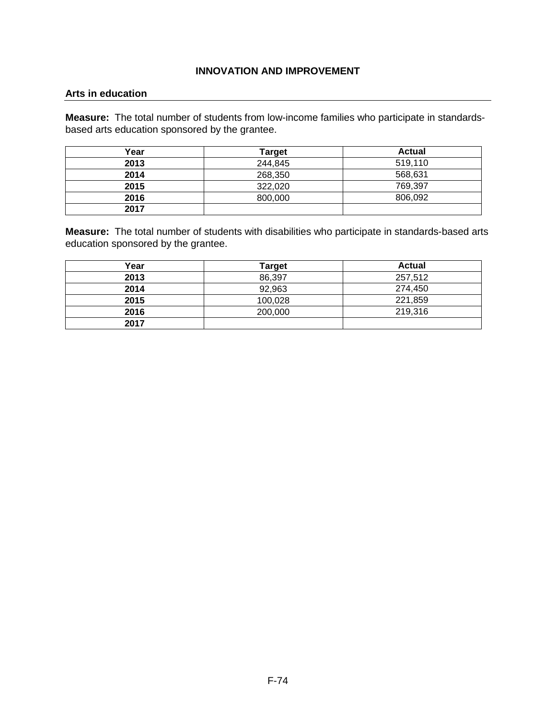#### **Arts in education**

**Measure:** The total number of students from low-income families who participate in standardsbased arts education sponsored by the grantee.

| Year | <b>Target</b> | <b>Actual</b> |
|------|---------------|---------------|
| 2013 | 244,845       | 519,110       |
| 2014 | 268,350       | 568,631       |
| 2015 | 322,020       | 769,397       |
| 2016 | 800,000       | 806,092       |
| 2017 |               |               |

**Measure:** The total number of students with disabilities who participate in standards-based arts education sponsored by the grantee.

| Year | <b>Target</b> | <b>Actual</b> |
|------|---------------|---------------|
| 2013 | 86,397        | 257,512       |
| 2014 | 92,963        | 274,450       |
| 2015 | 100,028       | 221,859       |
| 2016 | 200,000       | 219,316       |
| 2017 |               |               |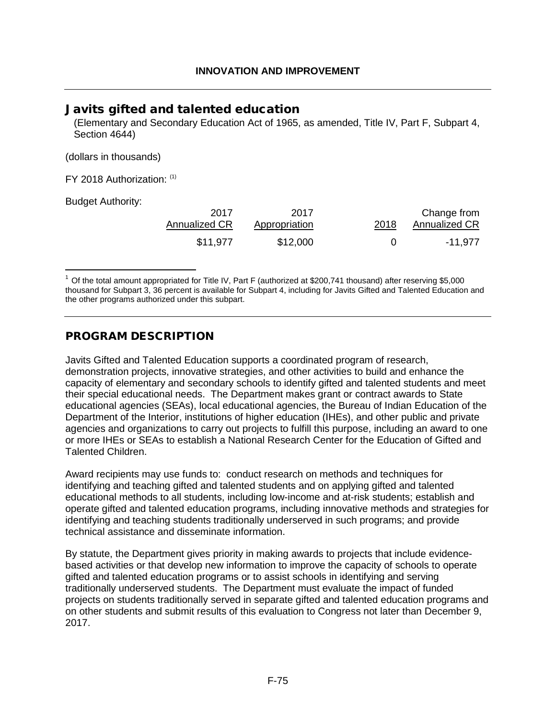## Javits gifted and talented education

(Elementary and Secondary Education Act of 1965, as amended, Title IV, Part F, Subpart 4, Section 4644)

(dollars in thousands)

FY 2018 Authorization: [\(1\)](#page-75-0)

Budget Authority:

<span id="page-75-1"></span>

| 2017          | 2017          | 2018 | Change from   |
|---------------|---------------|------|---------------|
| Annualized CR | Appropriation |      | Annualized CR |
| \$11,977      | \$12,000      |      | -11.977       |

<span id="page-75-0"></span> $1$  Of the total amount appropriated for Title IV, Part F (authorized at \$200,74[1](#page-75-1) thousand) after reserving \$5,000 thousand for Subpart 3, 36 percent is available for Subpart 4, including for Javits Gifted and Talented Education and the other programs authorized under this subpart.

## PROGRAM DESCRIPTION

Javits Gifted and Talented Education supports a coordinated program of research, demonstration projects, innovative strategies, and other activities to build and enhance the capacity of elementary and secondary schools to identify gifted and talented students and meet their special educational needs. The Department makes grant or contract awards to State educational agencies (SEAs), local educational agencies, the Bureau of Indian Education of the Department of the Interior, institutions of higher education (IHEs), and other public and private agencies and organizations to carry out projects to fulfill this purpose, including an award to one or more IHEs or SEAs to establish a National Research Center for the Education of Gifted and Talented Children.

Award recipients may use funds to: conduct research on methods and techniques for identifying and teaching gifted and talented students and on applying gifted and talented educational methods to all students, including low-income and at-risk students; establish and operate gifted and talented education programs, including innovative methods and strategies for identifying and teaching students traditionally underserved in such programs; and provide technical assistance and disseminate information.

By statute, the Department gives priority in making awards to projects that include evidencebased activities or that develop new information to improve the capacity of schools to operate gifted and talented education programs or to assist schools in identifying and serving traditionally underserved students. The Department must evaluate the impact of funded projects on students traditionally served in separate gifted and talented education programs and on other students and submit results of this evaluation to Congress not later than December 9, 2017.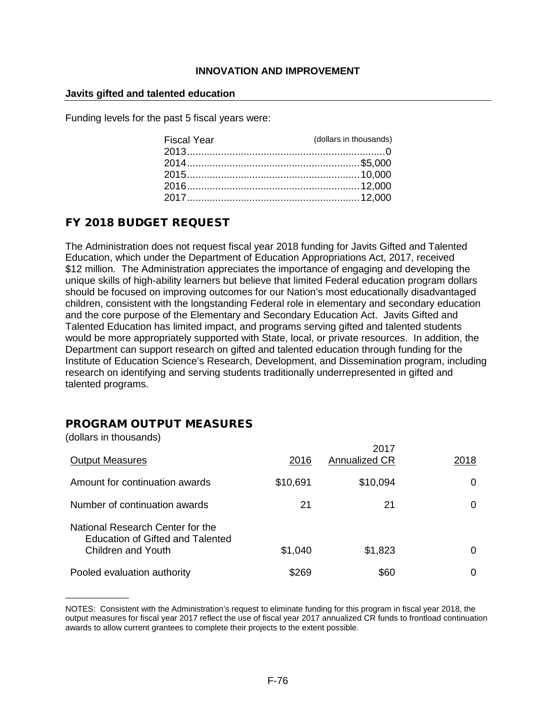#### **Javits gifted and talented education**

Funding levels for the past 5 fiscal years were:

| <b>Fiscal Year</b> | (dollars in thousands) |
|--------------------|------------------------|
|                    |                        |
|                    |                        |
|                    |                        |
|                    |                        |
|                    |                        |

# FY 2018 BUDGET REQUEST

The Administration does not request fiscal year 2018 funding for Javits Gifted and Talented Education, which under the Department of Education Appropriations Act, 2017, received \$12 million. The Administration appreciates the importance of engaging and developing the unique skills of high-ability learners but believe that limited Federal education program dollars should be focused on improving outcomes for our Nation's most educationally disadvantaged children, consistent with the longstanding Federal role in elementary and secondary education and the core purpose of the Elementary and Secondary Education Act. Javits Gifted and Talented Education has limited impact, and programs serving gifted and talented students would be more appropriately supported with State, local, or private resources. In addition, the Department can support research on gifted and talented education through funding for the Institute of Education Science's Research, Development, and Dissemination program, including research on identifying and serving students traditionally underrepresented in gifted and talented programs.

# PROGRAM OUTPUT MEASURES

(dollars in thousands)

 $\overline{\phantom{a}}$ 

| <b>Output Measures</b>                                                                     | 2016     | 2017<br><b>Annualized CR</b> | 2018 |
|--------------------------------------------------------------------------------------------|----------|------------------------------|------|
| Amount for continuation awards                                                             | \$10,691 | \$10,094                     | 0    |
| Number of continuation awards                                                              | 21       | 21                           | 0    |
| National Research Center for the<br>Education of Gifted and Talented<br>Children and Youth | \$1,040  | \$1,823                      | 0    |
| Pooled evaluation authority                                                                | \$269    | \$60                         | Ω    |

NOTES: Consistent with the Administration's request to eliminate funding for this program in fiscal year 2018, the output measures for fiscal year 2017 reflect the use of fiscal year 2017 annualized CR funds to frontload continuation awards to allow current grantees to complete their projects to the extent possible.